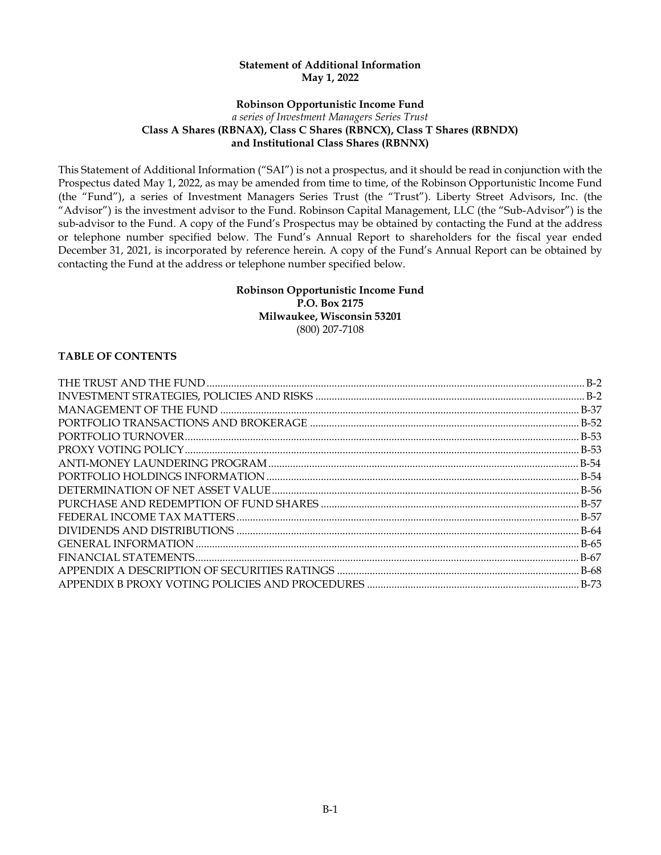### **Statement of Additional Information May 1, 2022**

## **Robinson Opportunistic Income Fund**

#### *a series of Investment Managers Series Trust* **Class A Shares (RBNAX), Class C Shares (RBNCX), Class T Shares (RBNDX) and Institutional Class Shares (RBNNX)**

This Statement of Additional Information ("SAI") is not a prospectus, and it should be read in conjunction with the Prospectus dated May 1, 2022, as may be amended from time to time, of the Robinson Opportunistic Income Fund (the "Fund"), a series of Investment Managers Series Trust (the "Trust"). Liberty Street Advisors, Inc. (the "Advisor") is the investment advisor to the Fund. Robinson Capital Management, LLC (the "Sub-Advisor") is the sub-advisor to the Fund. A copy of the Fund's Prospectus may be obtained by contacting the Fund at the address or telephone number specified below. The Fund's Annual Report to shareholders for the fiscal year ended December 31, 2021, is incorporated by reference herein. A copy of the Fund's Annual Report can be obtained by contacting the Fund at the address or telephone number specified below.

## **Robinson Opportunistic Income Fund P.O. Box 2175 Milwaukee, Wisconsin 53201** (800) 207-7108

#### **TABLE OF CONTENTS**

| $B-2$ |
|-------|
|       |
|       |
|       |
|       |
|       |
|       |
|       |
|       |
|       |
|       |
|       |
|       |
|       |
|       |
|       |
|       |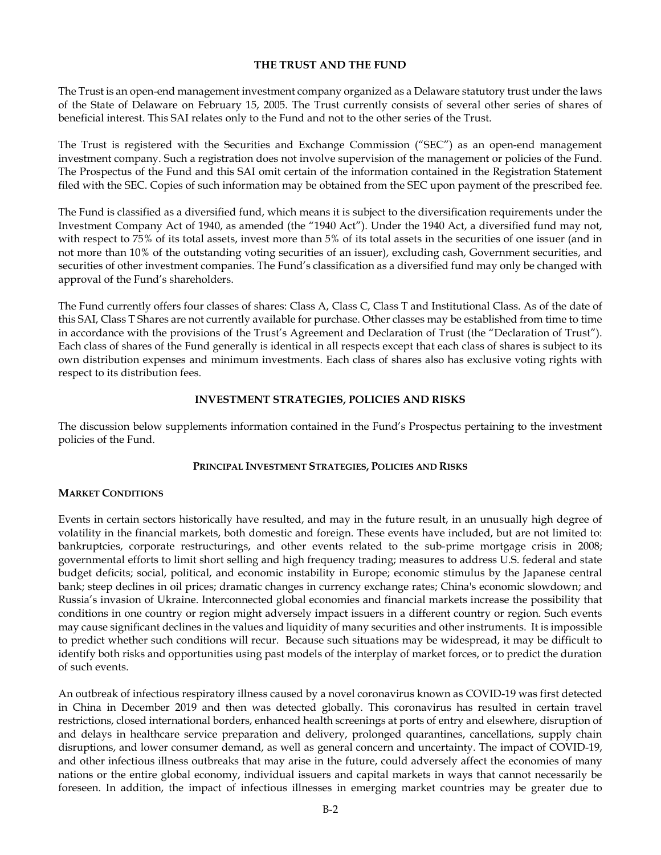#### **THE TRUST AND THE FUND**

<span id="page-1-0"></span>The Trust is an open-end management investment company organized as a Delaware statutory trust under the laws of the State of Delaware on February 15, 2005. The Trust currently consists of several other series of shares of beneficial interest. This SAI relates only to the Fund and not to the other series of the Trust.

The Trust is registered with the Securities and Exchange Commission ("SEC") as an open-end management investment company. Such a registration does not involve supervision of the management or policies of the Fund. The Prospectus of the Fund and this SAI omit certain of the information contained in the Registration Statement filed with the SEC. Copies of such information may be obtained from the SEC upon payment of the prescribed fee.

The Fund is classified as a diversified fund, which means it is subject to the diversification requirements under the Investment Company Act of 1940, as amended (the "1940 Act"). Under the 1940 Act, a diversified fund may not, with respect to 75% of its total assets, invest more than 5% of its total assets in the securities of one issuer (and in not more than 10% of the outstanding voting securities of an issuer), excluding cash, Government securities, and securities of other investment companies. The Fund's classification as a diversified fund may only be changed with approval of the Fund's shareholders.

The Fund currently offers four classes of shares: Class A, Class C, Class T and Institutional Class. As of the date of this SAI, Class T Shares are not currently available for purchase. Other classes may be established from time to time in accordance with the provisions of the Trust's Agreement and Declaration of Trust (the "Declaration of Trust"). Each class of shares of the Fund generally is identical in all respects except that each class of shares is subject to its own distribution expenses and minimum investments. Each class of shares also has exclusive voting rights with respect to its distribution fees.

#### **INVESTMENT STRATEGIES, POLICIES AND RISKS**

<span id="page-1-1"></span>The discussion below supplements information contained in the Fund's Prospectus pertaining to the investment policies of the Fund.

#### **PRINCIPAL INVESTMENT STRATEGIES, POLICIES AND RISKS**

#### **MARKET CONDITIONS**

Events in certain sectors historically have resulted, and may in the future result, in an unusually high degree of volatility in the financial markets, both domestic and foreign. These events have included, but are not limited to: bankruptcies, corporate restructurings, and other events related to the sub-prime mortgage crisis in 2008; governmental efforts to limit short selling and high frequency trading; measures to address U.S. federal and state budget deficits; social, political, and economic instability in Europe; economic stimulus by the Japanese central bank; steep declines in oil prices; dramatic changes in currency exchange rates; China's economic slowdown; and Russia's invasion of Ukraine. Interconnected global economies and financial markets increase the possibility that conditions in one country or region might adversely impact issuers in a different country or region. Such events may cause significant declines in the values and liquidity of many securities and other instruments. It is impossible to predict whether such conditions will recur. Because such situations may be widespread, it may be difficult to identify both risks and opportunities using past models of the interplay of market forces, or to predict the duration of such events.

An outbreak of infectious respiratory illness caused by a novel coronavirus known as COVID-19 was first detected in China in December 2019 and then was detected globally. This coronavirus has resulted in certain travel restrictions, closed international borders, enhanced health screenings at ports of entry and elsewhere, disruption of and delays in healthcare service preparation and delivery, prolonged quarantines, cancellations, supply chain disruptions, and lower consumer demand, as well as general concern and uncertainty. The impact of COVID-19, and other infectious illness outbreaks that may arise in the future, could adversely affect the economies of many nations or the entire global economy, individual issuers and capital markets in ways that cannot necessarily be foreseen. In addition, the impact of infectious illnesses in emerging market countries may be greater due to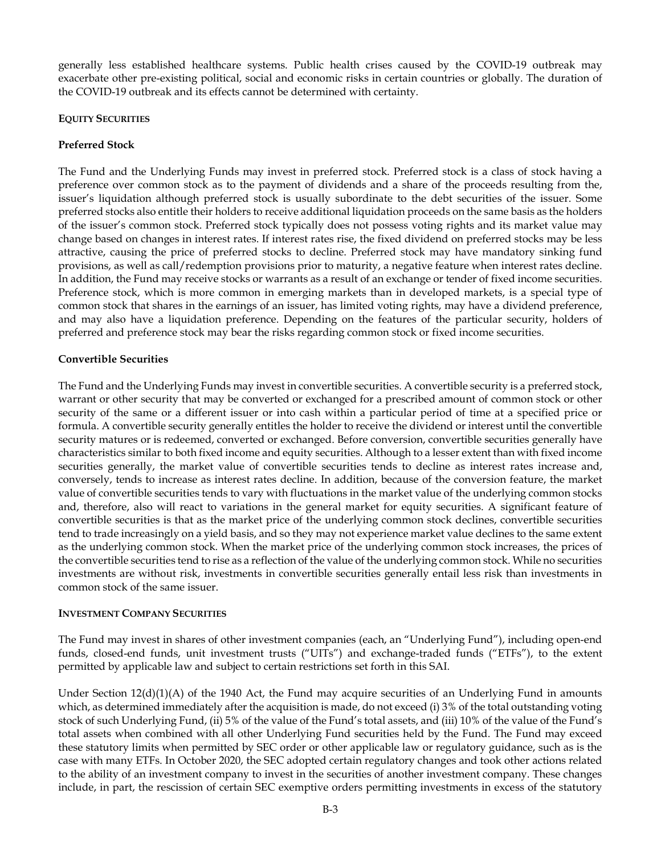generally less established healthcare systems. Public health crises caused by the COVID-19 outbreak may exacerbate other pre-existing political, social and economic risks in certain countries or globally. The duration of the COVID-19 outbreak and its effects cannot be determined with certainty.

## **EQUITY SECURITIES**

## **Preferred Stock**

The Fund and the Underlying Funds may invest in preferred stock. Preferred stock is a class of stock having a preference over common stock as to the payment of dividends and a share of the proceeds resulting from the, issuer's liquidation although preferred stock is usually subordinate to the debt securities of the issuer. Some preferred stocks also entitle their holders to receive additional liquidation proceeds on the same basis as the holders of the issuer's common stock. Preferred stock typically does not possess voting rights and its market value may change based on changes in interest rates. If interest rates rise, the fixed dividend on preferred stocks may be less attractive, causing the price of preferred stocks to decline. Preferred stock may have mandatory sinking fund provisions, as well as call/redemption provisions prior to maturity, a negative feature when interest rates decline. In addition, the Fund may receive stocks or warrants as a result of an exchange or tender of fixed income securities. Preference stock, which is more common in emerging markets than in developed markets, is a special type of common stock that shares in the earnings of an issuer, has limited voting rights, may have a dividend preference, and may also have a liquidation preference. Depending on the features of the particular security, holders of preferred and preference stock may bear the risks regarding common stock or fixed income securities.

## **Convertible Securities**

The Fund and the Underlying Funds may invest in convertible securities. A convertible security is a preferred stock, warrant or other security that may be converted or exchanged for a prescribed amount of common stock or other security of the same or a different issuer or into cash within a particular period of time at a specified price or formula. A convertible security generally entitles the holder to receive the dividend or interest until the convertible security matures or is redeemed, converted or exchanged. Before conversion, convertible securities generally have characteristics similar to both fixed income and equity securities. Although to a lesser extent than with fixed income securities generally, the market value of convertible securities tends to decline as interest rates increase and, conversely, tends to increase as interest rates decline. In addition, because of the conversion feature, the market value of convertible securities tends to vary with fluctuations in the market value of the underlying common stocks and, therefore, also will react to variations in the general market for equity securities. A significant feature of convertible securities is that as the market price of the underlying common stock declines, convertible securities tend to trade increasingly on a yield basis, and so they may not experience market value declines to the same extent as the underlying common stock. When the market price of the underlying common stock increases, the prices of the convertible securities tend to rise as a reflection of the value of the underlying common stock. While no securities investments are without risk, investments in convertible securities generally entail less risk than investments in common stock of the same issuer.

## **INVESTMENT COMPANY SECURITIES**

The Fund may invest in shares of other investment companies (each, an "Underlying Fund"), including open-end funds, closed-end funds, unit investment trusts ("UITs") and exchange-traded funds ("ETFs"), to the extent permitted by applicable law and subject to certain restrictions set forth in this SAI.

Under Section  $12(d)(1)(A)$  of the 1940 Act, the Fund may acquire securities of an Underlying Fund in amounts which, as determined immediately after the acquisition is made, do not exceed (i) 3% of the total outstanding voting stock of such Underlying Fund, (ii) 5% of the value of the Fund's total assets, and (iii) 10% of the value of the Fund's total assets when combined with all other Underlying Fund securities held by the Fund. The Fund may exceed these statutory limits when permitted by SEC order or other applicable law or regulatory guidance, such as is the case with many ETFs. In October 2020, the SEC adopted certain regulatory changes and took other actions related to the ability of an investment company to invest in the securities of another investment company. These changes include, in part, the rescission of certain SEC exemptive orders permitting investments in excess of the statutory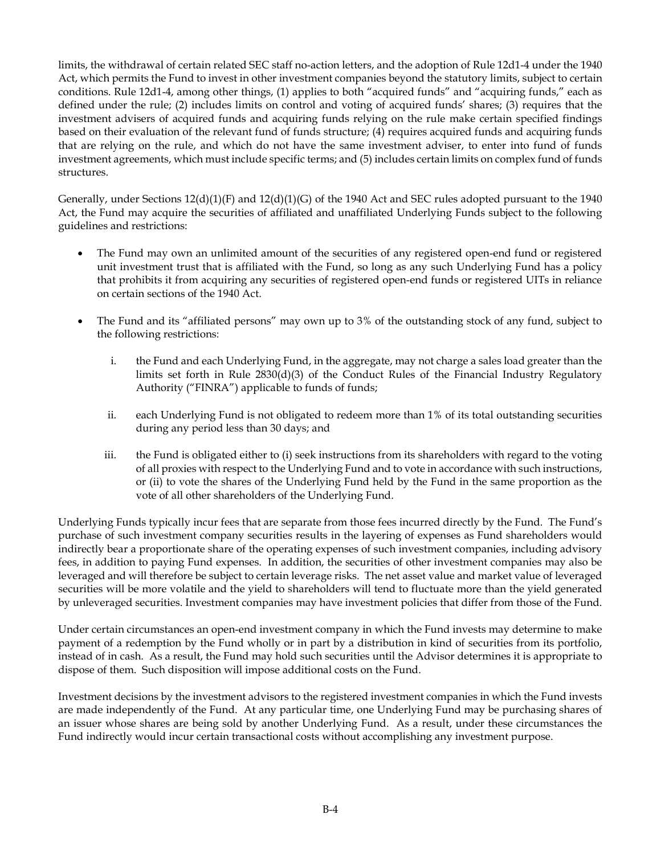limits, the withdrawal of certain related SEC staff no-action letters, and the adoption of Rule 12d1-4 under the 1940 Act, which permits the Fund to invest in other investment companies beyond the statutory limits, subject to certain conditions. Rule 12d1-4, among other things, (1) applies to both "acquired funds" and "acquiring funds," each as defined under the rule; (2) includes limits on control and voting of acquired funds' shares; (3) requires that the investment advisers of acquired funds and acquiring funds relying on the rule make certain specified findings based on their evaluation of the relevant fund of funds structure; (4) requires acquired funds and acquiring funds that are relying on the rule, and which do not have the same investment adviser, to enter into fund of funds investment agreements, which must include specific terms; and (5) includes certain limits on complex fund of funds structures.

Generally, under Sections 12(d)(1)(F) and 12(d)(1)(G) of the 1940 Act and SEC rules adopted pursuant to the 1940 Act, the Fund may acquire the securities of affiliated and unaffiliated Underlying Funds subject to the following guidelines and restrictions:

- The Fund may own an unlimited amount of the securities of any registered open-end fund or registered unit investment trust that is affiliated with the Fund, so long as any such Underlying Fund has a policy that prohibits it from acquiring any securities of registered open-end funds or registered UITs in reliance on certain sections of the 1940 Act.
- The Fund and its "affiliated persons" may own up to 3% of the outstanding stock of any fund, subject to the following restrictions:
	- i. the Fund and each Underlying Fund, in the aggregate, may not charge a sales load greater than the limits set forth in Rule 2830(d)(3) of the Conduct Rules of the Financial Industry Regulatory Authority ("FINRA") applicable to funds of funds;
	- ii. each Underlying Fund is not obligated to redeem more than 1% of its total outstanding securities during any period less than 30 days; and
	- iii. the Fund is obligated either to (i) seek instructions from its shareholders with regard to the voting of all proxies with respect to the Underlying Fund and to vote in accordance with such instructions, or (ii) to vote the shares of the Underlying Fund held by the Fund in the same proportion as the vote of all other shareholders of the Underlying Fund.

Underlying Funds typically incur fees that are separate from those fees incurred directly by the Fund. The Fund's purchase of such investment company securities results in the layering of expenses as Fund shareholders would indirectly bear a proportionate share of the operating expenses of such investment companies, including advisory fees, in addition to paying Fund expenses. In addition, the securities of other investment companies may also be leveraged and will therefore be subject to certain leverage risks. The net asset value and market value of leveraged securities will be more volatile and the yield to shareholders will tend to fluctuate more than the yield generated by unleveraged securities. Investment companies may have investment policies that differ from those of the Fund.

Under certain circumstances an open-end investment company in which the Fund invests may determine to make payment of a redemption by the Fund wholly or in part by a distribution in kind of securities from its portfolio, instead of in cash. As a result, the Fund may hold such securities until the Advisor determines it is appropriate to dispose of them. Such disposition will impose additional costs on the Fund.

Investment decisions by the investment advisors to the registered investment companies in which the Fund invests are made independently of the Fund. At any particular time, one Underlying Fund may be purchasing shares of an issuer whose shares are being sold by another Underlying Fund. As a result, under these circumstances the Fund indirectly would incur certain transactional costs without accomplishing any investment purpose.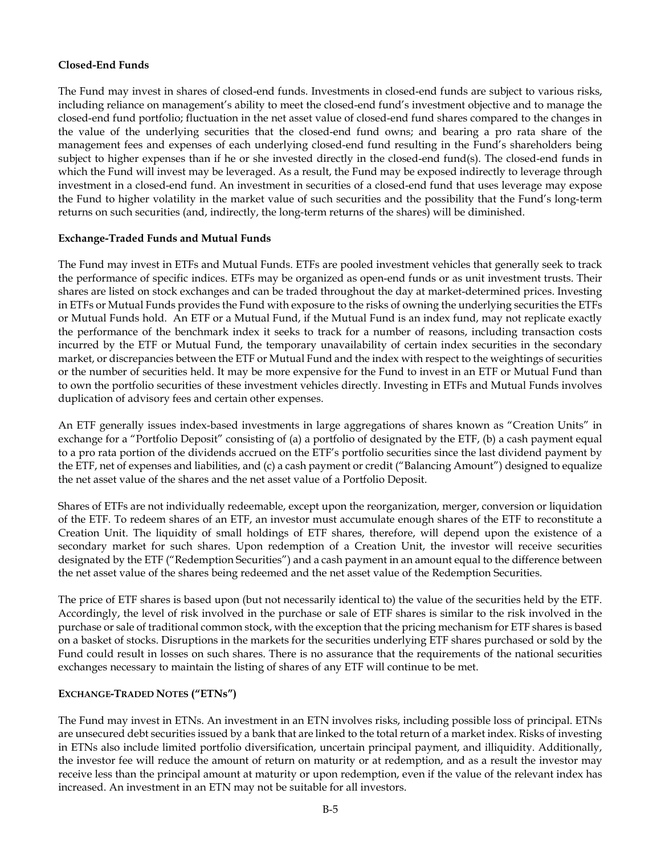## **Closed-End Funds**

The Fund may invest in shares of closed-end funds. Investments in closed-end funds are subject to various risks, including reliance on management's ability to meet the closed-end fund's investment objective and to manage the closed-end fund portfolio; fluctuation in the net asset value of closed-end fund shares compared to the changes in the value of the underlying securities that the closed-end fund owns; and bearing a pro rata share of the management fees and expenses of each underlying closed-end fund resulting in the Fund's shareholders being subject to higher expenses than if he or she invested directly in the closed-end fund(s). The closed-end funds in which the Fund will invest may be leveraged. As a result, the Fund may be exposed indirectly to leverage through investment in a closed-end fund. An investment in securities of a closed-end fund that uses leverage may expose the Fund to higher volatility in the market value of such securities and the possibility that the Fund's long-term returns on such securities (and, indirectly, the long-term returns of the shares) will be diminished.

## **Exchange-Traded Funds and Mutual Funds**

The Fund may invest in ETFs and Mutual Funds. ETFs are pooled investment vehicles that generally seek to track the performance of specific indices. ETFs may be organized as open-end funds or as unit investment trusts. Their shares are listed on stock exchanges and can be traded throughout the day at market-determined prices. Investing in ETFs or Mutual Funds provides the Fund with exposure to the risks of owning the underlying securities the ETFs or Mutual Funds hold. An ETF or a Mutual Fund, if the Mutual Fund is an index fund, may not replicate exactly the performance of the benchmark index it seeks to track for a number of reasons, including transaction costs incurred by the ETF or Mutual Fund, the temporary unavailability of certain index securities in the secondary market, or discrepancies between the ETF or Mutual Fund and the index with respect to the weightings of securities or the number of securities held. It may be more expensive for the Fund to invest in an ETF or Mutual Fund than to own the portfolio securities of these investment vehicles directly. Investing in ETFs and Mutual Funds involves duplication of advisory fees and certain other expenses.

An ETF generally issues index-based investments in large aggregations of shares known as "Creation Units" in exchange for a "Portfolio Deposit" consisting of (a) a portfolio of designated by the ETF, (b) a cash payment equal to a pro rata portion of the dividends accrued on the ETF's portfolio securities since the last dividend payment by the ETF, net of expenses and liabilities, and (c) a cash payment or credit ("Balancing Amount") designed to equalize the net asset value of the shares and the net asset value of a Portfolio Deposit.

Shares of ETFs are not individually redeemable, except upon the reorganization, merger, conversion or liquidation of the ETF. To redeem shares of an ETF, an investor must accumulate enough shares of the ETF to reconstitute a Creation Unit. The liquidity of small holdings of ETF shares, therefore, will depend upon the existence of a secondary market for such shares. Upon redemption of a Creation Unit, the investor will receive securities designated by the ETF ("Redemption Securities") and a cash payment in an amount equal to the difference between the net asset value of the shares being redeemed and the net asset value of the Redemption Securities.

The price of ETF shares is based upon (but not necessarily identical to) the value of the securities held by the ETF. Accordingly, the level of risk involved in the purchase or sale of ETF shares is similar to the risk involved in the purchase or sale of traditional common stock, with the exception that the pricing mechanism for ETF shares is based on a basket of stocks. Disruptions in the markets for the securities underlying ETF shares purchased or sold by the Fund could result in losses on such shares. There is no assurance that the requirements of the national securities exchanges necessary to maintain the listing of shares of any ETF will continue to be met.

## **EXCHANGE-TRADED NOTES ("ETNs")**

The Fund may invest in ETNs. An investment in an ETN involves risks, including possible loss of principal. ETNs are unsecured debt securities issued by a bank that are linked to the total return of a market index. Risks of investing in ETNs also include limited portfolio diversification, uncertain principal payment, and illiquidity. Additionally, the investor fee will reduce the amount of return on maturity or at redemption, and as a result the investor may receive less than the principal amount at maturity or upon redemption, even if the value of the relevant index has increased. An investment in an ETN may not be suitable for all investors.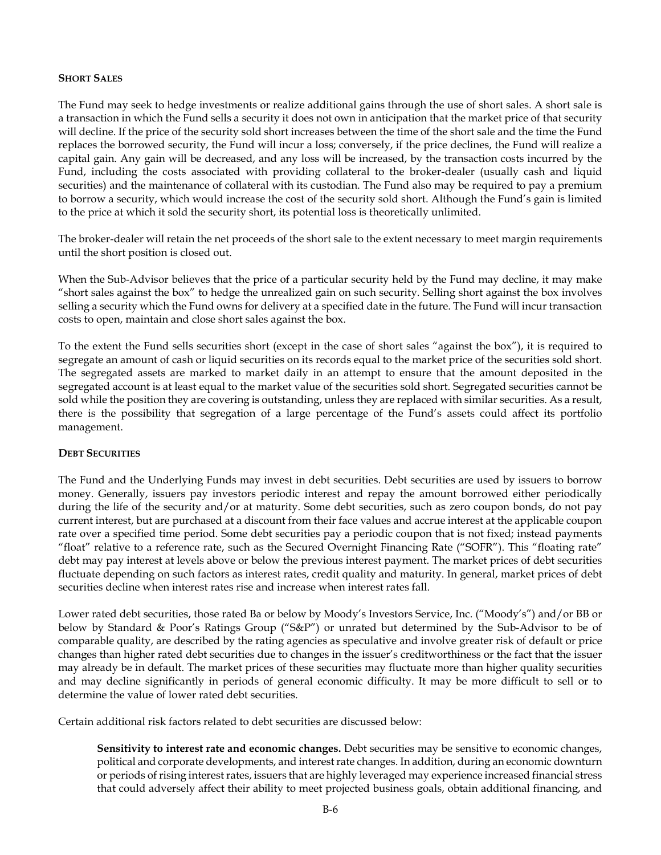#### **SHORT SALES**

The Fund may seek to hedge investments or realize additional gains through the use of short sales. A short sale is a transaction in which the Fund sells a security it does not own in anticipation that the market price of that security will decline. If the price of the security sold short increases between the time of the short sale and the time the Fund replaces the borrowed security, the Fund will incur a loss; conversely, if the price declines, the Fund will realize a capital gain. Any gain will be decreased, and any loss will be increased, by the transaction costs incurred by the Fund, including the costs associated with providing collateral to the broker-dealer (usually cash and liquid securities) and the maintenance of collateral with its custodian. The Fund also may be required to pay a premium to borrow a security, which would increase the cost of the security sold short. Although the Fund's gain is limited to the price at which it sold the security short, its potential loss is theoretically unlimited.

The broker-dealer will retain the net proceeds of the short sale to the extent necessary to meet margin requirements until the short position is closed out.

When the Sub-Advisor believes that the price of a particular security held by the Fund may decline, it may make "short sales against the box" to hedge the unrealized gain on such security. Selling short against the box involves selling a security which the Fund owns for delivery at a specified date in the future. The Fund will incur transaction costs to open, maintain and close short sales against the box.

To the extent the Fund sells securities short (except in the case of short sales "against the box"), it is required to segregate an amount of cash or liquid securities on its records equal to the market price of the securities sold short. The segregated assets are marked to market daily in an attempt to ensure that the amount deposited in the segregated account is at least equal to the market value of the securities sold short. Segregated securities cannot be sold while the position they are covering is outstanding, unless they are replaced with similar securities. As a result, there is the possibility that segregation of a large percentage of the Fund's assets could affect its portfolio management.

#### **DEBT SECURITIES**

The Fund and the Underlying Funds may invest in debt securities. Debt securities are used by issuers to borrow money. Generally, issuers pay investors periodic interest and repay the amount borrowed either periodically during the life of the security and/or at maturity. Some debt securities, such as zero coupon bonds, do not pay current interest, but are purchased at a discount from their face values and accrue interest at the applicable coupon rate over a specified time period. Some debt securities pay a periodic coupon that is not fixed; instead payments "float" relative to a reference rate, such as the Secured Overnight Financing Rate ("SOFR"). This "floating rate" debt may pay interest at levels above or below the previous interest payment. The market prices of debt securities fluctuate depending on such factors as interest rates, credit quality and maturity. In general, market prices of debt securities decline when interest rates rise and increase when interest rates fall.

Lower rated debt securities, those rated Ba or below by Moody's Investors Service, Inc. ("Moody's") and/or BB or below by Standard & Poor's Ratings Group ("S&P") or unrated but determined by the Sub-Advisor to be of comparable quality, are described by the rating agencies as speculative and involve greater risk of default or price changes than higher rated debt securities due to changes in the issuer's creditworthiness or the fact that the issuer may already be in default. The market prices of these securities may fluctuate more than higher quality securities and may decline significantly in periods of general economic difficulty. It may be more difficult to sell or to determine the value of lower rated debt securities.

Certain additional risk factors related to debt securities are discussed below:

**Sensitivity to interest rate and economic changes.** Debt securities may be sensitive to economic changes, political and corporate developments, and interest rate changes. In addition, during an economic downturn or periods of rising interest rates, issuers that are highly leveraged may experience increased financial stress that could adversely affect their ability to meet projected business goals, obtain additional financing, and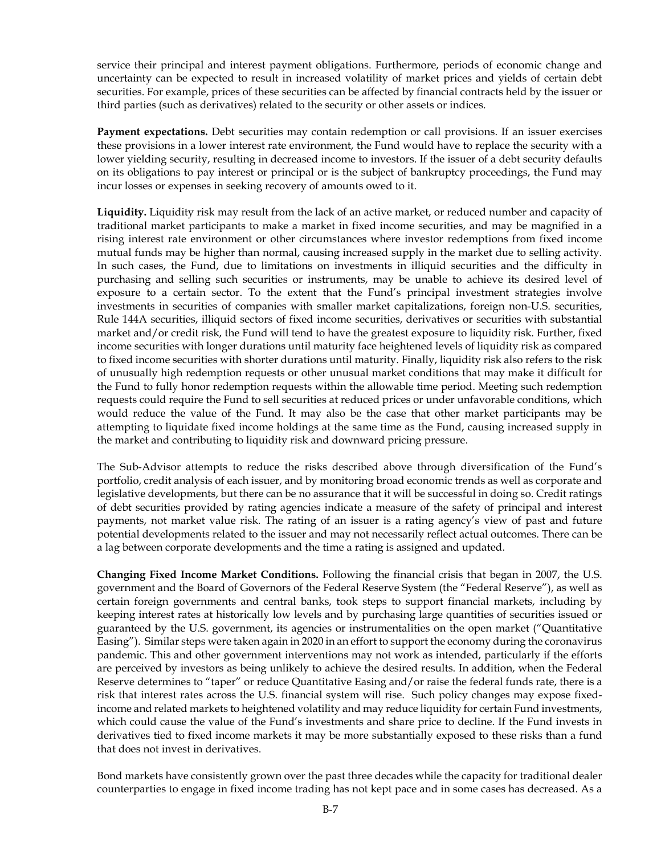service their principal and interest payment obligations. Furthermore, periods of economic change and uncertainty can be expected to result in increased volatility of market prices and yields of certain debt securities. For example, prices of these securities can be affected by financial contracts held by the issuer or third parties (such as derivatives) related to the security or other assets or indices.

**Payment expectations.** Debt securities may contain redemption or call provisions. If an issuer exercises these provisions in a lower interest rate environment, the Fund would have to replace the security with a lower yielding security, resulting in decreased income to investors. If the issuer of a debt security defaults on its obligations to pay interest or principal or is the subject of bankruptcy proceedings, the Fund may incur losses or expenses in seeking recovery of amounts owed to it.

**Liquidity.** Liquidity risk may result from the lack of an active market, or reduced number and capacity of traditional market participants to make a market in fixed income securities, and may be magnified in a rising interest rate environment or other circumstances where investor redemptions from fixed income mutual funds may be higher than normal, causing increased supply in the market due to selling activity. In such cases, the Fund, due to limitations on investments in illiquid securities and the difficulty in purchasing and selling such securities or instruments, may be unable to achieve its desired level of exposure to a certain sector. To the extent that the Fund's principal investment strategies involve investments in securities of companies with smaller market capitalizations, foreign non-U.S. securities, Rule 144A securities, illiquid sectors of fixed income securities, derivatives or securities with substantial market and/or credit risk, the Fund will tend to have the greatest exposure to liquidity risk. Further, fixed income securities with longer durations until maturity face heightened levels of liquidity risk as compared to fixed income securities with shorter durations until maturity. Finally, liquidity risk also refers to the risk of unusually high redemption requests or other unusual market conditions that may make it difficult for the Fund to fully honor redemption requests within the allowable time period. Meeting such redemption requests could require the Fund to sell securities at reduced prices or under unfavorable conditions, which would reduce the value of the Fund. It may also be the case that other market participants may be attempting to liquidate fixed income holdings at the same time as the Fund, causing increased supply in the market and contributing to liquidity risk and downward pricing pressure.

The Sub-Advisor attempts to reduce the risks described above through diversification of the Fund's portfolio, credit analysis of each issuer, and by monitoring broad economic trends as well as corporate and legislative developments, but there can be no assurance that it will be successful in doing so. Credit ratings of debt securities provided by rating agencies indicate a measure of the safety of principal and interest payments, not market value risk. The rating of an issuer is a rating agency's view of past and future potential developments related to the issuer and may not necessarily reflect actual outcomes. There can be a lag between corporate developments and the time a rating is assigned and updated.

**Changing Fixed Income Market Conditions.** Following the financial crisis that began in 2007, the U.S. government and the Board of Governors of the Federal Reserve System (the "Federal Reserve"), as well as certain foreign governments and central banks, took steps to support financial markets, including by keeping interest rates at historically low levels and by purchasing large quantities of securities issued or guaranteed by the U.S. government, its agencies or instrumentalities on the open market ("Quantitative Easing"). Similar steps were taken again in 2020 in an effort to support the economy during the coronavirus pandemic. This and other government interventions may not work as intended, particularly if the efforts are perceived by investors as being unlikely to achieve the desired results. In addition, when the Federal Reserve determines to "taper" or reduce Quantitative Easing and/or raise the federal funds rate, there is a risk that interest rates across the U.S. financial system will rise. Such policy changes may expose fixedincome and related markets to heightened volatility and may reduce liquidity for certain Fund investments, which could cause the value of the Fund's investments and share price to decline. If the Fund invests in derivatives tied to fixed income markets it may be more substantially exposed to these risks than a fund that does not invest in derivatives.

Bond markets have consistently grown over the past three decades while the capacity for traditional dealer counterparties to engage in fixed income trading has not kept pace and in some cases has decreased. As a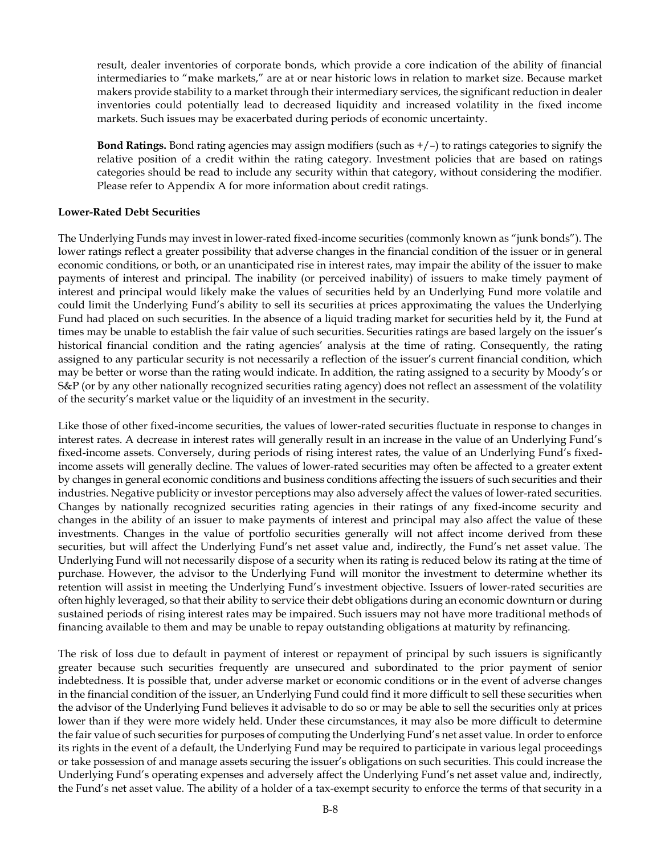result, dealer inventories of corporate bonds, which provide a core indication of the ability of financial intermediaries to "make markets," are at or near historic lows in relation to market size. Because market makers provide stability to a market through their intermediary services, the significant reduction in dealer inventories could potentially lead to decreased liquidity and increased volatility in the fixed income markets. Such issues may be exacerbated during periods of economic uncertainty.

**Bond Ratings.** Bond rating agencies may assign modifiers (such as +/–) to ratings categories to signify the relative position of a credit within the rating category. Investment policies that are based on ratings categories should be read to include any security within that category, without considering the modifier. Please refer to Appendix A for more information about credit ratings.

#### **Lower-Rated Debt Securities**

The Underlying Funds may invest in lower-rated fixed-income securities (commonly known as "junk bonds"). The lower ratings reflect a greater possibility that adverse changes in the financial condition of the issuer or in general economic conditions, or both, or an unanticipated rise in interest rates, may impair the ability of the issuer to make payments of interest and principal. The inability (or perceived inability) of issuers to make timely payment of interest and principal would likely make the values of securities held by an Underlying Fund more volatile and could limit the Underlying Fund's ability to sell its securities at prices approximating the values the Underlying Fund had placed on such securities. In the absence of a liquid trading market for securities held by it, the Fund at times may be unable to establish the fair value of such securities. Securities ratings are based largely on the issuer's historical financial condition and the rating agencies' analysis at the time of rating. Consequently, the rating assigned to any particular security is not necessarily a reflection of the issuer's current financial condition, which may be better or worse than the rating would indicate. In addition, the rating assigned to a security by Moody's or S&P (or by any other nationally recognized securities rating agency) does not reflect an assessment of the volatility of the security's market value or the liquidity of an investment in the security.

Like those of other fixed-income securities, the values of lower-rated securities fluctuate in response to changes in interest rates. A decrease in interest rates will generally result in an increase in the value of an Underlying Fund's fixed-income assets. Conversely, during periods of rising interest rates, the value of an Underlying Fund's fixedincome assets will generally decline. The values of lower-rated securities may often be affected to a greater extent by changes in general economic conditions and business conditions affecting the issuers of such securities and their industries. Negative publicity or investor perceptions may also adversely affect the values of lower-rated securities. Changes by nationally recognized securities rating agencies in their ratings of any fixed-income security and changes in the ability of an issuer to make payments of interest and principal may also affect the value of these investments. Changes in the value of portfolio securities generally will not affect income derived from these securities, but will affect the Underlying Fund's net asset value and, indirectly, the Fund's net asset value. The Underlying Fund will not necessarily dispose of a security when its rating is reduced below its rating at the time of purchase. However, the advisor to the Underlying Fund will monitor the investment to determine whether its retention will assist in meeting the Underlying Fund's investment objective. Issuers of lower-rated securities are often highly leveraged, so that their ability to service their debt obligations during an economic downturn or during sustained periods of rising interest rates may be impaired. Such issuers may not have more traditional methods of financing available to them and may be unable to repay outstanding obligations at maturity by refinancing.

The risk of loss due to default in payment of interest or repayment of principal by such issuers is significantly greater because such securities frequently are unsecured and subordinated to the prior payment of senior indebtedness. It is possible that, under adverse market or economic conditions or in the event of adverse changes in the financial condition of the issuer, an Underlying Fund could find it more difficult to sell these securities when the advisor of the Underlying Fund believes it advisable to do so or may be able to sell the securities only at prices lower than if they were more widely held. Under these circumstances, it may also be more difficult to determine the fair value of such securities for purposes of computing the Underlying Fund's net asset value. In order to enforce its rights in the event of a default, the Underlying Fund may be required to participate in various legal proceedings or take possession of and manage assets securing the issuer's obligations on such securities. This could increase the Underlying Fund's operating expenses and adversely affect the Underlying Fund's net asset value and, indirectly, the Fund's net asset value. The ability of a holder of a tax-exempt security to enforce the terms of that security in a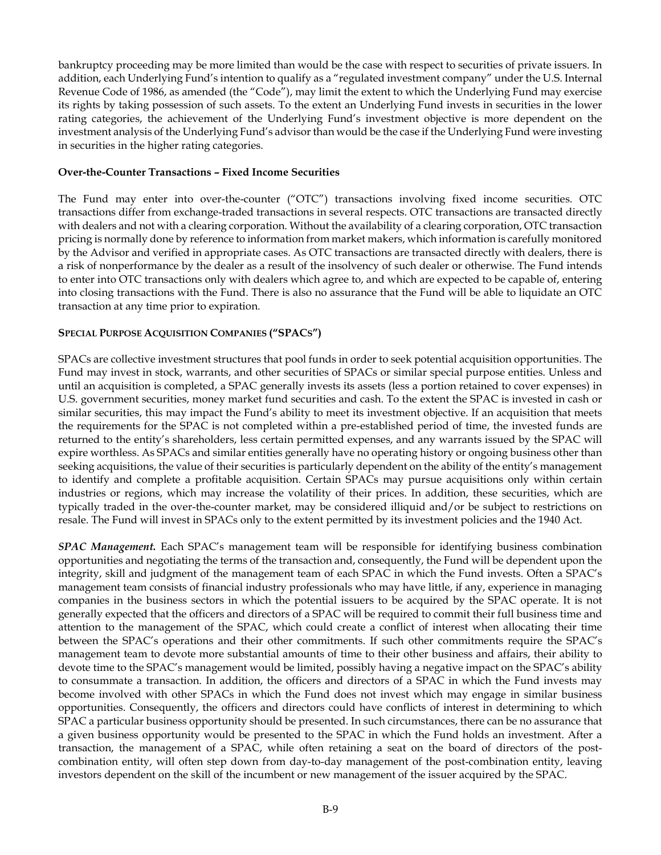bankruptcy proceeding may be more limited than would be the case with respect to securities of private issuers. In addition, each Underlying Fund's intention to qualify as a "regulated investment company" under the U.S. Internal Revenue Code of 1986, as amended (the "Code"), may limit the extent to which the Underlying Fund may exercise its rights by taking possession of such assets. To the extent an Underlying Fund invests in securities in the lower rating categories, the achievement of the Underlying Fund's investment objective is more dependent on the investment analysis of the Underlying Fund's advisor than would be the case if the Underlying Fund were investing in securities in the higher rating categories.

#### **Over-the-Counter Transactions – Fixed Income Securities**

The Fund may enter into over-the-counter ("OTC") transactions involving fixed income securities. OTC transactions differ from exchange-traded transactions in several respects. OTC transactions are transacted directly with dealers and not with a clearing corporation. Without the availability of a clearing corporation, OTC transaction pricing is normally done by reference to information from market makers, which information is carefully monitored by the Advisor and verified in appropriate cases. As OTC transactions are transacted directly with dealers, there is a risk of nonperformance by the dealer as a result of the insolvency of such dealer or otherwise. The Fund intends to enter into OTC transactions only with dealers which agree to, and which are expected to be capable of, entering into closing transactions with the Fund. There is also no assurance that the Fund will be able to liquidate an OTC transaction at any time prior to expiration.

## **SPECIAL PURPOSE ACQUISITION COMPANIES ("SPACS")**

SPACs are collective investment structures that pool funds in order to seek potential acquisition opportunities. The Fund may invest in stock, warrants, and other securities of SPACs or similar special purpose entities. Unless and until an acquisition is completed, a SPAC generally invests its assets (less a portion retained to cover expenses) in U.S. government securities, money market fund securities and cash. To the extent the SPAC is invested in cash or similar securities, this may impact the Fund's ability to meet its investment objective. If an acquisition that meets the requirements for the SPAC is not completed within a pre-established period of time, the invested funds are returned to the entity's shareholders, less certain permitted expenses, and any warrants issued by the SPAC will expire worthless. As SPACs and similar entities generally have no operating history or ongoing business other than seeking acquisitions, the value of their securities is particularly dependent on the ability of the entity's management to identify and complete a profitable acquisition. Certain SPACs may pursue acquisitions only within certain industries or regions, which may increase the volatility of their prices. In addition, these securities, which are typically traded in the over-the-counter market, may be considered illiquid and/or be subject to restrictions on resale. The Fund will invest in SPACs only to the extent permitted by its investment policies and the 1940 Act.

*SPAC Management.* Each SPAC's management team will be responsible for identifying business combination opportunities and negotiating the terms of the transaction and, consequently, the Fund will be dependent upon the integrity, skill and judgment of the management team of each SPAC in which the Fund invests. Often a SPAC's management team consists of financial industry professionals who may have little, if any, experience in managing companies in the business sectors in which the potential issuers to be acquired by the SPAC operate. It is not generally expected that the officers and directors of a SPAC will be required to commit their full business time and attention to the management of the SPAC, which could create a conflict of interest when allocating their time between the SPAC's operations and their other commitments. If such other commitments require the SPAC's management team to devote more substantial amounts of time to their other business and affairs, their ability to devote time to the SPAC's management would be limited, possibly having a negative impact on the SPAC's ability to consummate a transaction. In addition, the officers and directors of a SPAC in which the Fund invests may become involved with other SPACs in which the Fund does not invest which may engage in similar business opportunities. Consequently, the officers and directors could have conflicts of interest in determining to which SPAC a particular business opportunity should be presented. In such circumstances, there can be no assurance that a given business opportunity would be presented to the SPAC in which the Fund holds an investment. After a transaction, the management of a SPAC, while often retaining a seat on the board of directors of the postcombination entity, will often step down from day-to-day management of the post-combination entity, leaving investors dependent on the skill of the incumbent or new management of the issuer acquired by the SPAC.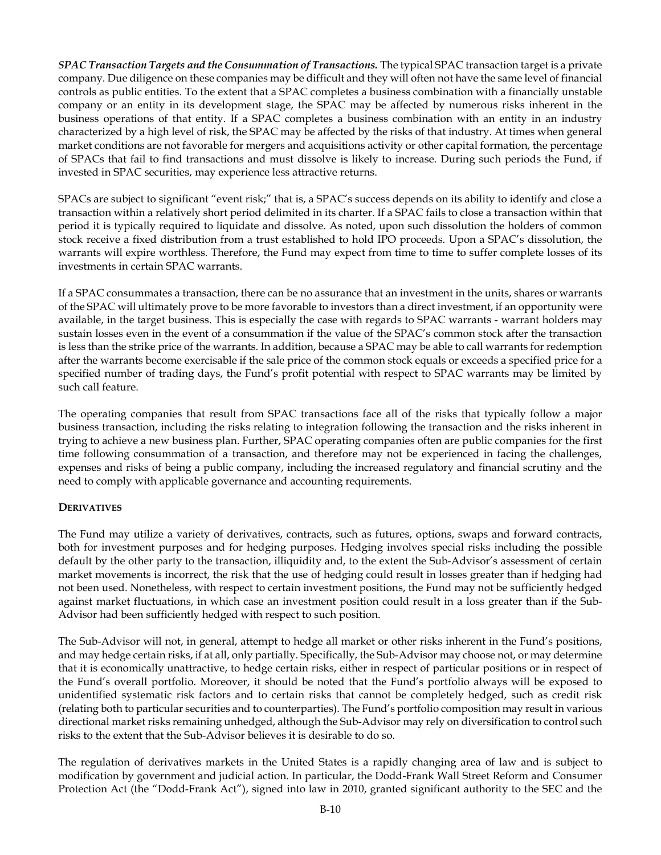*SPAC Transaction Targets and the Consummation of Transactions.* The typical SPAC transaction target is a private company. Due diligence on these companies may be difficult and they will often not have the same level of financial controls as public entities. To the extent that a SPAC completes a business combination with a financially unstable company or an entity in its development stage, the SPAC may be affected by numerous risks inherent in the business operations of that entity. If a SPAC completes a business combination with an entity in an industry characterized by a high level of risk, the SPAC may be affected by the risks of that industry. At times when general market conditions are not favorable for mergers and acquisitions activity or other capital formation, the percentage of SPACs that fail to find transactions and must dissolve is likely to increase. During such periods the Fund, if invested in SPAC securities, may experience less attractive returns.

SPACs are subject to significant "event risk;" that is, a SPAC's success depends on its ability to identify and close a transaction within a relatively short period delimited in its charter. If a SPAC fails to close a transaction within that period it is typically required to liquidate and dissolve. As noted, upon such dissolution the holders of common stock receive a fixed distribution from a trust established to hold IPO proceeds. Upon a SPAC's dissolution, the warrants will expire worthless. Therefore, the Fund may expect from time to time to suffer complete losses of its investments in certain SPAC warrants.

If a SPAC consummates a transaction, there can be no assurance that an investment in the units, shares or warrants of the SPAC will ultimately prove to be more favorable to investors than a direct investment, if an opportunity were available, in the target business. This is especially the case with regards to SPAC warrants - warrant holders may sustain losses even in the event of a consummation if the value of the SPAC's common stock after the transaction is less than the strike price of the warrants. In addition, because a SPAC may be able to call warrants for redemption after the warrants become exercisable if the sale price of the common stock equals or exceeds a specified price for a specified number of trading days, the Fund's profit potential with respect to SPAC warrants may be limited by such call feature.

The operating companies that result from SPAC transactions face all of the risks that typically follow a major business transaction, including the risks relating to integration following the transaction and the risks inherent in trying to achieve a new business plan. Further, SPAC operating companies often are public companies for the first time following consummation of a transaction, and therefore may not be experienced in facing the challenges, expenses and risks of being a public company, including the increased regulatory and financial scrutiny and the need to comply with applicable governance and accounting requirements.

## **DERIVATIVES**

The Fund may utilize a variety of derivatives, contracts, such as futures, options, swaps and forward contracts, both for investment purposes and for hedging purposes. Hedging involves special risks including the possible default by the other party to the transaction, illiquidity and, to the extent the Sub-Advisor's assessment of certain market movements is incorrect, the risk that the use of hedging could result in losses greater than if hedging had not been used. Nonetheless, with respect to certain investment positions, the Fund may not be sufficiently hedged against market fluctuations, in which case an investment position could result in a loss greater than if the Sub-Advisor had been sufficiently hedged with respect to such position.

The Sub-Advisor will not, in general, attempt to hedge all market or other risks inherent in the Fund's positions, and may hedge certain risks, if at all, only partially. Specifically, the Sub-Advisor may choose not, or may determine that it is economically unattractive, to hedge certain risks, either in respect of particular positions or in respect of the Fund's overall portfolio. Moreover, it should be noted that the Fund's portfolio always will be exposed to unidentified systematic risk factors and to certain risks that cannot be completely hedged, such as credit risk (relating both to particular securities and to counterparties). The Fund's portfolio composition may result in various directional market risks remaining unhedged, although the Sub-Advisor may rely on diversification to control such risks to the extent that the Sub-Advisor believes it is desirable to do so.

The regulation of derivatives markets in the United States is a rapidly changing area of law and is subject to modification by government and judicial action. In particular, the Dodd-Frank Wall Street Reform and Consumer Protection Act (the "Dodd-Frank Act"), signed into law in 2010, granted significant authority to the SEC and the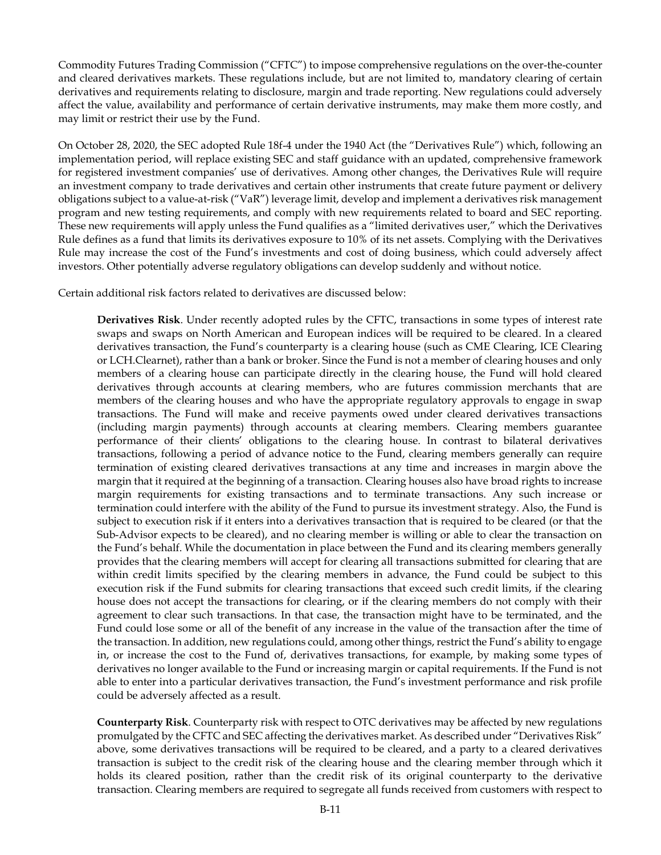Commodity Futures Trading Commission ("CFTC") to impose comprehensive regulations on the over-the-counter and cleared derivatives markets. These regulations include, but are not limited to, mandatory clearing of certain derivatives and requirements relating to disclosure, margin and trade reporting. New regulations could adversely affect the value, availability and performance of certain derivative instruments, may make them more costly, and may limit or restrict their use by the Fund.

On October 28, 2020, the SEC adopted Rule 18f-4 under the 1940 Act (the "Derivatives Rule") which, following an implementation period, will replace existing SEC and staff guidance with an updated, comprehensive framework for registered investment companies' use of derivatives. Among other changes, the Derivatives Rule will require an investment company to trade derivatives and certain other instruments that create future payment or delivery obligations subject to a value-at-risk ("VaR") leverage limit, develop and implement a derivatives risk management program and new testing requirements, and comply with new requirements related to board and SEC reporting. These new requirements will apply unless the Fund qualifies as a "limited derivatives user," which the Derivatives Rule defines as a fund that limits its derivatives exposure to 10% of its net assets. Complying with the Derivatives Rule may increase the cost of the Fund's investments and cost of doing business, which could adversely affect investors. Other potentially adverse regulatory obligations can develop suddenly and without notice.

Certain additional risk factors related to derivatives are discussed below:

**Derivatives Risk**. Under recently adopted rules by the CFTC, transactions in some types of interest rate swaps and swaps on North American and European indices will be required to be cleared. In a cleared derivatives transaction, the Fund's counterparty is a clearing house (such as CME Clearing, ICE Clearing or LCH.Clearnet), rather than a bank or broker. Since the Fund is not a member of clearing houses and only members of a clearing house can participate directly in the clearing house, the Fund will hold cleared derivatives through accounts at clearing members, who are futures commission merchants that are members of the clearing houses and who have the appropriate regulatory approvals to engage in swap transactions. The Fund will make and receive payments owed under cleared derivatives transactions (including margin payments) through accounts at clearing members. Clearing members guarantee performance of their clients' obligations to the clearing house. In contrast to bilateral derivatives transactions, following a period of advance notice to the Fund, clearing members generally can require termination of existing cleared derivatives transactions at any time and increases in margin above the margin that it required at the beginning of a transaction. Clearing houses also have broad rights to increase margin requirements for existing transactions and to terminate transactions. Any such increase or termination could interfere with the ability of the Fund to pursue its investment strategy. Also, the Fund is subject to execution risk if it enters into a derivatives transaction that is required to be cleared (or that the Sub-Advisor expects to be cleared), and no clearing member is willing or able to clear the transaction on the Fund's behalf. While the documentation in place between the Fund and its clearing members generally provides that the clearing members will accept for clearing all transactions submitted for clearing that are within credit limits specified by the clearing members in advance, the Fund could be subject to this execution risk if the Fund submits for clearing transactions that exceed such credit limits, if the clearing house does not accept the transactions for clearing, or if the clearing members do not comply with their agreement to clear such transactions. In that case, the transaction might have to be terminated, and the Fund could lose some or all of the benefit of any increase in the value of the transaction after the time of the transaction. In addition, new regulations could, among other things, restrict the Fund's ability to engage in, or increase the cost to the Fund of, derivatives transactions, for example, by making some types of derivatives no longer available to the Fund or increasing margin or capital requirements. If the Fund is not able to enter into a particular derivatives transaction, the Fund's investment performance and risk profile could be adversely affected as a result.

**Counterparty Risk**. Counterparty risk with respect to OTC derivatives may be affected by new regulations promulgated by the CFTC and SEC affecting the derivatives market. As described under "Derivatives Risk" above, some derivatives transactions will be required to be cleared, and a party to a cleared derivatives transaction is subject to the credit risk of the clearing house and the clearing member through which it holds its cleared position, rather than the credit risk of its original counterparty to the derivative transaction. Clearing members are required to segregate all funds received from customers with respect to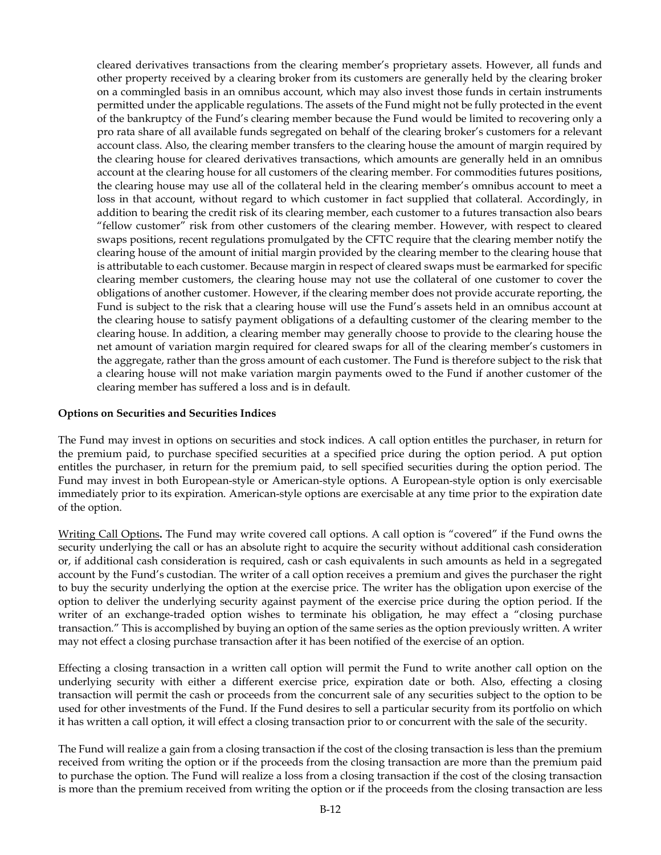cleared derivatives transactions from the clearing member's proprietary assets. However, all funds and other property received by a clearing broker from its customers are generally held by the clearing broker on a commingled basis in an omnibus account, which may also invest those funds in certain instruments permitted under the applicable regulations. The assets of the Fund might not be fully protected in the event of the bankruptcy of the Fund's clearing member because the Fund would be limited to recovering only a pro rata share of all available funds segregated on behalf of the clearing broker's customers for a relevant account class. Also, the clearing member transfers to the clearing house the amount of margin required by the clearing house for cleared derivatives transactions, which amounts are generally held in an omnibus account at the clearing house for all customers of the clearing member. For commodities futures positions, the clearing house may use all of the collateral held in the clearing member's omnibus account to meet a loss in that account, without regard to which customer in fact supplied that collateral. Accordingly, in addition to bearing the credit risk of its clearing member, each customer to a futures transaction also bears "fellow customer" risk from other customers of the clearing member. However, with respect to cleared swaps positions, recent regulations promulgated by the CFTC require that the clearing member notify the clearing house of the amount of initial margin provided by the clearing member to the clearing house that is attributable to each customer. Because margin in respect of cleared swaps must be earmarked for specific clearing member customers, the clearing house may not use the collateral of one customer to cover the obligations of another customer. However, if the clearing member does not provide accurate reporting, the Fund is subject to the risk that a clearing house will use the Fund's assets held in an omnibus account at the clearing house to satisfy payment obligations of a defaulting customer of the clearing member to the clearing house. In addition, a clearing member may generally choose to provide to the clearing house the net amount of variation margin required for cleared swaps for all of the clearing member's customers in the aggregate, rather than the gross amount of each customer. The Fund is therefore subject to the risk that a clearing house will not make variation margin payments owed to the Fund if another customer of the clearing member has suffered a loss and is in default.

## **Options on Securities and Securities Indices**

The Fund may invest in options on securities and stock indices. A call option entitles the purchaser, in return for the premium paid, to purchase specified securities at a specified price during the option period. A put option entitles the purchaser, in return for the premium paid, to sell specified securities during the option period. The Fund may invest in both European-style or American-style options. A European-style option is only exercisable immediately prior to its expiration. American-style options are exercisable at any time prior to the expiration date of the option.

Writing Call Options**.** The Fund may write covered call options. A call option is "covered" if the Fund owns the security underlying the call or has an absolute right to acquire the security without additional cash consideration or, if additional cash consideration is required, cash or cash equivalents in such amounts as held in a segregated account by the Fund's custodian. The writer of a call option receives a premium and gives the purchaser the right to buy the security underlying the option at the exercise price. The writer has the obligation upon exercise of the option to deliver the underlying security against payment of the exercise price during the option period. If the writer of an exchange-traded option wishes to terminate his obligation, he may effect a "closing purchase" transaction." This is accomplished by buying an option of the same series as the option previously written. A writer may not effect a closing purchase transaction after it has been notified of the exercise of an option.

Effecting a closing transaction in a written call option will permit the Fund to write another call option on the underlying security with either a different exercise price, expiration date or both. Also, effecting a closing transaction will permit the cash or proceeds from the concurrent sale of any securities subject to the option to be used for other investments of the Fund. If the Fund desires to sell a particular security from its portfolio on which it has written a call option, it will effect a closing transaction prior to or concurrent with the sale of the security.

The Fund will realize a gain from a closing transaction if the cost of the closing transaction is less than the premium received from writing the option or if the proceeds from the closing transaction are more than the premium paid to purchase the option. The Fund will realize a loss from a closing transaction if the cost of the closing transaction is more than the premium received from writing the option or if the proceeds from the closing transaction are less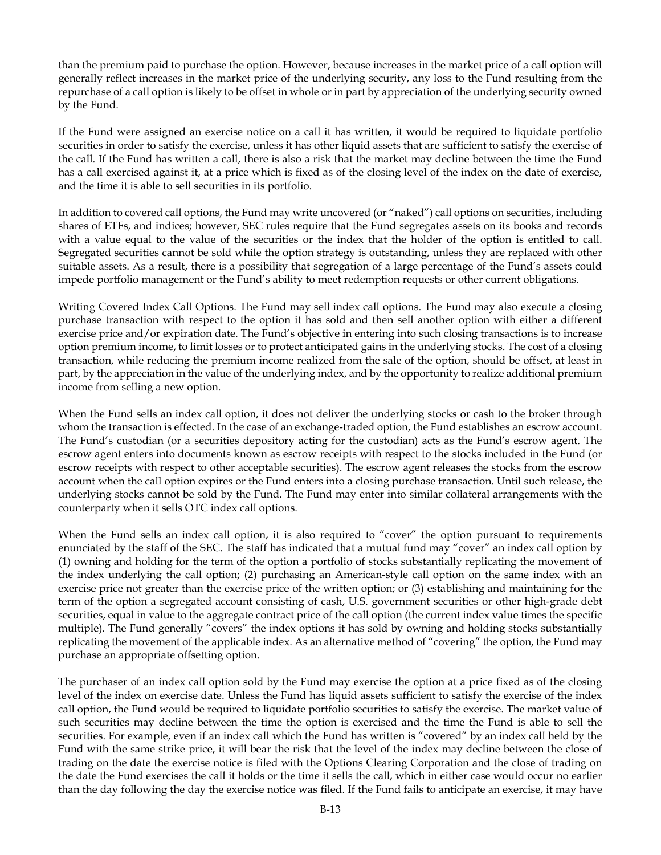than the premium paid to purchase the option. However, because increases in the market price of a call option will generally reflect increases in the market price of the underlying security, any loss to the Fund resulting from the repurchase of a call option is likely to be offset in whole or in part by appreciation of the underlying security owned by the Fund.

If the Fund were assigned an exercise notice on a call it has written, it would be required to liquidate portfolio securities in order to satisfy the exercise, unless it has other liquid assets that are sufficient to satisfy the exercise of the call. If the Fund has written a call, there is also a risk that the market may decline between the time the Fund has a call exercised against it, at a price which is fixed as of the closing level of the index on the date of exercise, and the time it is able to sell securities in its portfolio.

In addition to covered call options, the Fund may write uncovered (or "naked") call options on securities, including shares of ETFs, and indices; however, SEC rules require that the Fund segregates assets on its books and records with a value equal to the value of the securities or the index that the holder of the option is entitled to call. Segregated securities cannot be sold while the option strategy is outstanding, unless they are replaced with other suitable assets. As a result, there is a possibility that segregation of a large percentage of the Fund's assets could impede portfolio management or the Fund's ability to meet redemption requests or other current obligations.

Writing Covered Index Call Options. The Fund may sell index call options. The Fund may also execute a closing purchase transaction with respect to the option it has sold and then sell another option with either a different exercise price and/or expiration date. The Fund's objective in entering into such closing transactions is to increase option premium income, to limit losses or to protect anticipated gains in the underlying stocks. The cost of a closing transaction, while reducing the premium income realized from the sale of the option, should be offset, at least in part, by the appreciation in the value of the underlying index, and by the opportunity to realize additional premium income from selling a new option.

When the Fund sells an index call option, it does not deliver the underlying stocks or cash to the broker through whom the transaction is effected. In the case of an exchange-traded option, the Fund establishes an escrow account. The Fund's custodian (or a securities depository acting for the custodian) acts as the Fund's escrow agent. The escrow agent enters into documents known as escrow receipts with respect to the stocks included in the Fund (or escrow receipts with respect to other acceptable securities). The escrow agent releases the stocks from the escrow account when the call option expires or the Fund enters into a closing purchase transaction. Until such release, the underlying stocks cannot be sold by the Fund. The Fund may enter into similar collateral arrangements with the counterparty when it sells OTC index call options.

When the Fund sells an index call option, it is also required to "cover" the option pursuant to requirements enunciated by the staff of the SEC. The staff has indicated that a mutual fund may "cover" an index call option by (1) owning and holding for the term of the option a portfolio of stocks substantially replicating the movement of the index underlying the call option; (2) purchasing an American-style call option on the same index with an exercise price not greater than the exercise price of the written option; or (3) establishing and maintaining for the term of the option a segregated account consisting of cash, U.S. government securities or other high-grade debt securities, equal in value to the aggregate contract price of the call option (the current index value times the specific multiple). The Fund generally "covers" the index options it has sold by owning and holding stocks substantially replicating the movement of the applicable index. As an alternative method of "covering" the option, the Fund may purchase an appropriate offsetting option.

The purchaser of an index call option sold by the Fund may exercise the option at a price fixed as of the closing level of the index on exercise date. Unless the Fund has liquid assets sufficient to satisfy the exercise of the index call option, the Fund would be required to liquidate portfolio securities to satisfy the exercise. The market value of such securities may decline between the time the option is exercised and the time the Fund is able to sell the securities. For example, even if an index call which the Fund has written is "covered" by an index call held by the Fund with the same strike price, it will bear the risk that the level of the index may decline between the close of trading on the date the exercise notice is filed with the Options Clearing Corporation and the close of trading on the date the Fund exercises the call it holds or the time it sells the call, which in either case would occur no earlier than the day following the day the exercise notice was filed. If the Fund fails to anticipate an exercise, it may have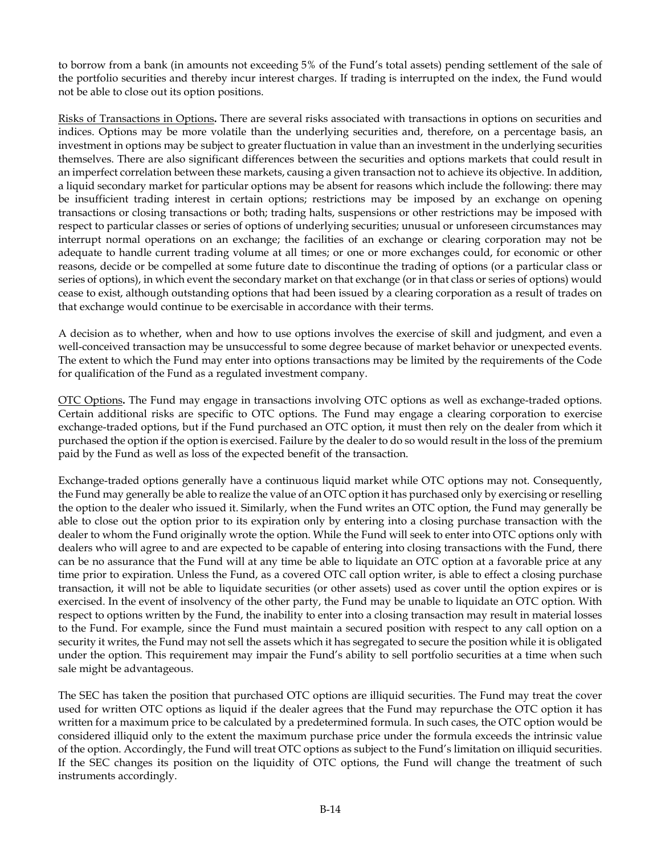to borrow from a bank (in amounts not exceeding 5% of the Fund's total assets) pending settlement of the sale of the portfolio securities and thereby incur interest charges. If trading is interrupted on the index, the Fund would not be able to close out its option positions.

Risks of Transactions in Options**.** There are several risks associated with transactions in options on securities and indices. Options may be more volatile than the underlying securities and, therefore, on a percentage basis, an investment in options may be subject to greater fluctuation in value than an investment in the underlying securities themselves. There are also significant differences between the securities and options markets that could result in an imperfect correlation between these markets, causing a given transaction not to achieve its objective. In addition, a liquid secondary market for particular options may be absent for reasons which include the following: there may be insufficient trading interest in certain options; restrictions may be imposed by an exchange on opening transactions or closing transactions or both; trading halts, suspensions or other restrictions may be imposed with respect to particular classes or series of options of underlying securities; unusual or unforeseen circumstances may interrupt normal operations on an exchange; the facilities of an exchange or clearing corporation may not be adequate to handle current trading volume at all times; or one or more exchanges could, for economic or other reasons, decide or be compelled at some future date to discontinue the trading of options (or a particular class or series of options), in which event the secondary market on that exchange (or in that class or series of options) would cease to exist, although outstanding options that had been issued by a clearing corporation as a result of trades on that exchange would continue to be exercisable in accordance with their terms.

A decision as to whether, when and how to use options involves the exercise of skill and judgment, and even a well-conceived transaction may be unsuccessful to some degree because of market behavior or unexpected events. The extent to which the Fund may enter into options transactions may be limited by the requirements of the Code for qualification of the Fund as a regulated investment company.

OTC Options**.** The Fund may engage in transactions involving OTC options as well as exchange-traded options. Certain additional risks are specific to OTC options. The Fund may engage a clearing corporation to exercise exchange-traded options, but if the Fund purchased an OTC option, it must then rely on the dealer from which it purchased the option if the option is exercised. Failure by the dealer to do so would result in the loss of the premium paid by the Fund as well as loss of the expected benefit of the transaction.

Exchange-traded options generally have a continuous liquid market while OTC options may not. Consequently, the Fund may generally be able to realize the value of an OTC option it has purchased only by exercising or reselling the option to the dealer who issued it. Similarly, when the Fund writes an OTC option, the Fund may generally be able to close out the option prior to its expiration only by entering into a closing purchase transaction with the dealer to whom the Fund originally wrote the option. While the Fund will seek to enter into OTC options only with dealers who will agree to and are expected to be capable of entering into closing transactions with the Fund, there can be no assurance that the Fund will at any time be able to liquidate an OTC option at a favorable price at any time prior to expiration. Unless the Fund, as a covered OTC call option writer, is able to effect a closing purchase transaction, it will not be able to liquidate securities (or other assets) used as cover until the option expires or is exercised. In the event of insolvency of the other party, the Fund may be unable to liquidate an OTC option. With respect to options written by the Fund, the inability to enter into a closing transaction may result in material losses to the Fund. For example, since the Fund must maintain a secured position with respect to any call option on a security it writes, the Fund may not sell the assets which it has segregated to secure the position while it is obligated under the option. This requirement may impair the Fund's ability to sell portfolio securities at a time when such sale might be advantageous.

The SEC has taken the position that purchased OTC options are illiquid securities. The Fund may treat the cover used for written OTC options as liquid if the dealer agrees that the Fund may repurchase the OTC option it has written for a maximum price to be calculated by a predetermined formula. In such cases, the OTC option would be considered illiquid only to the extent the maximum purchase price under the formula exceeds the intrinsic value of the option. Accordingly, the Fund will treat OTC options as subject to the Fund's limitation on illiquid securities. If the SEC changes its position on the liquidity of OTC options, the Fund will change the treatment of such instruments accordingly.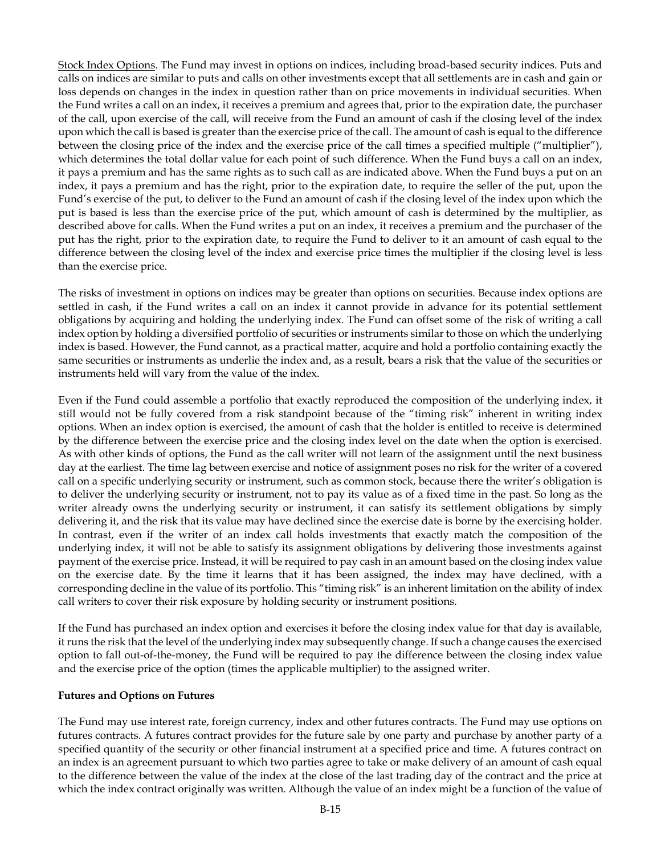Stock Index Options. The Fund may invest in options on indices, including broad-based security indices. Puts and calls on indices are similar to puts and calls on other investments except that all settlements are in cash and gain or loss depends on changes in the index in question rather than on price movements in individual securities. When the Fund writes a call on an index, it receives a premium and agrees that, prior to the expiration date, the purchaser of the call, upon exercise of the call, will receive from the Fund an amount of cash if the closing level of the index upon which the call is based is greater than the exercise price of the call. The amount of cash is equal to the difference between the closing price of the index and the exercise price of the call times a specified multiple ("multiplier"), which determines the total dollar value for each point of such difference. When the Fund buys a call on an index, it pays a premium and has the same rights as to such call as are indicated above. When the Fund buys a put on an index, it pays a premium and has the right, prior to the expiration date, to require the seller of the put, upon the Fund's exercise of the put, to deliver to the Fund an amount of cash if the closing level of the index upon which the put is based is less than the exercise price of the put, which amount of cash is determined by the multiplier, as described above for calls. When the Fund writes a put on an index, it receives a premium and the purchaser of the put has the right, prior to the expiration date, to require the Fund to deliver to it an amount of cash equal to the difference between the closing level of the index and exercise price times the multiplier if the closing level is less than the exercise price.

The risks of investment in options on indices may be greater than options on securities. Because index options are settled in cash, if the Fund writes a call on an index it cannot provide in advance for its potential settlement obligations by acquiring and holding the underlying index. The Fund can offset some of the risk of writing a call index option by holding a diversified portfolio of securities or instruments similar to those on which the underlying index is based. However, the Fund cannot, as a practical matter, acquire and hold a portfolio containing exactly the same securities or instruments as underlie the index and, as a result, bears a risk that the value of the securities or instruments held will vary from the value of the index.

Even if the Fund could assemble a portfolio that exactly reproduced the composition of the underlying index, it still would not be fully covered from a risk standpoint because of the "timing risk" inherent in writing index options. When an index option is exercised, the amount of cash that the holder is entitled to receive is determined by the difference between the exercise price and the closing index level on the date when the option is exercised. As with other kinds of options, the Fund as the call writer will not learn of the assignment until the next business day at the earliest. The time lag between exercise and notice of assignment poses no risk for the writer of a covered call on a specific underlying security or instrument, such as common stock, because there the writer's obligation is to deliver the underlying security or instrument, not to pay its value as of a fixed time in the past. So long as the writer already owns the underlying security or instrument, it can satisfy its settlement obligations by simply delivering it, and the risk that its value may have declined since the exercise date is borne by the exercising holder. In contrast, even if the writer of an index call holds investments that exactly match the composition of the underlying index, it will not be able to satisfy its assignment obligations by delivering those investments against payment of the exercise price. Instead, it will be required to pay cash in an amount based on the closing index value on the exercise date. By the time it learns that it has been assigned, the index may have declined, with a corresponding decline in the value of its portfolio. This "timing risk" is an inherent limitation on the ability of index call writers to cover their risk exposure by holding security or instrument positions.

If the Fund has purchased an index option and exercises it before the closing index value for that day is available, it runs the risk that the level of the underlying index may subsequently change. If such a change causes the exercised option to fall out-of-the-money, the Fund will be required to pay the difference between the closing index value and the exercise price of the option (times the applicable multiplier) to the assigned writer.

## **Futures and Options on Futures**

The Fund may use interest rate, foreign currency, index and other futures contracts. The Fund may use options on futures contracts. A futures contract provides for the future sale by one party and purchase by another party of a specified quantity of the security or other financial instrument at a specified price and time. A futures contract on an index is an agreement pursuant to which two parties agree to take or make delivery of an amount of cash equal to the difference between the value of the index at the close of the last trading day of the contract and the price at which the index contract originally was written. Although the value of an index might be a function of the value of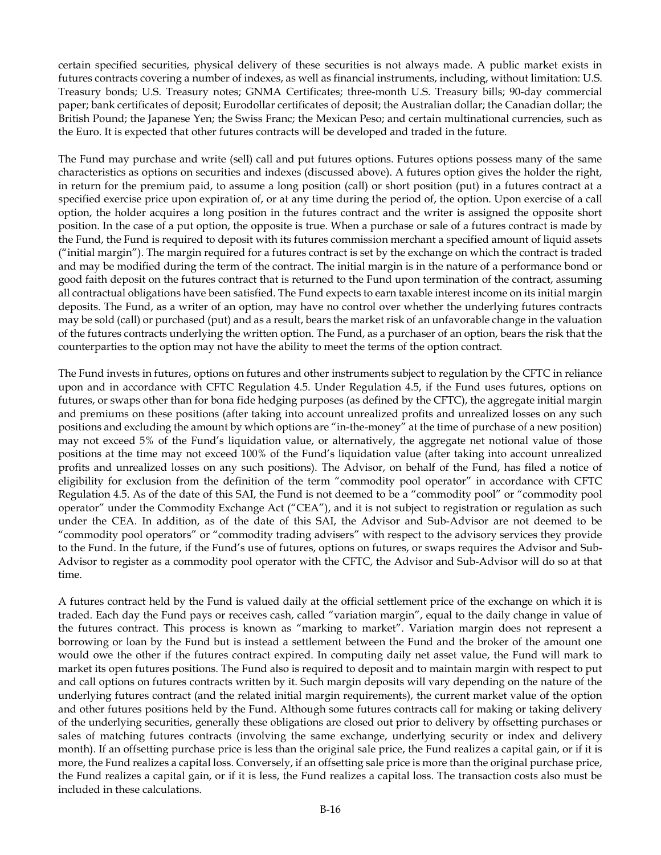certain specified securities, physical delivery of these securities is not always made. A public market exists in futures contracts covering a number of indexes, as well as financial instruments, including, without limitation: U.S. Treasury bonds; U.S. Treasury notes; GNMA Certificates; three-month U.S. Treasury bills; 90-day commercial paper; bank certificates of deposit; Eurodollar certificates of deposit; the Australian dollar; the Canadian dollar; the British Pound; the Japanese Yen; the Swiss Franc; the Mexican Peso; and certain multinational currencies, such as the Euro. It is expected that other futures contracts will be developed and traded in the future.

The Fund may purchase and write (sell) call and put futures options. Futures options possess many of the same characteristics as options on securities and indexes (discussed above). A futures option gives the holder the right, in return for the premium paid, to assume a long position (call) or short position (put) in a futures contract at a specified exercise price upon expiration of, or at any time during the period of, the option. Upon exercise of a call option, the holder acquires a long position in the futures contract and the writer is assigned the opposite short position. In the case of a put option, the opposite is true. When a purchase or sale of a futures contract is made by the Fund, the Fund is required to deposit with its futures commission merchant a specified amount of liquid assets ("initial margin"). The margin required for a futures contract is set by the exchange on which the contract is traded and may be modified during the term of the contract. The initial margin is in the nature of a performance bond or good faith deposit on the futures contract that is returned to the Fund upon termination of the contract, assuming all contractual obligations have been satisfied. The Fund expects to earn taxable interest income on its initial margin deposits. The Fund, as a writer of an option, may have no control over whether the underlying futures contracts may be sold (call) or purchased (put) and as a result, bears the market risk of an unfavorable change in the valuation of the futures contracts underlying the written option. The Fund, as a purchaser of an option, bears the risk that the counterparties to the option may not have the ability to meet the terms of the option contract.

The Fund invests in futures, options on futures and other instruments subject to regulation by the CFTC in reliance upon and in accordance with CFTC Regulation 4.5. Under Regulation 4.5, if the Fund uses futures, options on futures, or swaps other than for bona fide hedging purposes (as defined by the CFTC), the aggregate initial margin and premiums on these positions (after taking into account unrealized profits and unrealized losses on any such positions and excluding the amount by which options are "in-the-money" at the time of purchase of a new position) may not exceed 5% of the Fund's liquidation value, or alternatively, the aggregate net notional value of those positions at the time may not exceed 100% of the Fund's liquidation value (after taking into account unrealized profits and unrealized losses on any such positions). The Advisor, on behalf of the Fund, has filed a notice of eligibility for exclusion from the definition of the term "commodity pool operator" in accordance with CFTC Regulation 4.5. As of the date of this SAI, the Fund is not deemed to be a "commodity pool" or "commodity pool operator" under the Commodity Exchange Act ("CEA"), and it is not subject to registration or regulation as such under the CEA. In addition, as of the date of this SAI, the Advisor and Sub-Advisor are not deemed to be "commodity pool operators" or "commodity trading advisers" with respect to the advisory services they provide to the Fund. In the future, if the Fund's use of futures, options on futures, or swaps requires the Advisor and Sub-Advisor to register as a commodity pool operator with the CFTC, the Advisor and Sub-Advisor will do so at that time.

A futures contract held by the Fund is valued daily at the official settlement price of the exchange on which it is traded. Each day the Fund pays or receives cash, called "variation margin", equal to the daily change in value of the futures contract. This process is known as "marking to market". Variation margin does not represent a borrowing or loan by the Fund but is instead a settlement between the Fund and the broker of the amount one would owe the other if the futures contract expired. In computing daily net asset value, the Fund will mark to market its open futures positions. The Fund also is required to deposit and to maintain margin with respect to put and call options on futures contracts written by it. Such margin deposits will vary depending on the nature of the underlying futures contract (and the related initial margin requirements), the current market value of the option and other futures positions held by the Fund. Although some futures contracts call for making or taking delivery of the underlying securities, generally these obligations are closed out prior to delivery by offsetting purchases or sales of matching futures contracts (involving the same exchange, underlying security or index and delivery month). If an offsetting purchase price is less than the original sale price, the Fund realizes a capital gain, or if it is more, the Fund realizes a capital loss. Conversely, if an offsetting sale price is more than the original purchase price, the Fund realizes a capital gain, or if it is less, the Fund realizes a capital loss. The transaction costs also must be included in these calculations.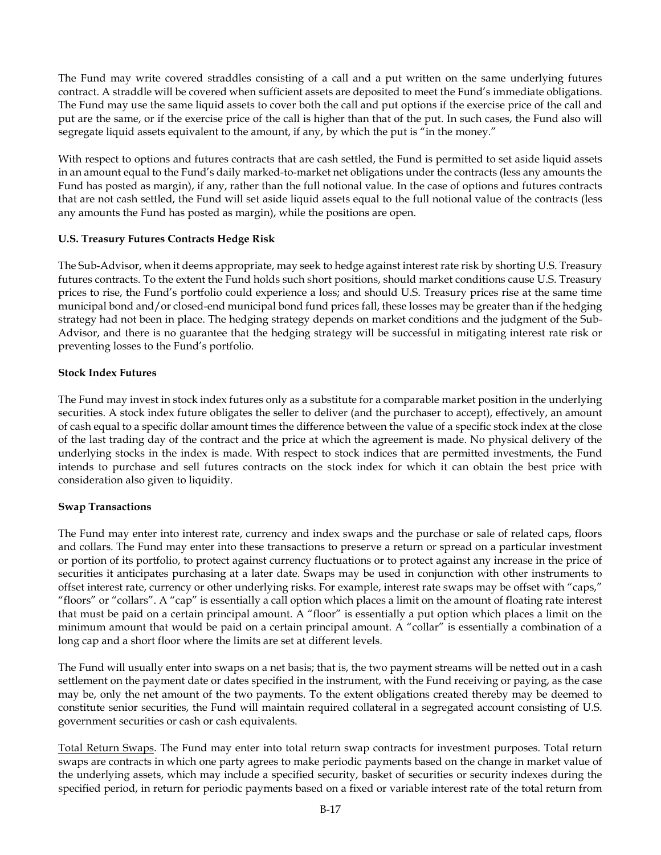The Fund may write covered straddles consisting of a call and a put written on the same underlying futures contract. A straddle will be covered when sufficient assets are deposited to meet the Fund's immediate obligations. The Fund may use the same liquid assets to cover both the call and put options if the exercise price of the call and put are the same, or if the exercise price of the call is higher than that of the put. In such cases, the Fund also will segregate liquid assets equivalent to the amount, if any, by which the put is "in the money."

With respect to options and futures contracts that are cash settled, the Fund is permitted to set aside liquid assets in an amount equal to the Fund's daily marked-to-market net obligations under the contracts (less any amounts the Fund has posted as margin), if any, rather than the full notional value. In the case of options and futures contracts that are not cash settled, the Fund will set aside liquid assets equal to the full notional value of the contracts (less any amounts the Fund has posted as margin), while the positions are open.

## **U.S. Treasury Futures Contracts Hedge Risk**

The Sub-Advisor, when it deems appropriate, may seek to hedge against interest rate risk by shorting U.S. Treasury futures contracts. To the extent the Fund holds such short positions, should market conditions cause U.S. Treasury prices to rise, the Fund's portfolio could experience a loss; and should U.S. Treasury prices rise at the same time municipal bond and/or closed-end municipal bond fund prices fall, these losses may be greater than if the hedging strategy had not been in place. The hedging strategy depends on market conditions and the judgment of the Sub-Advisor, and there is no guarantee that the hedging strategy will be successful in mitigating interest rate risk or preventing losses to the Fund's portfolio.

## **Stock Index Futures**

The Fund may invest in stock index futures only as a substitute for a comparable market position in the underlying securities. A stock index future obligates the seller to deliver (and the purchaser to accept), effectively, an amount of cash equal to a specific dollar amount times the difference between the value of a specific stock index at the close of the last trading day of the contract and the price at which the agreement is made. No physical delivery of the underlying stocks in the index is made. With respect to stock indices that are permitted investments, the Fund intends to purchase and sell futures contracts on the stock index for which it can obtain the best price with consideration also given to liquidity.

#### **Swap Transactions**

The Fund may enter into interest rate, currency and index swaps and the purchase or sale of related caps, floors and collars. The Fund may enter into these transactions to preserve a return or spread on a particular investment or portion of its portfolio, to protect against currency fluctuations or to protect against any increase in the price of securities it anticipates purchasing at a later date. Swaps may be used in conjunction with other instruments to offset interest rate, currency or other underlying risks. For example, interest rate swaps may be offset with "caps," "floors" or "collars". A "cap" is essentially a call option which places a limit on the amount of floating rate interest that must be paid on a certain principal amount. A "floor" is essentially a put option which places a limit on the minimum amount that would be paid on a certain principal amount. A "collar" is essentially a combination of a long cap and a short floor where the limits are set at different levels.

The Fund will usually enter into swaps on a net basis; that is, the two payment streams will be netted out in a cash settlement on the payment date or dates specified in the instrument, with the Fund receiving or paying, as the case may be, only the net amount of the two payments. To the extent obligations created thereby may be deemed to constitute senior securities, the Fund will maintain required collateral in a segregated account consisting of U.S. government securities or cash or cash equivalents.

Total Return Swaps. The Fund may enter into total return swap contracts for investment purposes. Total return swaps are contracts in which one party agrees to make periodic payments based on the change in market value of the underlying assets, which may include a specified security, basket of securities or security indexes during the specified period, in return for periodic payments based on a fixed or variable interest rate of the total return from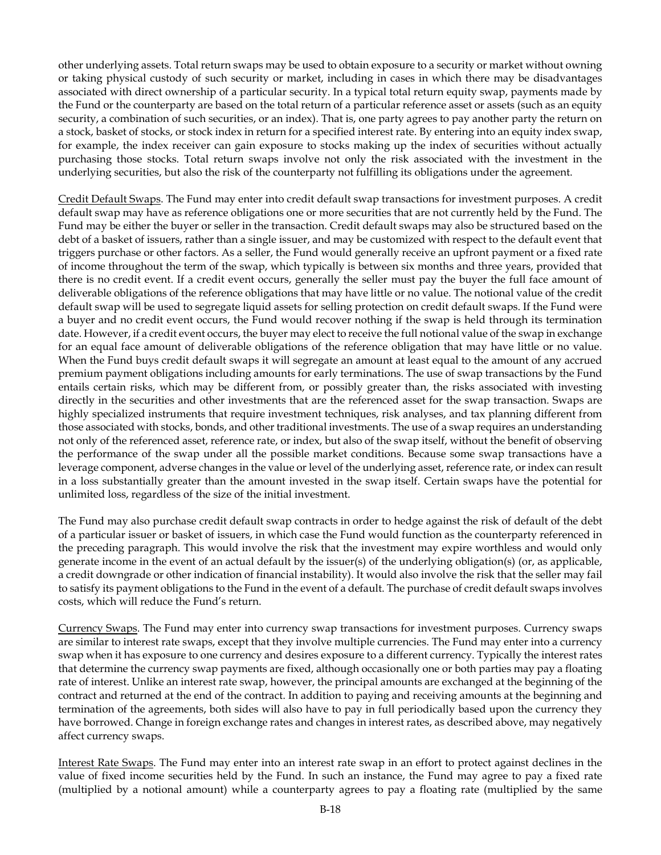other underlying assets. Total return swaps may be used to obtain exposure to a security or market without owning or taking physical custody of such security or market, including in cases in which there may be disadvantages associated with direct ownership of a particular security. In a typical total return equity swap, payments made by the Fund or the counterparty are based on the total return of a particular reference asset or assets (such as an equity security, a combination of such securities, or an index). That is, one party agrees to pay another party the return on a stock, basket of stocks, or stock index in return for a specified interest rate. By entering into an equity index swap, for example, the index receiver can gain exposure to stocks making up the index of securities without actually purchasing those stocks. Total return swaps involve not only the risk associated with the investment in the underlying securities, but also the risk of the counterparty not fulfilling its obligations under the agreement.

Credit Default Swaps. The Fund may enter into credit default swap transactions for investment purposes. A credit default swap may have as reference obligations one or more securities that are not currently held by the Fund. The Fund may be either the buyer or seller in the transaction. Credit default swaps may also be structured based on the debt of a basket of issuers, rather than a single issuer, and may be customized with respect to the default event that triggers purchase or other factors. As a seller, the Fund would generally receive an upfront payment or a fixed rate of income throughout the term of the swap, which typically is between six months and three years, provided that there is no credit event. If a credit event occurs, generally the seller must pay the buyer the full face amount of deliverable obligations of the reference obligations that may have little or no value. The notional value of the credit default swap will be used to segregate liquid assets for selling protection on credit default swaps. If the Fund were a buyer and no credit event occurs, the Fund would recover nothing if the swap is held through its termination date. However, if a credit event occurs, the buyer may elect to receive the full notional value of the swap in exchange for an equal face amount of deliverable obligations of the reference obligation that may have little or no value. When the Fund buys credit default swaps it will segregate an amount at least equal to the amount of any accrued premium payment obligations including amounts for early terminations. The use of swap transactions by the Fund entails certain risks, which may be different from, or possibly greater than, the risks associated with investing directly in the securities and other investments that are the referenced asset for the swap transaction. Swaps are highly specialized instruments that require investment techniques, risk analyses, and tax planning different from those associated with stocks, bonds, and other traditional investments. The use of a swap requires an understanding not only of the referenced asset, reference rate, or index, but also of the swap itself, without the benefit of observing the performance of the swap under all the possible market conditions. Because some swap transactions have a leverage component, adverse changes in the value or level of the underlying asset, reference rate, or index can result in a loss substantially greater than the amount invested in the swap itself. Certain swaps have the potential for unlimited loss, regardless of the size of the initial investment.

The Fund may also purchase credit default swap contracts in order to hedge against the risk of default of the debt of a particular issuer or basket of issuers, in which case the Fund would function as the counterparty referenced in the preceding paragraph. This would involve the risk that the investment may expire worthless and would only generate income in the event of an actual default by the issuer(s) of the underlying obligation(s) (or, as applicable, a credit downgrade or other indication of financial instability). It would also involve the risk that the seller may fail to satisfy its payment obligations to the Fund in the event of a default. The purchase of credit default swaps involves costs, which will reduce the Fund's return.

Currency Swaps. The Fund may enter into currency swap transactions for investment purposes. Currency swaps are similar to interest rate swaps, except that they involve multiple currencies. The Fund may enter into a currency swap when it has exposure to one currency and desires exposure to a different currency. Typically the interest rates that determine the currency swap payments are fixed, although occasionally one or both parties may pay a floating rate of interest. Unlike an interest rate swap, however, the principal amounts are exchanged at the beginning of the contract and returned at the end of the contract. In addition to paying and receiving amounts at the beginning and termination of the agreements, both sides will also have to pay in full periodically based upon the currency they have borrowed. Change in foreign exchange rates and changes in interest rates, as described above, may negatively affect currency swaps.

Interest Rate Swaps. The Fund may enter into an interest rate swap in an effort to protect against declines in the value of fixed income securities held by the Fund. In such an instance, the Fund may agree to pay a fixed rate (multiplied by a notional amount) while a counterparty agrees to pay a floating rate (multiplied by the same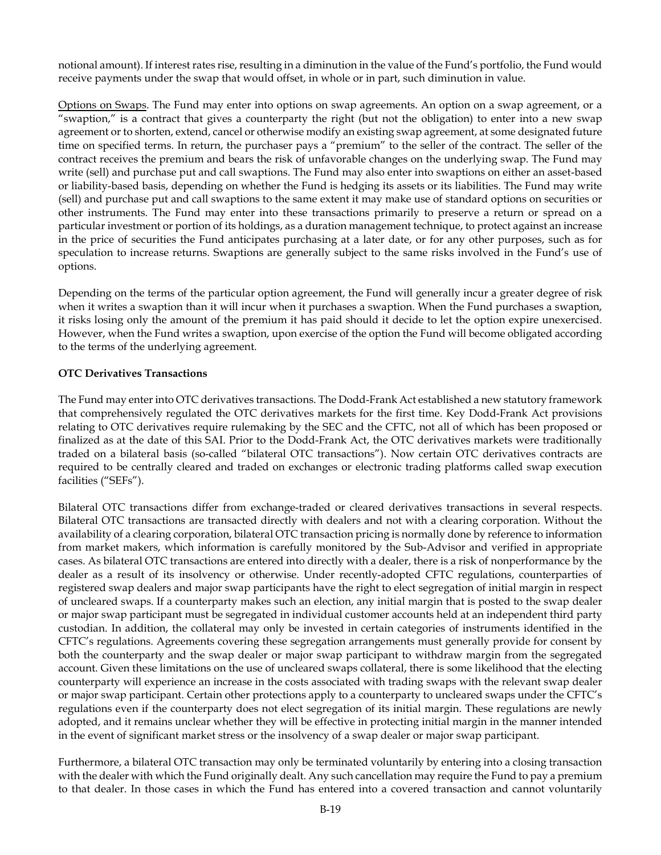notional amount). If interest rates rise, resulting in a diminution in the value of the Fund's portfolio, the Fund would receive payments under the swap that would offset, in whole or in part, such diminution in value.

Options on Swaps. The Fund may enter into options on swap agreements. An option on a swap agreement, or a "swaption," is a contract that gives a counterparty the right (but not the obligation) to enter into a new swap agreement or to shorten, extend, cancel or otherwise modify an existing swap agreement, at some designated future time on specified terms. In return, the purchaser pays a "premium" to the seller of the contract. The seller of the contract receives the premium and bears the risk of unfavorable changes on the underlying swap. The Fund may write (sell) and purchase put and call swaptions. The Fund may also enter into swaptions on either an asset-based or liability-based basis, depending on whether the Fund is hedging its assets or its liabilities. The Fund may write (sell) and purchase put and call swaptions to the same extent it may make use of standard options on securities or other instruments. The Fund may enter into these transactions primarily to preserve a return or spread on a particular investment or portion of its holdings, as a duration management technique, to protect against an increase in the price of securities the Fund anticipates purchasing at a later date, or for any other purposes, such as for speculation to increase returns. Swaptions are generally subject to the same risks involved in the Fund's use of options.

Depending on the terms of the particular option agreement, the Fund will generally incur a greater degree of risk when it writes a swaption than it will incur when it purchases a swaption. When the Fund purchases a swaption, it risks losing only the amount of the premium it has paid should it decide to let the option expire unexercised. However, when the Fund writes a swaption, upon exercise of the option the Fund will become obligated according to the terms of the underlying agreement.

## **OTC Derivatives Transactions**

The Fund may enter into OTC derivatives transactions. The Dodd-Frank Act established a new statutory framework that comprehensively regulated the OTC derivatives markets for the first time. Key Dodd-Frank Act provisions relating to OTC derivatives require rulemaking by the SEC and the CFTC, not all of which has been proposed or finalized as at the date of this SAI. Prior to the Dodd-Frank Act, the OTC derivatives markets were traditionally traded on a bilateral basis (so-called "bilateral OTC transactions"). Now certain OTC derivatives contracts are required to be centrally cleared and traded on exchanges or electronic trading platforms called swap execution facilities ("SEFs").

Bilateral OTC transactions differ from exchange-traded or cleared derivatives transactions in several respects. Bilateral OTC transactions are transacted directly with dealers and not with a clearing corporation. Without the availability of a clearing corporation, bilateral OTC transaction pricing is normally done by reference to information from market makers, which information is carefully monitored by the Sub-Advisor and verified in appropriate cases. As bilateral OTC transactions are entered into directly with a dealer, there is a risk of nonperformance by the dealer as a result of its insolvency or otherwise. Under recently-adopted CFTC regulations, counterparties of registered swap dealers and major swap participants have the right to elect segregation of initial margin in respect of uncleared swaps. If a counterparty makes such an election, any initial margin that is posted to the swap dealer or major swap participant must be segregated in individual customer accounts held at an independent third party custodian. In addition, the collateral may only be invested in certain categories of instruments identified in the CFTC's regulations. Agreements covering these segregation arrangements must generally provide for consent by both the counterparty and the swap dealer or major swap participant to withdraw margin from the segregated account. Given these limitations on the use of uncleared swaps collateral, there is some likelihood that the electing counterparty will experience an increase in the costs associated with trading swaps with the relevant swap dealer or major swap participant. Certain other protections apply to a counterparty to uncleared swaps under the CFTC's regulations even if the counterparty does not elect segregation of its initial margin. These regulations are newly adopted, and it remains unclear whether they will be effective in protecting initial margin in the manner intended in the event of significant market stress or the insolvency of a swap dealer or major swap participant.

Furthermore, a bilateral OTC transaction may only be terminated voluntarily by entering into a closing transaction with the dealer with which the Fund originally dealt. Any such cancellation may require the Fund to pay a premium to that dealer. In those cases in which the Fund has entered into a covered transaction and cannot voluntarily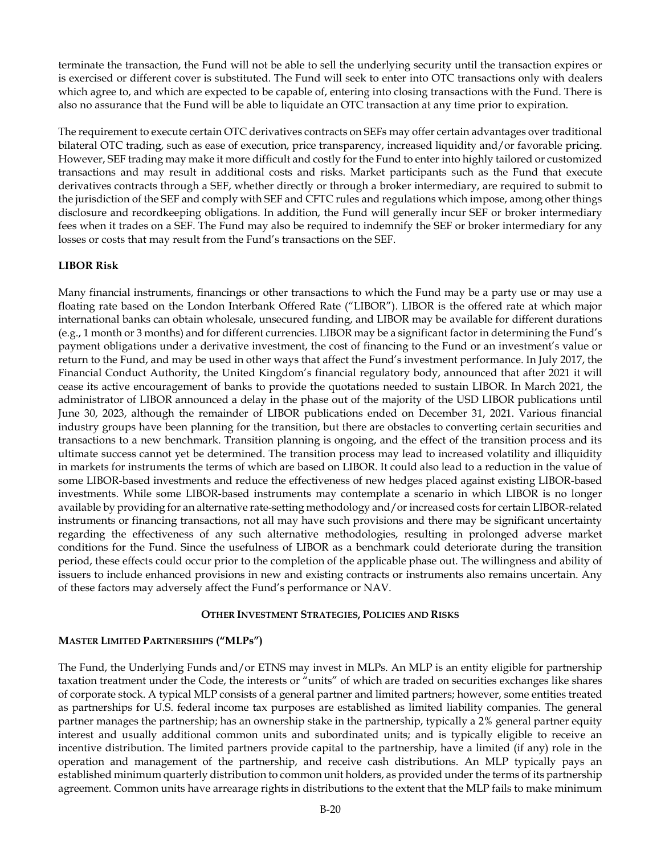terminate the transaction, the Fund will not be able to sell the underlying security until the transaction expires or is exercised or different cover is substituted. The Fund will seek to enter into OTC transactions only with dealers which agree to, and which are expected to be capable of, entering into closing transactions with the Fund. There is also no assurance that the Fund will be able to liquidate an OTC transaction at any time prior to expiration.

The requirement to execute certain OTC derivatives contracts on SEFs may offer certain advantages over traditional bilateral OTC trading, such as ease of execution, price transparency, increased liquidity and/or favorable pricing. However, SEF trading may make it more difficult and costly for the Fund to enter into highly tailored or customized transactions and may result in additional costs and risks. Market participants such as the Fund that execute derivatives contracts through a SEF, whether directly or through a broker intermediary, are required to submit to the jurisdiction of the SEF and comply with SEF and CFTC rules and regulations which impose, among other things disclosure and recordkeeping obligations. In addition, the Fund will generally incur SEF or broker intermediary fees when it trades on a SEF. The Fund may also be required to indemnify the SEF or broker intermediary for any losses or costs that may result from the Fund's transactions on the SEF.

## **LIBOR Risk**

Many financial instruments, financings or other transactions to which the Fund may be a party use or may use a floating rate based on the London Interbank Offered Rate ("LIBOR"). LIBOR is the offered rate at which major international banks can obtain wholesale, unsecured funding, and LIBOR may be available for different durations (e.g., 1 month or 3 months) and for different currencies. LIBOR may be a significant factor in determining the Fund's payment obligations under a derivative investment, the cost of financing to the Fund or an investment's value or return to the Fund, and may be used in other ways that affect the Fund's investment performance. In July 2017, the Financial Conduct Authority, the United Kingdom's financial regulatory body, announced that after 2021 it will cease its active encouragement of banks to provide the quotations needed to sustain LIBOR. In March 2021, the administrator of LIBOR announced a delay in the phase out of the majority of the USD LIBOR publications until June 30, 2023, although the remainder of LIBOR publications ended on December 31, 2021. Various financial industry groups have been planning for the transition, but there are obstacles to converting certain securities and transactions to a new benchmark. Transition planning is ongoing, and the effect of the transition process and its ultimate success cannot yet be determined. The transition process may lead to increased volatility and illiquidity in markets for instruments the terms of which are based on LIBOR. It could also lead to a reduction in the value of some LIBOR-based investments and reduce the effectiveness of new hedges placed against existing LIBOR-based investments. While some LIBOR-based instruments may contemplate a scenario in which LIBOR is no longer available by providing for an alternative rate-setting methodology and/or increased costs for certain LIBOR-related instruments or financing transactions, not all may have such provisions and there may be significant uncertainty regarding the effectiveness of any such alternative methodologies, resulting in prolonged adverse market conditions for the Fund. Since the usefulness of LIBOR as a benchmark could deteriorate during the transition period, these effects could occur prior to the completion of the applicable phase out. The willingness and ability of issuers to include enhanced provisions in new and existing contracts or instruments also remains uncertain. Any of these factors may adversely affect the Fund's performance or NAV.

#### **OTHER INVESTMENT STRATEGIES, POLICIES AND RISKS**

#### **MASTER LIMITED PARTNERSHIPS ("MLPs")**

The Fund, the Underlying Funds and/or ETNS may invest in MLPs. An MLP is an entity eligible for partnership taxation treatment under the Code, the interests or "units" of which are traded on securities exchanges like shares of corporate stock. A typical MLP consists of a general partner and limited partners; however, some entities treated as partnerships for U.S. federal income tax purposes are established as limited liability companies. The general partner manages the partnership; has an ownership stake in the partnership, typically a 2% general partner equity interest and usually additional common units and subordinated units; and is typically eligible to receive an incentive distribution. The limited partners provide capital to the partnership, have a limited (if any) role in the operation and management of the partnership, and receive cash distributions. An MLP typically pays an established minimum quarterly distribution to common unit holders, as provided under the terms of its partnership agreement. Common units have arrearage rights in distributions to the extent that the MLP fails to make minimum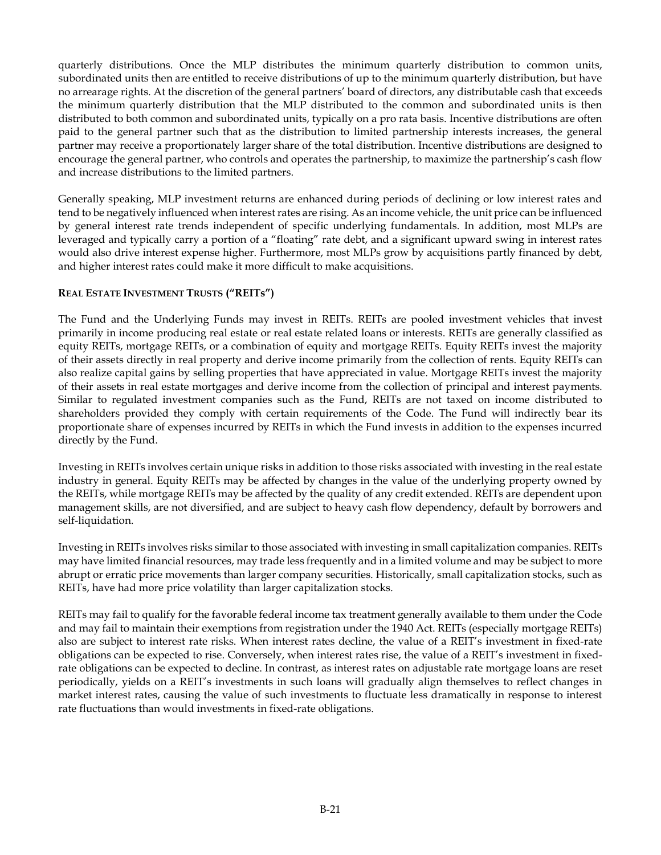quarterly distributions. Once the MLP distributes the minimum quarterly distribution to common units, subordinated units then are entitled to receive distributions of up to the minimum quarterly distribution, but have no arrearage rights. At the discretion of the general partners' board of directors, any distributable cash that exceeds the minimum quarterly distribution that the MLP distributed to the common and subordinated units is then distributed to both common and subordinated units, typically on a pro rata basis. Incentive distributions are often paid to the general partner such that as the distribution to limited partnership interests increases, the general partner may receive a proportionately larger share of the total distribution. Incentive distributions are designed to encourage the general partner, who controls and operates the partnership, to maximize the partnership's cash flow and increase distributions to the limited partners.

Generally speaking, MLP investment returns are enhanced during periods of declining or low interest rates and tend to be negatively influenced when interest rates are rising. As an income vehicle, the unit price can be influenced by general interest rate trends independent of specific underlying fundamentals. In addition, most MLPs are leveraged and typically carry a portion of a "floating" rate debt, and a significant upward swing in interest rates would also drive interest expense higher. Furthermore, most MLPs grow by acquisitions partly financed by debt, and higher interest rates could make it more difficult to make acquisitions.

# **REAL ESTATE INVESTMENT TRUSTS ("REITs")**

The Fund and the Underlying Funds may invest in REITs. REITs are pooled investment vehicles that invest primarily in income producing real estate or real estate related loans or interests. REITs are generally classified as equity REITs, mortgage REITs, or a combination of equity and mortgage REITs. Equity REITs invest the majority of their assets directly in real property and derive income primarily from the collection of rents. Equity REITs can also realize capital gains by selling properties that have appreciated in value. Mortgage REITs invest the majority of their assets in real estate mortgages and derive income from the collection of principal and interest payments. Similar to regulated investment companies such as the Fund, REITs are not taxed on income distributed to shareholders provided they comply with certain requirements of the Code. The Fund will indirectly bear its proportionate share of expenses incurred by REITs in which the Fund invests in addition to the expenses incurred directly by the Fund.

Investing in REITs involves certain unique risks in addition to those risks associated with investing in the real estate industry in general. Equity REITs may be affected by changes in the value of the underlying property owned by the REITs, while mortgage REITs may be affected by the quality of any credit extended. REITs are dependent upon management skills, are not diversified, and are subject to heavy cash flow dependency, default by borrowers and self-liquidation.

Investing in REITs involves risks similar to those associated with investing in small capitalization companies. REITs may have limited financial resources, may trade less frequently and in a limited volume and may be subject to more abrupt or erratic price movements than larger company securities. Historically, small capitalization stocks, such as REITs, have had more price volatility than larger capitalization stocks.

REITs may fail to qualify for the favorable federal income tax treatment generally available to them under the Code and may fail to maintain their exemptions from registration under the 1940 Act. REITs (especially mortgage REITs) also are subject to interest rate risks. When interest rates decline, the value of a REIT's investment in fixed-rate obligations can be expected to rise. Conversely, when interest rates rise, the value of a REIT's investment in fixedrate obligations can be expected to decline. In contrast, as interest rates on adjustable rate mortgage loans are reset periodically, yields on a REIT's investments in such loans will gradually align themselves to reflect changes in market interest rates, causing the value of such investments to fluctuate less dramatically in response to interest rate fluctuations than would investments in fixed-rate obligations.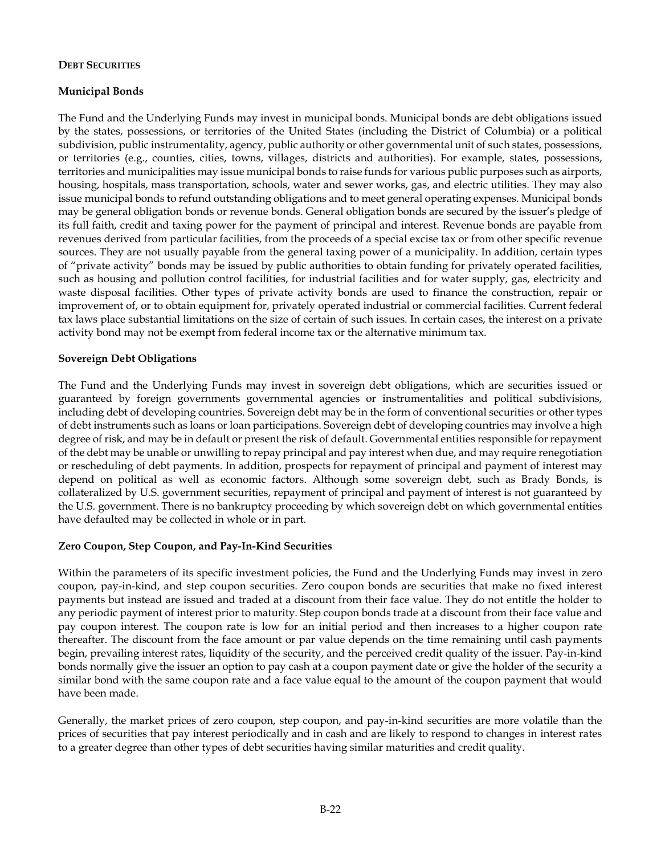## **DEBT SECURITIES**

## **Municipal Bonds**

The Fund and the Underlying Funds may invest in municipal bonds. Municipal bonds are debt obligations issued by the states, possessions, or territories of the United States (including the District of Columbia) or a political subdivision, public instrumentality, agency, public authority or other governmental unit of such states, possessions, or territories (e.g., counties, cities, towns, villages, districts and authorities). For example, states, possessions, territories and municipalities may issue municipal bonds to raise funds for various public purposes such as airports, housing, hospitals, mass transportation, schools, water and sewer works, gas, and electric utilities. They may also issue municipal bonds to refund outstanding obligations and to meet general operating expenses. Municipal bonds may be general obligation bonds or revenue bonds. General obligation bonds are secured by the issuer's pledge of its full faith, credit and taxing power for the payment of principal and interest. Revenue bonds are payable from revenues derived from particular facilities, from the proceeds of a special excise tax or from other specific revenue sources. They are not usually payable from the general taxing power of a municipality. In addition, certain types of "private activity" bonds may be issued by public authorities to obtain funding for privately operated facilities, such as housing and pollution control facilities, for industrial facilities and for water supply, gas, electricity and waste disposal facilities. Other types of private activity bonds are used to finance the construction, repair or improvement of, or to obtain equipment for, privately operated industrial or commercial facilities. Current federal tax laws place substantial limitations on the size of certain of such issues. In certain cases, the interest on a private activity bond may not be exempt from federal income tax or the alternative minimum tax.

#### **Sovereign Debt Obligations**

The Fund and the Underlying Funds may invest in sovereign debt obligations, which are securities issued or guaranteed by foreign governments governmental agencies or instrumentalities and political subdivisions, including debt of developing countries. Sovereign debt may be in the form of conventional securities or other types of debt instruments such as loans or loan participations. Sovereign debt of developing countries may involve a high degree of risk, and may be in default or present the risk of default. Governmental entities responsible for repayment of the debt may be unable or unwilling to repay principal and pay interest when due, and may require renegotiation or rescheduling of debt payments. In addition, prospects for repayment of principal and payment of interest may depend on political as well as economic factors. Although some sovereign debt, such as Brady Bonds, is collateralized by U.S. government securities, repayment of principal and payment of interest is not guaranteed by the U.S. government. There is no bankruptcy proceeding by which sovereign debt on which governmental entities have defaulted may be collected in whole or in part.

#### **Zero Coupon, Step Coupon, and Pay-In-Kind Securities**

Within the parameters of its specific investment policies, the Fund and the Underlying Funds may invest in zero coupon, pay-in-kind, and step coupon securities. Zero coupon bonds are securities that make no fixed interest payments but instead are issued and traded at a discount from their face value. They do not entitle the holder to any periodic payment of interest prior to maturity. Step coupon bonds trade at a discount from their face value and pay coupon interest. The coupon rate is low for an initial period and then increases to a higher coupon rate thereafter. The discount from the face amount or par value depends on the time remaining until cash payments begin, prevailing interest rates, liquidity of the security, and the perceived credit quality of the issuer. Pay-in-kind bonds normally give the issuer an option to pay cash at a coupon payment date or give the holder of the security a similar bond with the same coupon rate and a face value equal to the amount of the coupon payment that would have been made.

Generally, the market prices of zero coupon, step coupon, and pay-in-kind securities are more volatile than the prices of securities that pay interest periodically and in cash and are likely to respond to changes in interest rates to a greater degree than other types of debt securities having similar maturities and credit quality.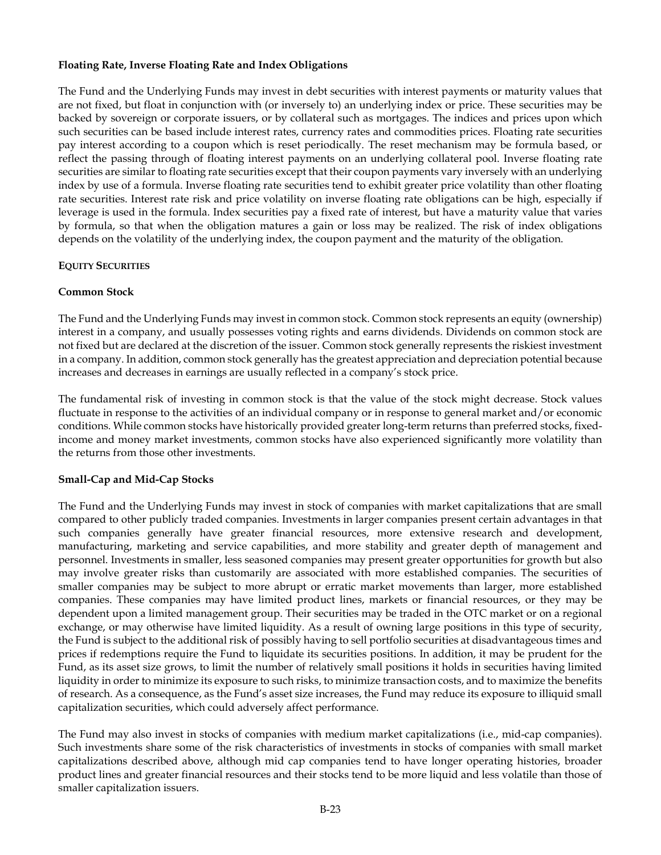## **Floating Rate, Inverse Floating Rate and Index Obligations**

The Fund and the Underlying Funds may invest in debt securities with interest payments or maturity values that are not fixed, but float in conjunction with (or inversely to) an underlying index or price. These securities may be backed by sovereign or corporate issuers, or by collateral such as mortgages. The indices and prices upon which such securities can be based include interest rates, currency rates and commodities prices. Floating rate securities pay interest according to a coupon which is reset periodically. The reset mechanism may be formula based, or reflect the passing through of floating interest payments on an underlying collateral pool. Inverse floating rate securities are similar to floating rate securities except that their coupon payments vary inversely with an underlying index by use of a formula. Inverse floating rate securities tend to exhibit greater price volatility than other floating rate securities. Interest rate risk and price volatility on inverse floating rate obligations can be high, especially if leverage is used in the formula. Index securities pay a fixed rate of interest, but have a maturity value that varies by formula, so that when the obligation matures a gain or loss may be realized. The risk of index obligations depends on the volatility of the underlying index, the coupon payment and the maturity of the obligation.

## **EQUITY SECURITIES**

## **Common Stock**

The Fund and the Underlying Funds may invest in common stock. Common stock represents an equity (ownership) interest in a company, and usually possesses voting rights and earns dividends. Dividends on common stock are not fixed but are declared at the discretion of the issuer. Common stock generally represents the riskiest investment in a company. In addition, common stock generally has the greatest appreciation and depreciation potential because increases and decreases in earnings are usually reflected in a company's stock price.

The fundamental risk of investing in common stock is that the value of the stock might decrease. Stock values fluctuate in response to the activities of an individual company or in response to general market and/or economic conditions. While common stocks have historically provided greater long-term returns than preferred stocks, fixedincome and money market investments, common stocks have also experienced significantly more volatility than the returns from those other investments.

# **Small-Cap and Mid-Cap Stocks**

The Fund and the Underlying Funds may invest in stock of companies with market capitalizations that are small compared to other publicly traded companies. Investments in larger companies present certain advantages in that such companies generally have greater financial resources, more extensive research and development, manufacturing, marketing and service capabilities, and more stability and greater depth of management and personnel. Investments in smaller, less seasoned companies may present greater opportunities for growth but also may involve greater risks than customarily are associated with more established companies. The securities of smaller companies may be subject to more abrupt or erratic market movements than larger, more established companies. These companies may have limited product lines, markets or financial resources, or they may be dependent upon a limited management group. Their securities may be traded in the OTC market or on a regional exchange, or may otherwise have limited liquidity. As a result of owning large positions in this type of security, the Fund is subject to the additional risk of possibly having to sell portfolio securities at disadvantageous times and prices if redemptions require the Fund to liquidate its securities positions. In addition, it may be prudent for the Fund, as its asset size grows, to limit the number of relatively small positions it holds in securities having limited liquidity in order to minimize its exposure to such risks, to minimize transaction costs, and to maximize the benefits of research. As a consequence, as the Fund's asset size increases, the Fund may reduce its exposure to illiquid small capitalization securities, which could adversely affect performance.

The Fund may also invest in stocks of companies with medium market capitalizations (i.e., mid-cap companies). Such investments share some of the risk characteristics of investments in stocks of companies with small market capitalizations described above, although mid cap companies tend to have longer operating histories, broader product lines and greater financial resources and their stocks tend to be more liquid and less volatile than those of smaller capitalization issuers.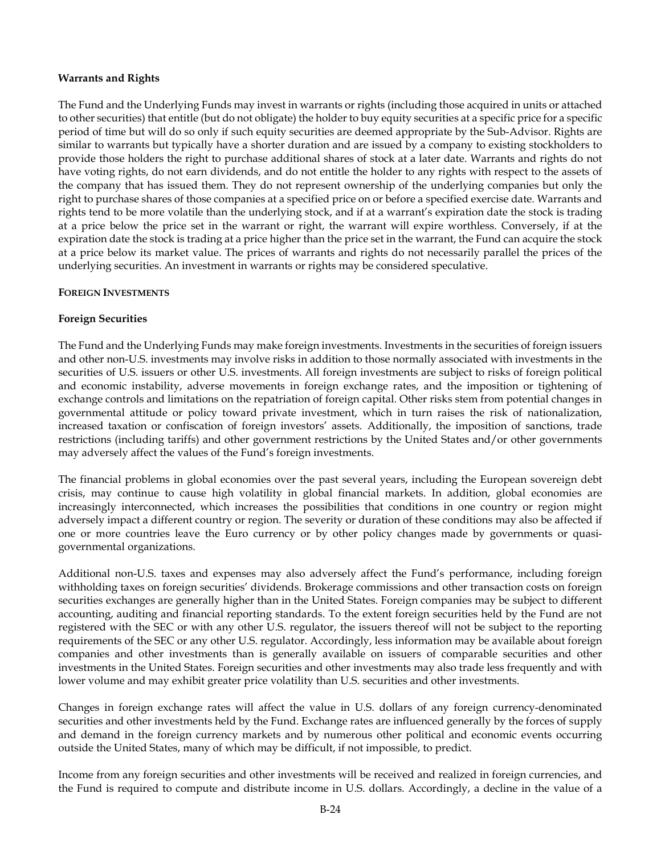### **Warrants and Rights**

The Fund and the Underlying Funds may invest in warrants or rights (including those acquired in units or attached to other securities) that entitle (but do not obligate) the holder to buy equity securities at a specific price for a specific period of time but will do so only if such equity securities are deemed appropriate by the Sub-Advisor. Rights are similar to warrants but typically have a shorter duration and are issued by a company to existing stockholders to provide those holders the right to purchase additional shares of stock at a later date. Warrants and rights do not have voting rights, do not earn dividends, and do not entitle the holder to any rights with respect to the assets of the company that has issued them. They do not represent ownership of the underlying companies but only the right to purchase shares of those companies at a specified price on or before a specified exercise date. Warrants and rights tend to be more volatile than the underlying stock, and if at a warrant's expiration date the stock is trading at a price below the price set in the warrant or right, the warrant will expire worthless. Conversely, if at the expiration date the stock is trading at a price higher than the price set in the warrant, the Fund can acquire the stock at a price below its market value. The prices of warrants and rights do not necessarily parallel the prices of the underlying securities. An investment in warrants or rights may be considered speculative.

#### **FOREIGN INVESTMENTS**

#### **Foreign Securities**

The Fund and the Underlying Funds may make foreign investments. Investments in the securities of foreign issuers and other non-U.S. investments may involve risks in addition to those normally associated with investments in the securities of U.S. issuers or other U.S. investments. All foreign investments are subject to risks of foreign political and economic instability, adverse movements in foreign exchange rates, and the imposition or tightening of exchange controls and limitations on the repatriation of foreign capital. Other risks stem from potential changes in governmental attitude or policy toward private investment, which in turn raises the risk of nationalization, increased taxation or confiscation of foreign investors' assets. Additionally, the imposition of sanctions, trade restrictions (including tariffs) and other government restrictions by the United States and/or other governments may adversely affect the values of the Fund's foreign investments.

The financial problems in global economies over the past several years, including the European sovereign debt crisis, may continue to cause high volatility in global financial markets. In addition, global economies are increasingly interconnected, which increases the possibilities that conditions in one country or region might adversely impact a different country or region. The severity or duration of these conditions may also be affected if one or more countries leave the Euro currency or by other policy changes made by governments or quasigovernmental organizations.

Additional non-U.S. taxes and expenses may also adversely affect the Fund's performance, including foreign withholding taxes on foreign securities' dividends. Brokerage commissions and other transaction costs on foreign securities exchanges are generally higher than in the United States. Foreign companies may be subject to different accounting, auditing and financial reporting standards. To the extent foreign securities held by the Fund are not registered with the SEC or with any other U.S. regulator, the issuers thereof will not be subject to the reporting requirements of the SEC or any other U.S. regulator. Accordingly, less information may be available about foreign companies and other investments than is generally available on issuers of comparable securities and other investments in the United States. Foreign securities and other investments may also trade less frequently and with lower volume and may exhibit greater price volatility than U.S. securities and other investments.

Changes in foreign exchange rates will affect the value in U.S. dollars of any foreign currency-denominated securities and other investments held by the Fund. Exchange rates are influenced generally by the forces of supply and demand in the foreign currency markets and by numerous other political and economic events occurring outside the United States, many of which may be difficult, if not impossible, to predict.

Income from any foreign securities and other investments will be received and realized in foreign currencies, and the Fund is required to compute and distribute income in U.S. dollars. Accordingly, a decline in the value of a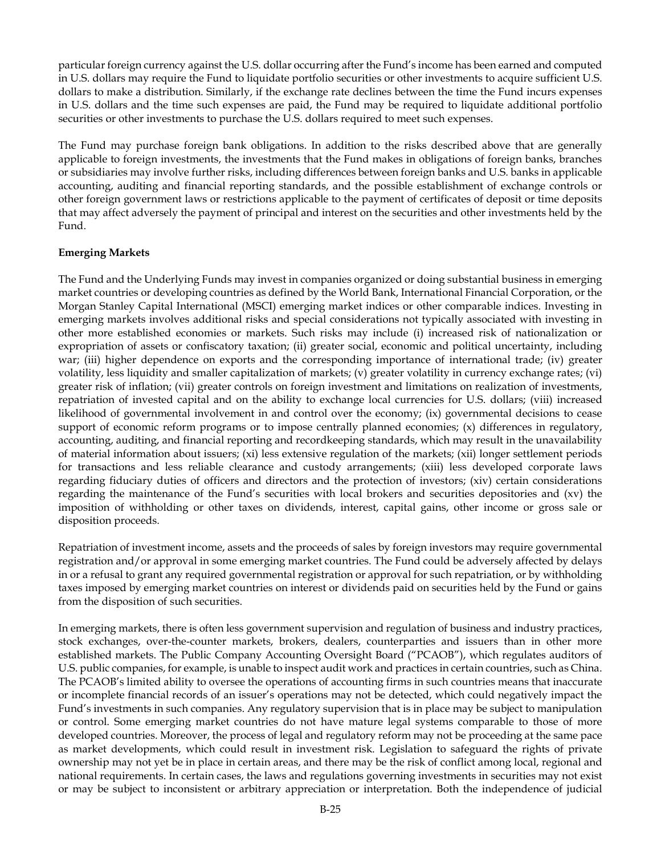particular foreign currency against the U.S. dollar occurring after the Fund's income has been earned and computed in U.S. dollars may require the Fund to liquidate portfolio securities or other investments to acquire sufficient U.S. dollars to make a distribution. Similarly, if the exchange rate declines between the time the Fund incurs expenses in U.S. dollars and the time such expenses are paid, the Fund may be required to liquidate additional portfolio securities or other investments to purchase the U.S. dollars required to meet such expenses.

The Fund may purchase foreign bank obligations. In addition to the risks described above that are generally applicable to foreign investments, the investments that the Fund makes in obligations of foreign banks, branches or subsidiaries may involve further risks, including differences between foreign banks and U.S. banks in applicable accounting, auditing and financial reporting standards, and the possible establishment of exchange controls or other foreign government laws or restrictions applicable to the payment of certificates of deposit or time deposits that may affect adversely the payment of principal and interest on the securities and other investments held by the Fund.

## **Emerging Markets**

The Fund and the Underlying Funds may invest in companies organized or doing substantial business in emerging market countries or developing countries as defined by the World Bank, International Financial Corporation, or the Morgan Stanley Capital International (MSCI) emerging market indices or other comparable indices. Investing in emerging markets involves additional risks and special considerations not typically associated with investing in other more established economies or markets. Such risks may include (i) increased risk of nationalization or expropriation of assets or confiscatory taxation; (ii) greater social, economic and political uncertainty, including war; (iii) higher dependence on exports and the corresponding importance of international trade; (iv) greater volatility, less liquidity and smaller capitalization of markets; (v) greater volatility in currency exchange rates; (vi) greater risk of inflation; (vii) greater controls on foreign investment and limitations on realization of investments, repatriation of invested capital and on the ability to exchange local currencies for U.S. dollars; (viii) increased likelihood of governmental involvement in and control over the economy; (ix) governmental decisions to cease support of economic reform programs or to impose centrally planned economies; (x) differences in regulatory, accounting, auditing, and financial reporting and recordkeeping standards, which may result in the unavailability of material information about issuers; (xi) less extensive regulation of the markets; (xii) longer settlement periods for transactions and less reliable clearance and custody arrangements; (xiii) less developed corporate laws regarding fiduciary duties of officers and directors and the protection of investors; (xiv) certain considerations regarding the maintenance of the Fund's securities with local brokers and securities depositories and (xv) the imposition of withholding or other taxes on dividends, interest, capital gains, other income or gross sale or disposition proceeds.

Repatriation of investment income, assets and the proceeds of sales by foreign investors may require governmental registration and/or approval in some emerging market countries. The Fund could be adversely affected by delays in or a refusal to grant any required governmental registration or approval for such repatriation, or by withholding taxes imposed by emerging market countries on interest or dividends paid on securities held by the Fund or gains from the disposition of such securities.

In emerging markets, there is often less government supervision and regulation of business and industry practices, stock exchanges, over-the-counter markets, brokers, dealers, counterparties and issuers than in other more established markets. The Public Company Accounting Oversight Board ("PCAOB"), which regulates auditors of U.S. public companies, for example, is unable to inspect audit work and practices in certain countries, such as China. The PCAOB's limited ability to oversee the operations of accounting firms in such countries means that inaccurate or incomplete financial records of an issuer's operations may not be detected, which could negatively impact the Fund's investments in such companies. Any regulatory supervision that is in place may be subject to manipulation or control. Some emerging market countries do not have mature legal systems comparable to those of more developed countries. Moreover, the process of legal and regulatory reform may not be proceeding at the same pace as market developments, which could result in investment risk. Legislation to safeguard the rights of private ownership may not yet be in place in certain areas, and there may be the risk of conflict among local, regional and national requirements. In certain cases, the laws and regulations governing investments in securities may not exist or may be subject to inconsistent or arbitrary appreciation or interpretation. Both the independence of judicial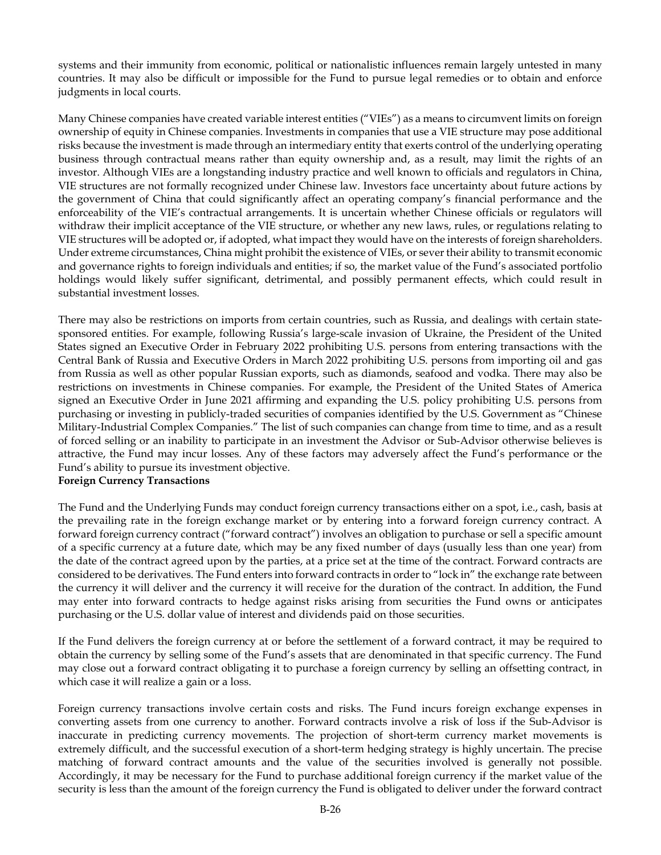systems and their immunity from economic, political or nationalistic influences remain largely untested in many countries. It may also be difficult or impossible for the Fund to pursue legal remedies or to obtain and enforce judgments in local courts.

Many Chinese companies have created variable interest entities ("VIEs") as a means to circumvent limits on foreign ownership of equity in Chinese companies. Investments in companies that use a VIE structure may pose additional risks because the investment is made through an intermediary entity that exerts control of the underlying operating business through contractual means rather than equity ownership and, as a result, may limit the rights of an investor. Although VIEs are a longstanding industry practice and well known to officials and regulators in China, VIE structures are not formally recognized under Chinese law. Investors face uncertainty about future actions by the government of China that could significantly affect an operating company's financial performance and the enforceability of the VIE's contractual arrangements. It is uncertain whether Chinese officials or regulators will withdraw their implicit acceptance of the VIE structure, or whether any new laws, rules, or regulations relating to VIE structures will be adopted or, if adopted, what impact they would have on the interests of foreign shareholders. Under extreme circumstances, China might prohibit the existence of VIEs, or sever their ability to transmit economic and governance rights to foreign individuals and entities; if so, the market value of the Fund's associated portfolio holdings would likely suffer significant, detrimental, and possibly permanent effects, which could result in substantial investment losses.

There may also be restrictions on imports from certain countries, such as Russia, and dealings with certain statesponsored entities. For example, following Russia's large-scale invasion of Ukraine, the President of the United States signed an Executive Order in February 2022 prohibiting U.S. persons from entering transactions with the Central Bank of Russia and Executive Orders in March 2022 prohibiting U.S. persons from importing oil and gas from Russia as well as other popular Russian exports, such as diamonds, seafood and vodka. There may also be restrictions on investments in Chinese companies. For example, the President of the United States of America signed an Executive Order in June 2021 affirming and expanding the U.S. policy prohibiting U.S. persons from purchasing or investing in publicly-traded securities of companies identified by the U.S. Government as "Chinese Military-Industrial Complex Companies." The list of such companies can change from time to time, and as a result of forced selling or an inability to participate in an investment the Advisor or Sub-Advisor otherwise believes is attractive, the Fund may incur losses. Any of these factors may adversely affect the Fund's performance or the Fund's ability to pursue its investment objective.

#### **Foreign Currency Transactions**

The Fund and the Underlying Funds may conduct foreign currency transactions either on a spot, i.e., cash, basis at the prevailing rate in the foreign exchange market or by entering into a forward foreign currency contract. A forward foreign currency contract ("forward contract") involves an obligation to purchase or sell a specific amount of a specific currency at a future date, which may be any fixed number of days (usually less than one year) from the date of the contract agreed upon by the parties, at a price set at the time of the contract. Forward contracts are considered to be derivatives. The Fund enters into forward contracts in order to "lock in" the exchange rate between the currency it will deliver and the currency it will receive for the duration of the contract. In addition, the Fund may enter into forward contracts to hedge against risks arising from securities the Fund owns or anticipates purchasing or the U.S. dollar value of interest and dividends paid on those securities.

If the Fund delivers the foreign currency at or before the settlement of a forward contract, it may be required to obtain the currency by selling some of the Fund's assets that are denominated in that specific currency. The Fund may close out a forward contract obligating it to purchase a foreign currency by selling an offsetting contract, in which case it will realize a gain or a loss.

Foreign currency transactions involve certain costs and risks. The Fund incurs foreign exchange expenses in converting assets from one currency to another. Forward contracts involve a risk of loss if the Sub-Advisor is inaccurate in predicting currency movements. The projection of short-term currency market movements is extremely difficult, and the successful execution of a short-term hedging strategy is highly uncertain. The precise matching of forward contract amounts and the value of the securities involved is generally not possible. Accordingly, it may be necessary for the Fund to purchase additional foreign currency if the market value of the security is less than the amount of the foreign currency the Fund is obligated to deliver under the forward contract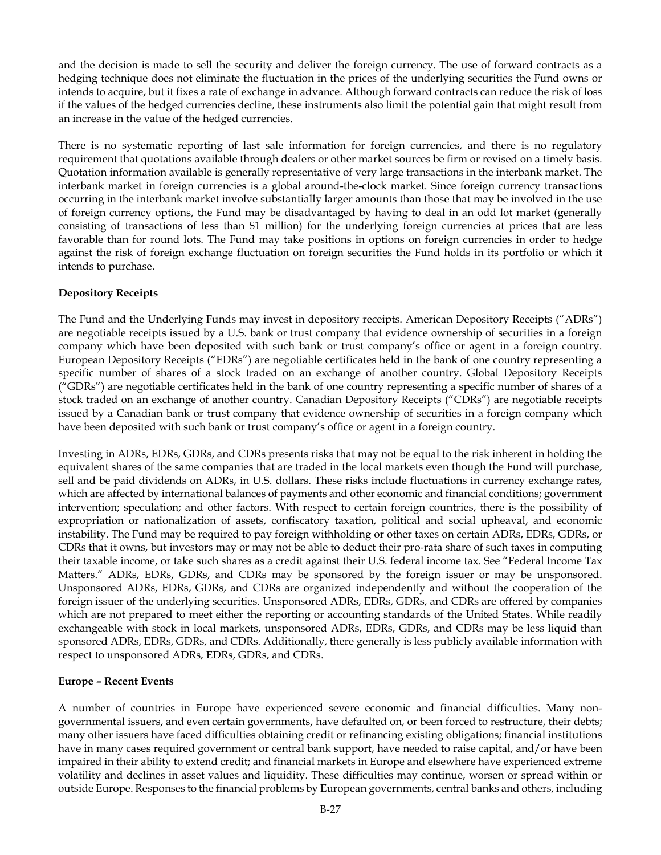and the decision is made to sell the security and deliver the foreign currency. The use of forward contracts as a hedging technique does not eliminate the fluctuation in the prices of the underlying securities the Fund owns or intends to acquire, but it fixes a rate of exchange in advance. Although forward contracts can reduce the risk of loss if the values of the hedged currencies decline, these instruments also limit the potential gain that might result from an increase in the value of the hedged currencies.

There is no systematic reporting of last sale information for foreign currencies, and there is no regulatory requirement that quotations available through dealers or other market sources be firm or revised on a timely basis. Quotation information available is generally representative of very large transactions in the interbank market. The interbank market in foreign currencies is a global around-the-clock market. Since foreign currency transactions occurring in the interbank market involve substantially larger amounts than those that may be involved in the use of foreign currency options, the Fund may be disadvantaged by having to deal in an odd lot market (generally consisting of transactions of less than \$1 million) for the underlying foreign currencies at prices that are less favorable than for round lots. The Fund may take positions in options on foreign currencies in order to hedge against the risk of foreign exchange fluctuation on foreign securities the Fund holds in its portfolio or which it intends to purchase.

## **Depository Receipts**

The Fund and the Underlying Funds may invest in depository receipts. American Depository Receipts ("ADRs") are negotiable receipts issued by a U.S. bank or trust company that evidence ownership of securities in a foreign company which have been deposited with such bank or trust company's office or agent in a foreign country. European Depository Receipts ("EDRs") are negotiable certificates held in the bank of one country representing a specific number of shares of a stock traded on an exchange of another country. Global Depository Receipts ("GDRs") are negotiable certificates held in the bank of one country representing a specific number of shares of a stock traded on an exchange of another country. Canadian Depository Receipts ("CDRs") are negotiable receipts issued by a Canadian bank or trust company that evidence ownership of securities in a foreign company which have been deposited with such bank or trust company's office or agent in a foreign country.

Investing in ADRs, EDRs, GDRs, and CDRs presents risks that may not be equal to the risk inherent in holding the equivalent shares of the same companies that are traded in the local markets even though the Fund will purchase, sell and be paid dividends on ADRs, in U.S. dollars. These risks include fluctuations in currency exchange rates, which are affected by international balances of payments and other economic and financial conditions; government intervention; speculation; and other factors. With respect to certain foreign countries, there is the possibility of expropriation or nationalization of assets, confiscatory taxation, political and social upheaval, and economic instability. The Fund may be required to pay foreign withholding or other taxes on certain ADRs, EDRs, GDRs, or CDRs that it owns, but investors may or may not be able to deduct their pro-rata share of such taxes in computing their taxable income, or take such shares as a credit against their U.S. federal income tax. See "Federal Income Tax Matters." ADRs, EDRs, GDRs, and CDRs may be sponsored by the foreign issuer or may be unsponsored. Unsponsored ADRs, EDRs, GDRs, and CDRs are organized independently and without the cooperation of the foreign issuer of the underlying securities. Unsponsored ADRs, EDRs, GDRs, and CDRs are offered by companies which are not prepared to meet either the reporting or accounting standards of the United States. While readily exchangeable with stock in local markets, unsponsored ADRs, EDRs, GDRs, and CDRs may be less liquid than sponsored ADRs, EDRs, GDRs, and CDRs. Additionally, there generally is less publicly available information with respect to unsponsored ADRs, EDRs, GDRs, and CDRs.

## **Europe – Recent Events**

A number of countries in Europe have experienced severe economic and financial difficulties. Many nongovernmental issuers, and even certain governments, have defaulted on, or been forced to restructure, their debts; many other issuers have faced difficulties obtaining credit or refinancing existing obligations; financial institutions have in many cases required government or central bank support, have needed to raise capital, and/or have been impaired in their ability to extend credit; and financial markets in Europe and elsewhere have experienced extreme volatility and declines in asset values and liquidity. These difficulties may continue, worsen or spread within or outside Europe. Responses to the financial problems by European governments, central banks and others, including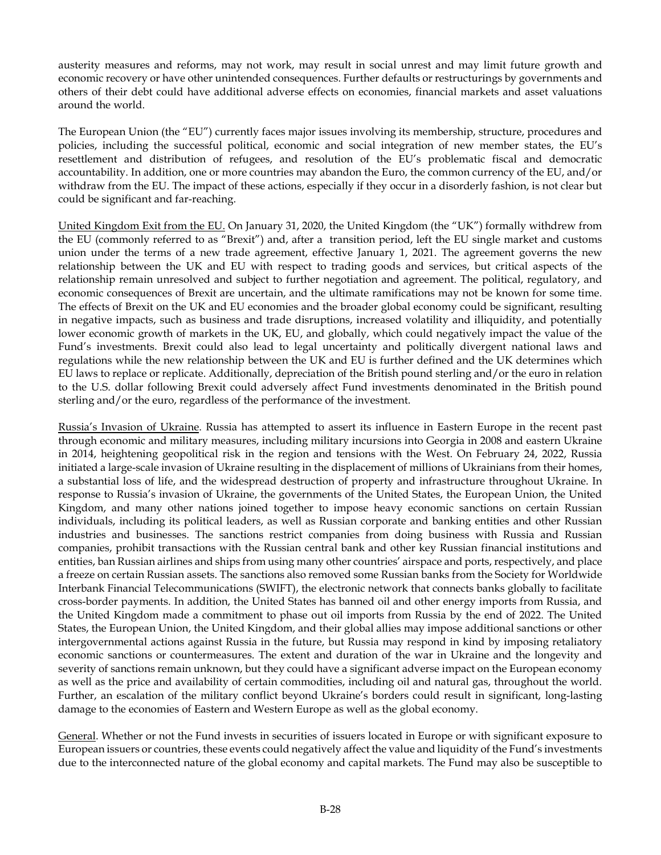austerity measures and reforms, may not work, may result in social unrest and may limit future growth and economic recovery or have other unintended consequences. Further defaults or restructurings by governments and others of their debt could have additional adverse effects on economies, financial markets and asset valuations around the world.

The European Union (the "EU") currently faces major issues involving its membership, structure, procedures and policies, including the successful political, economic and social integration of new member states, the EU's resettlement and distribution of refugees, and resolution of the EU's problematic fiscal and democratic accountability. In addition, one or more countries may abandon the Euro, the common currency of the EU, and/or withdraw from the EU. The impact of these actions, especially if they occur in a disorderly fashion, is not clear but could be significant and far-reaching.

United Kingdom Exit from the EU. On January 31, 2020, the United Kingdom (the "UK") formally withdrew from the EU (commonly referred to as "Brexit") and, after a transition period, left the EU single market and customs union under the terms of a new trade agreement, effective January 1, 2021. The agreement governs the new relationship between the UK and EU with respect to trading goods and services, but critical aspects of the relationship remain unresolved and subject to further negotiation and agreement. The political, regulatory, and economic consequences of Brexit are uncertain, and the ultimate ramifications may not be known for some time. The effects of Brexit on the UK and EU economies and the broader global economy could be significant, resulting in negative impacts, such as business and trade disruptions, increased volatility and illiquidity, and potentially lower economic growth of markets in the UK, EU, and globally, which could negatively impact the value of the Fund's investments. Brexit could also lead to legal uncertainty and politically divergent national laws and regulations while the new relationship between the UK and EU is further defined and the UK determines which EU laws to replace or replicate. Additionally, depreciation of the British pound sterling and/or the euro in relation to the U.S. dollar following Brexit could adversely affect Fund investments denominated in the British pound sterling and/or the euro, regardless of the performance of the investment.

Russia's Invasion of Ukraine. Russia has attempted to assert its influence in Eastern Europe in the recent past through economic and military measures, including military incursions into Georgia in 2008 and eastern Ukraine in 2014, heightening geopolitical risk in the region and tensions with the West. On February 24, 2022, Russia initiated a large-scale invasion of Ukraine resulting in the displacement of millions of Ukrainians from their homes, a substantial loss of life, and the widespread destruction of property and infrastructure throughout Ukraine. In response to Russia's invasion of Ukraine, the governments of the United States, the European Union, the United Kingdom, and many other nations joined together to impose heavy economic sanctions on certain Russian individuals, including its political leaders, as well as Russian corporate and banking entities and other Russian industries and businesses. The sanctions restrict companies from doing business with Russia and Russian companies, prohibit transactions with the Russian central bank and other key Russian financial institutions and entities, ban Russian airlines and ships from using many other countries' airspace and ports, respectively, and place a freeze on certain Russian assets. The sanctions also removed some Russian banks from the Society for Worldwide Interbank Financial Telecommunications (SWIFT), the electronic network that connects banks globally to facilitate cross-border payments. In addition, the United States has banned oil and other energy imports from Russia, and the United Kingdom made a commitment to phase out oil imports from Russia by the end of 2022. The United States, the European Union, the United Kingdom, and their global allies may impose additional sanctions or other intergovernmental actions against Russia in the future, but Russia may respond in kind by imposing retaliatory economic sanctions or countermeasures. The extent and duration of the war in Ukraine and the longevity and severity of sanctions remain unknown, but they could have a significant adverse impact on the European economy as well as the price and availability of certain commodities, including oil and natural gas, throughout the world. Further, an escalation of the military conflict beyond Ukraine's borders could result in significant, long-lasting damage to the economies of Eastern and Western Europe as well as the global economy.

General. Whether or not the Fund invests in securities of issuers located in Europe or with significant exposure to European issuers or countries, these events could negatively affect the value and liquidity of the Fund's investments due to the interconnected nature of the global economy and capital markets. The Fund may also be susceptible to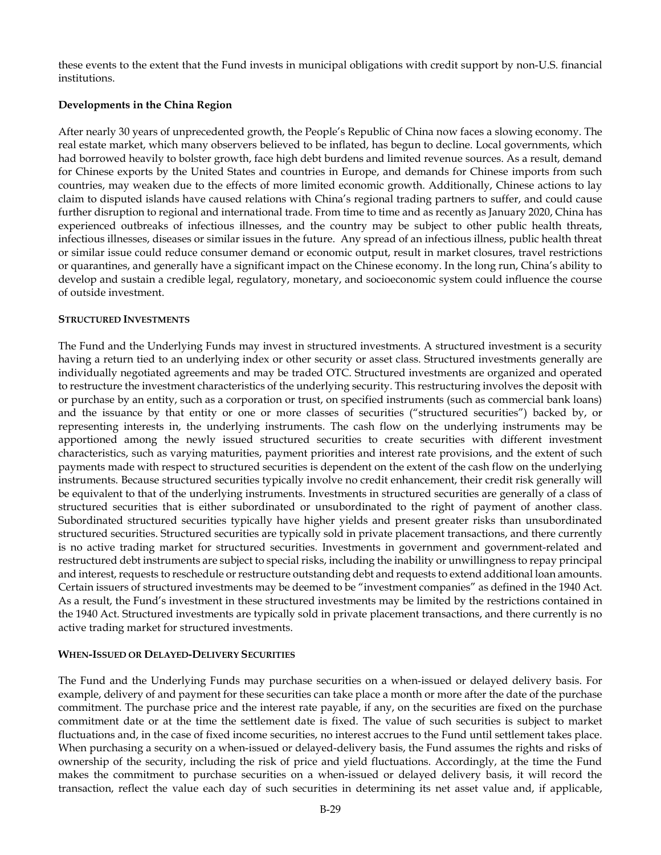these events to the extent that the Fund invests in municipal obligations with credit support by non-U.S. financial institutions.

## **Developments in the China Region**

After nearly 30 years of unprecedented growth, the People's Republic of China now faces a slowing economy. The real estate market, which many observers believed to be inflated, has begun to decline. Local governments, which had borrowed heavily to bolster growth, face high debt burdens and limited revenue sources. As a result, demand for Chinese exports by the United States and countries in Europe, and demands for Chinese imports from such countries, may weaken due to the effects of more limited economic growth. Additionally, Chinese actions to lay claim to disputed islands have caused relations with China's regional trading partners to suffer, and could cause further disruption to regional and international trade. From time to time and as recently as January 2020, China has experienced outbreaks of infectious illnesses, and the country may be subject to other public health threats, infectious illnesses, diseases or similar issues in the future. Any spread of an infectious illness, public health threat or similar issue could reduce consumer demand or economic output, result in market closures, travel restrictions or quarantines, and generally have a significant impact on the Chinese economy. In the long run, China's ability to develop and sustain a credible legal, regulatory, monetary, and socioeconomic system could influence the course of outside investment.

#### **STRUCTURED INVESTMENTS**

The Fund and the Underlying Funds may invest in structured investments. A structured investment is a security having a return tied to an underlying index or other security or asset class. Structured investments generally are individually negotiated agreements and may be traded OTC. Structured investments are organized and operated to restructure the investment characteristics of the underlying security. This restructuring involves the deposit with or purchase by an entity, such as a corporation or trust, on specified instruments (such as commercial bank loans) and the issuance by that entity or one or more classes of securities ("structured securities") backed by, or representing interests in, the underlying instruments. The cash flow on the underlying instruments may be apportioned among the newly issued structured securities to create securities with different investment characteristics, such as varying maturities, payment priorities and interest rate provisions, and the extent of such payments made with respect to structured securities is dependent on the extent of the cash flow on the underlying instruments. Because structured securities typically involve no credit enhancement, their credit risk generally will be equivalent to that of the underlying instruments. Investments in structured securities are generally of a class of structured securities that is either subordinated or unsubordinated to the right of payment of another class. Subordinated structured securities typically have higher yields and present greater risks than unsubordinated structured securities. Structured securities are typically sold in private placement transactions, and there currently is no active trading market for structured securities. Investments in government and government-related and restructured debt instruments are subject to special risks, including the inability or unwillingness to repay principal and interest, requests to reschedule or restructure outstanding debt and requests to extend additional loan amounts. Certain issuers of structured investments may be deemed to be "investment companies" as defined in the 1940 Act. As a result, the Fund's investment in these structured investments may be limited by the restrictions contained in the 1940 Act. Structured investments are typically sold in private placement transactions, and there currently is no active trading market for structured investments.

#### **WHEN-ISSUED OR DELAYED-DELIVERY SECURITIES**

The Fund and the Underlying Funds may purchase securities on a when-issued or delayed delivery basis. For example, delivery of and payment for these securities can take place a month or more after the date of the purchase commitment. The purchase price and the interest rate payable, if any, on the securities are fixed on the purchase commitment date or at the time the settlement date is fixed. The value of such securities is subject to market fluctuations and, in the case of fixed income securities, no interest accrues to the Fund until settlement takes place. When purchasing a security on a when-issued or delayed-delivery basis, the Fund assumes the rights and risks of ownership of the security, including the risk of price and yield fluctuations. Accordingly, at the time the Fund makes the commitment to purchase securities on a when-issued or delayed delivery basis, it will record the transaction, reflect the value each day of such securities in determining its net asset value and, if applicable,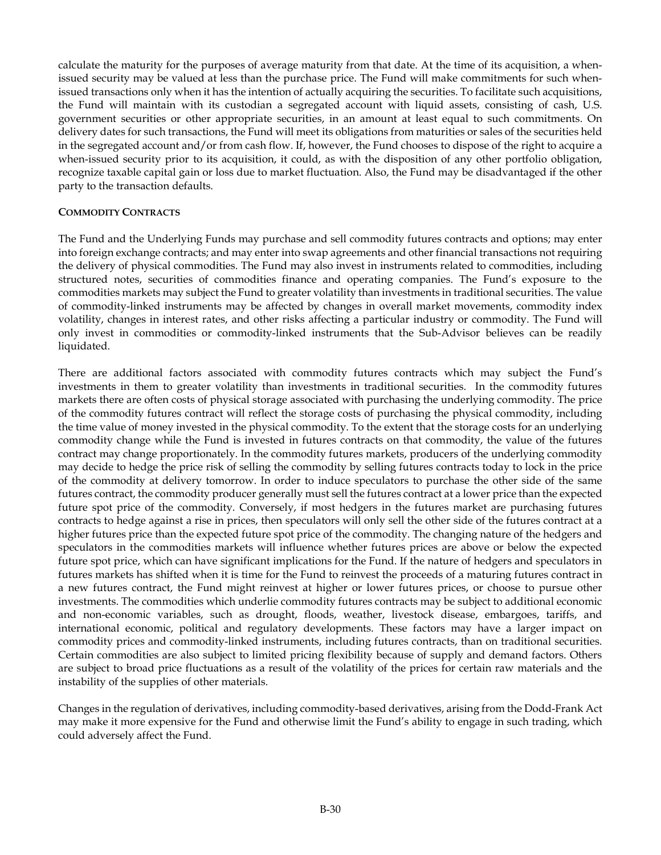calculate the maturity for the purposes of average maturity from that date. At the time of its acquisition, a whenissued security may be valued at less than the purchase price. The Fund will make commitments for such whenissued transactions only when it has the intention of actually acquiring the securities. To facilitate such acquisitions, the Fund will maintain with its custodian a segregated account with liquid assets, consisting of cash, U.S. government securities or other appropriate securities, in an amount at least equal to such commitments. On delivery dates for such transactions, the Fund will meet its obligations from maturities or sales of the securities held in the segregated account and/or from cash flow. If, however, the Fund chooses to dispose of the right to acquire a when-issued security prior to its acquisition, it could, as with the disposition of any other portfolio obligation, recognize taxable capital gain or loss due to market fluctuation. Also, the Fund may be disadvantaged if the other party to the transaction defaults.

## **COMMODITY CONTRACTS**

The Fund and the Underlying Funds may purchase and sell commodity futures contracts and options; may enter into foreign exchange contracts; and may enter into swap agreements and other financial transactions not requiring the delivery of physical commodities. The Fund may also invest in instruments related to commodities, including structured notes, securities of commodities finance and operating companies. The Fund's exposure to the commodities markets may subject the Fund to greater volatility than investments in traditional securities. The value of commodity-linked instruments may be affected by changes in overall market movements, commodity index volatility, changes in interest rates, and other risks affecting a particular industry or commodity. The Fund will only invest in commodities or commodity-linked instruments that the Sub-Advisor believes can be readily liquidated.

There are additional factors associated with commodity futures contracts which may subject the Fund's investments in them to greater volatility than investments in traditional securities. In the commodity futures markets there are often costs of physical storage associated with purchasing the underlying commodity. The price of the commodity futures contract will reflect the storage costs of purchasing the physical commodity, including the time value of money invested in the physical commodity. To the extent that the storage costs for an underlying commodity change while the Fund is invested in futures contracts on that commodity, the value of the futures contract may change proportionately. In the commodity futures markets, producers of the underlying commodity may decide to hedge the price risk of selling the commodity by selling futures contracts today to lock in the price of the commodity at delivery tomorrow. In order to induce speculators to purchase the other side of the same futures contract, the commodity producer generally must sell the futures contract at a lower price than the expected future spot price of the commodity. Conversely, if most hedgers in the futures market are purchasing futures contracts to hedge against a rise in prices, then speculators will only sell the other side of the futures contract at a higher futures price than the expected future spot price of the commodity. The changing nature of the hedgers and speculators in the commodities markets will influence whether futures prices are above or below the expected future spot price, which can have significant implications for the Fund. If the nature of hedgers and speculators in futures markets has shifted when it is time for the Fund to reinvest the proceeds of a maturing futures contract in a new futures contract, the Fund might reinvest at higher or lower futures prices, or choose to pursue other investments. The commodities which underlie commodity futures contracts may be subject to additional economic and non-economic variables, such as drought, floods, weather, livestock disease, embargoes, tariffs, and international economic, political and regulatory developments. These factors may have a larger impact on commodity prices and commodity-linked instruments, including futures contracts, than on traditional securities. Certain commodities are also subject to limited pricing flexibility because of supply and demand factors. Others are subject to broad price fluctuations as a result of the volatility of the prices for certain raw materials and the instability of the supplies of other materials.

Changes in the regulation of derivatives, including commodity-based derivatives, arising from the Dodd-Frank Act may make it more expensive for the Fund and otherwise limit the Fund's ability to engage in such trading, which could adversely affect the Fund.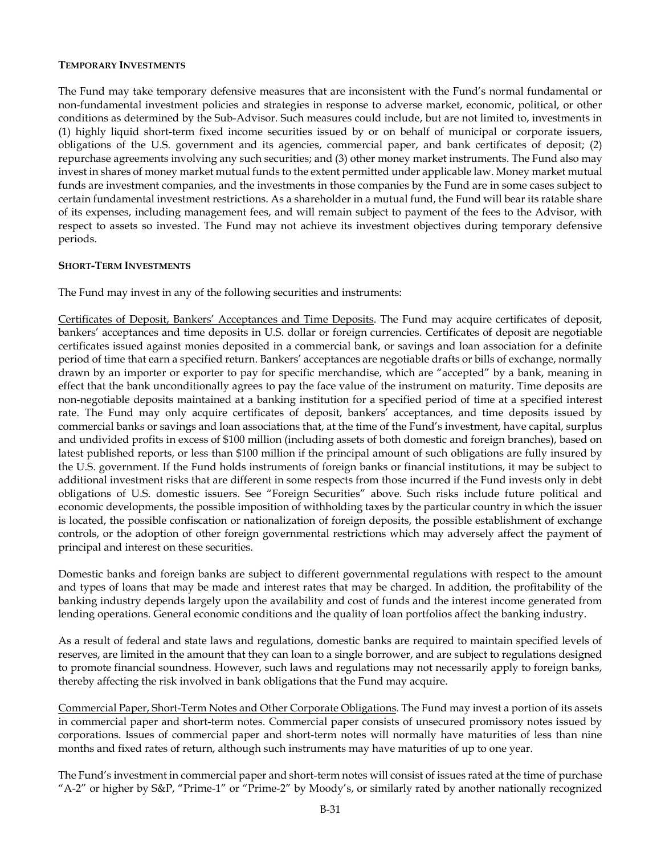#### **TEMPORARY INVESTMENTS**

The Fund may take temporary defensive measures that are inconsistent with the Fund's normal fundamental or non-fundamental investment policies and strategies in response to adverse market, economic, political, or other conditions as determined by the Sub-Advisor. Such measures could include, but are not limited to, investments in (1) highly liquid short-term fixed income securities issued by or on behalf of municipal or corporate issuers, obligations of the U.S. government and its agencies, commercial paper, and bank certificates of deposit; (2) repurchase agreements involving any such securities; and (3) other money market instruments. The Fund also may invest in shares of money market mutual funds to the extent permitted under applicable law. Money market mutual funds are investment companies, and the investments in those companies by the Fund are in some cases subject to certain fundamental investment restrictions. As a shareholder in a mutual fund, the Fund will bear its ratable share of its expenses, including management fees, and will remain subject to payment of the fees to the Advisor, with respect to assets so invested. The Fund may not achieve its investment objectives during temporary defensive periods.

#### **SHORT-TERM INVESTMENTS**

The Fund may invest in any of the following securities and instruments:

Certificates of Deposit, Bankers' Acceptances and Time Deposits. The Fund may acquire certificates of deposit, bankers' acceptances and time deposits in U.S. dollar or foreign currencies. Certificates of deposit are negotiable certificates issued against monies deposited in a commercial bank, or savings and loan association for a definite period of time that earn a specified return. Bankers' acceptances are negotiable drafts or bills of exchange, normally drawn by an importer or exporter to pay for specific merchandise, which are "accepted" by a bank, meaning in effect that the bank unconditionally agrees to pay the face value of the instrument on maturity. Time deposits are non-negotiable deposits maintained at a banking institution for a specified period of time at a specified interest rate. The Fund may only acquire certificates of deposit, bankers' acceptances, and time deposits issued by commercial banks or savings and loan associations that, at the time of the Fund's investment, have capital, surplus and undivided profits in excess of \$100 million (including assets of both domestic and foreign branches), based on latest published reports, or less than \$100 million if the principal amount of such obligations are fully insured by the U.S. government. If the Fund holds instruments of foreign banks or financial institutions, it may be subject to additional investment risks that are different in some respects from those incurred if the Fund invests only in debt obligations of U.S. domestic issuers. See "Foreign Securities" above. Such risks include future political and economic developments, the possible imposition of withholding taxes by the particular country in which the issuer is located, the possible confiscation or nationalization of foreign deposits, the possible establishment of exchange controls, or the adoption of other foreign governmental restrictions which may adversely affect the payment of principal and interest on these securities.

Domestic banks and foreign banks are subject to different governmental regulations with respect to the amount and types of loans that may be made and interest rates that may be charged. In addition, the profitability of the banking industry depends largely upon the availability and cost of funds and the interest income generated from lending operations. General economic conditions and the quality of loan portfolios affect the banking industry.

As a result of federal and state laws and regulations, domestic banks are required to maintain specified levels of reserves, are limited in the amount that they can loan to a single borrower, and are subject to regulations designed to promote financial soundness. However, such laws and regulations may not necessarily apply to foreign banks, thereby affecting the risk involved in bank obligations that the Fund may acquire.

Commercial Paper, Short-Term Notes and Other Corporate Obligations. The Fund may invest a portion of its assets in commercial paper and short-term notes. Commercial paper consists of unsecured promissory notes issued by corporations. Issues of commercial paper and short-term notes will normally have maturities of less than nine months and fixed rates of return, although such instruments may have maturities of up to one year.

The Fund's investment in commercial paper and short-term notes will consist of issues rated at the time of purchase "A-2" or higher by S&P, "Prime-1" or "Prime-2" by Moody's, or similarly rated by another nationally recognized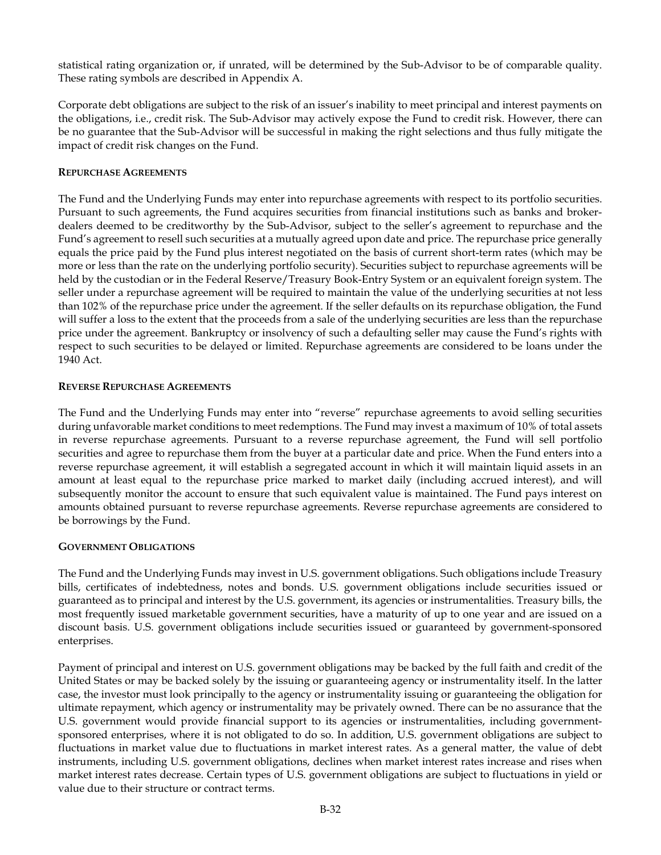statistical rating organization or, if unrated, will be determined by the Sub-Advisor to be of comparable quality. These rating symbols are described in Appendix A.

Corporate debt obligations are subject to the risk of an issuer's inability to meet principal and interest payments on the obligations, i.e., credit risk. The Sub-Advisor may actively expose the Fund to credit risk. However, there can be no guarantee that the Sub-Advisor will be successful in making the right selections and thus fully mitigate the impact of credit risk changes on the Fund.

### **REPURCHASE AGREEMENTS**

The Fund and the Underlying Funds may enter into repurchase agreements with respect to its portfolio securities. Pursuant to such agreements, the Fund acquires securities from financial institutions such as banks and brokerdealers deemed to be creditworthy by the Sub-Advisor, subject to the seller's agreement to repurchase and the Fund's agreement to resell such securities at a mutually agreed upon date and price. The repurchase price generally equals the price paid by the Fund plus interest negotiated on the basis of current short-term rates (which may be more or less than the rate on the underlying portfolio security). Securities subject to repurchase agreements will be held by the custodian or in the Federal Reserve/Treasury Book-Entry System or an equivalent foreign system. The seller under a repurchase agreement will be required to maintain the value of the underlying securities at not less than 102% of the repurchase price under the agreement. If the seller defaults on its repurchase obligation, the Fund will suffer a loss to the extent that the proceeds from a sale of the underlying securities are less than the repurchase price under the agreement. Bankruptcy or insolvency of such a defaulting seller may cause the Fund's rights with respect to such securities to be delayed or limited. Repurchase agreements are considered to be loans under the 1940 Act.

#### **REVERSE REPURCHASE AGREEMENTS**

The Fund and the Underlying Funds may enter into "reverse" repurchase agreements to avoid selling securities during unfavorable market conditions to meet redemptions. The Fund may invest a maximum of 10% of total assets in reverse repurchase agreements. Pursuant to a reverse repurchase agreement, the Fund will sell portfolio securities and agree to repurchase them from the buyer at a particular date and price. When the Fund enters into a reverse repurchase agreement, it will establish a segregated account in which it will maintain liquid assets in an amount at least equal to the repurchase price marked to market daily (including accrued interest), and will subsequently monitor the account to ensure that such equivalent value is maintained. The Fund pays interest on amounts obtained pursuant to reverse repurchase agreements. Reverse repurchase agreements are considered to be borrowings by the Fund.

#### **GOVERNMENT OBLIGATIONS**

The Fund and the Underlying Funds may invest in U.S. government obligations. Such obligations include Treasury bills, certificates of indebtedness, notes and bonds. U.S. government obligations include securities issued or guaranteed as to principal and interest by the U.S. government, its agencies or instrumentalities. Treasury bills, the most frequently issued marketable government securities, have a maturity of up to one year and are issued on a discount basis. U.S. government obligations include securities issued or guaranteed by government-sponsored enterprises.

Payment of principal and interest on U.S. government obligations may be backed by the full faith and credit of the United States or may be backed solely by the issuing or guaranteeing agency or instrumentality itself. In the latter case, the investor must look principally to the agency or instrumentality issuing or guaranteeing the obligation for ultimate repayment, which agency or instrumentality may be privately owned. There can be no assurance that the U.S. government would provide financial support to its agencies or instrumentalities, including governmentsponsored enterprises, where it is not obligated to do so. In addition, U.S. government obligations are subject to fluctuations in market value due to fluctuations in market interest rates. As a general matter, the value of debt instruments, including U.S. government obligations, declines when market interest rates increase and rises when market interest rates decrease. Certain types of U.S. government obligations are subject to fluctuations in yield or value due to their structure or contract terms.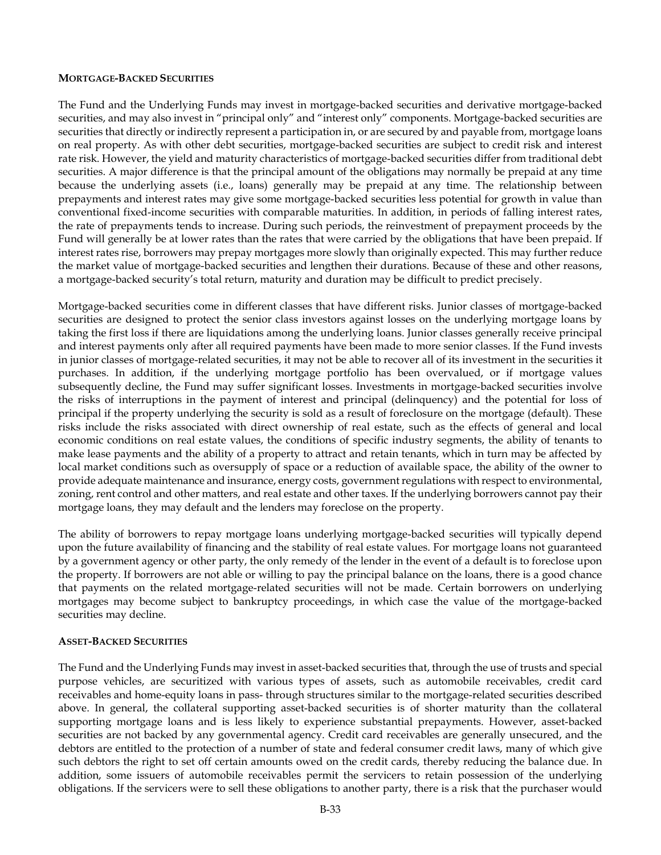#### **MORTGAGE-BACKED SECURITIES**

The Fund and the Underlying Funds may invest in mortgage-backed securities and derivative mortgage-backed securities, and may also invest in "principal only" and "interest only" components. Mortgage-backed securities are securities that directly or indirectly represent a participation in, or are secured by and payable from, mortgage loans on real property. As with other debt securities, mortgage-backed securities are subject to credit risk and interest rate risk. However, the yield and maturity characteristics of mortgage-backed securities differ from traditional debt securities. A major difference is that the principal amount of the obligations may normally be prepaid at any time because the underlying assets (i.e., loans) generally may be prepaid at any time. The relationship between prepayments and interest rates may give some mortgage-backed securities less potential for growth in value than conventional fixed-income securities with comparable maturities. In addition, in periods of falling interest rates, the rate of prepayments tends to increase. During such periods, the reinvestment of prepayment proceeds by the Fund will generally be at lower rates than the rates that were carried by the obligations that have been prepaid. If interest rates rise, borrowers may prepay mortgages more slowly than originally expected. This may further reduce the market value of mortgage-backed securities and lengthen their durations. Because of these and other reasons, a mortgage-backed security's total return, maturity and duration may be difficult to predict precisely.

Mortgage-backed securities come in different classes that have different risks. Junior classes of mortgage-backed securities are designed to protect the senior class investors against losses on the underlying mortgage loans by taking the first loss if there are liquidations among the underlying loans. Junior classes generally receive principal and interest payments only after all required payments have been made to more senior classes. If the Fund invests in junior classes of mortgage-related securities, it may not be able to recover all of its investment in the securities it purchases. In addition, if the underlying mortgage portfolio has been overvalued, or if mortgage values subsequently decline, the Fund may suffer significant losses. Investments in mortgage-backed securities involve the risks of interruptions in the payment of interest and principal (delinquency) and the potential for loss of principal if the property underlying the security is sold as a result of foreclosure on the mortgage (default). These risks include the risks associated with direct ownership of real estate, such as the effects of general and local economic conditions on real estate values, the conditions of specific industry segments, the ability of tenants to make lease payments and the ability of a property to attract and retain tenants, which in turn may be affected by local market conditions such as oversupply of space or a reduction of available space, the ability of the owner to provide adequate maintenance and insurance, energy costs, government regulations with respect to environmental, zoning, rent control and other matters, and real estate and other taxes. If the underlying borrowers cannot pay their mortgage loans, they may default and the lenders may foreclose on the property.

The ability of borrowers to repay mortgage loans underlying mortgage-backed securities will typically depend upon the future availability of financing and the stability of real estate values. For mortgage loans not guaranteed by a government agency or other party, the only remedy of the lender in the event of a default is to foreclose upon the property. If borrowers are not able or willing to pay the principal balance on the loans, there is a good chance that payments on the related mortgage-related securities will not be made. Certain borrowers on underlying mortgages may become subject to bankruptcy proceedings, in which case the value of the mortgage-backed securities may decline.

#### **ASSET-BACKED SECURITIES**

The Fund and the Underlying Funds may invest in asset-backed securities that, through the use of trusts and special purpose vehicles, are securitized with various types of assets, such as automobile receivables, credit card receivables and home-equity loans in pass- through structures similar to the mortgage-related securities described above. In general, the collateral supporting asset-backed securities is of shorter maturity than the collateral supporting mortgage loans and is less likely to experience substantial prepayments. However, asset-backed securities are not backed by any governmental agency. Credit card receivables are generally unsecured, and the debtors are entitled to the protection of a number of state and federal consumer credit laws, many of which give such debtors the right to set off certain amounts owed on the credit cards, thereby reducing the balance due. In addition, some issuers of automobile receivables permit the servicers to retain possession of the underlying obligations. If the servicers were to sell these obligations to another party, there is a risk that the purchaser would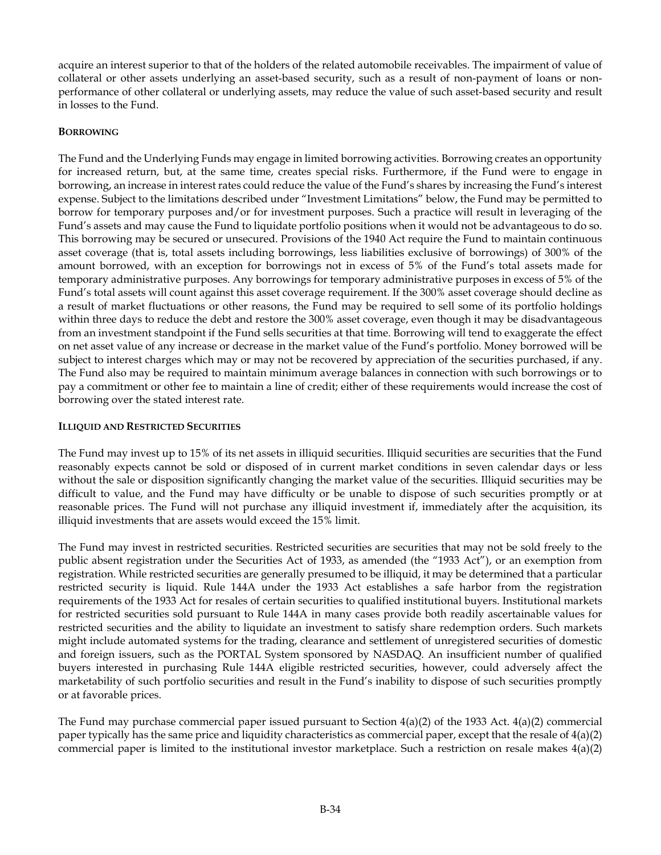acquire an interest superior to that of the holders of the related automobile receivables. The impairment of value of collateral or other assets underlying an asset-based security, such as a result of non-payment of loans or nonperformance of other collateral or underlying assets, may reduce the value of such asset-based security and result in losses to the Fund.

## **BORROWING**

The Fund and the Underlying Funds may engage in limited borrowing activities. Borrowing creates an opportunity for increased return, but, at the same time, creates special risks. Furthermore, if the Fund were to engage in borrowing, an increase in interest rates could reduce the value of the Fund's shares by increasing the Fund's interest expense. Subject to the limitations described under "Investment Limitations" below, the Fund may be permitted to borrow for temporary purposes and/or for investment purposes. Such a practice will result in leveraging of the Fund's assets and may cause the Fund to liquidate portfolio positions when it would not be advantageous to do so. This borrowing may be secured or unsecured. Provisions of the 1940 Act require the Fund to maintain continuous asset coverage (that is, total assets including borrowings, less liabilities exclusive of borrowings) of 300% of the amount borrowed, with an exception for borrowings not in excess of 5% of the Fund's total assets made for temporary administrative purposes. Any borrowings for temporary administrative purposes in excess of 5% of the Fund's total assets will count against this asset coverage requirement. If the 300% asset coverage should decline as a result of market fluctuations or other reasons, the Fund may be required to sell some of its portfolio holdings within three days to reduce the debt and restore the 300% asset coverage, even though it may be disadvantageous from an investment standpoint if the Fund sells securities at that time. Borrowing will tend to exaggerate the effect on net asset value of any increase or decrease in the market value of the Fund's portfolio. Money borrowed will be subject to interest charges which may or may not be recovered by appreciation of the securities purchased, if any. The Fund also may be required to maintain minimum average balances in connection with such borrowings or to pay a commitment or other fee to maintain a line of credit; either of these requirements would increase the cost of borrowing over the stated interest rate.

### **ILLIQUID AND RESTRICTED SECURITIES**

The Fund may invest up to 15% of its net assets in illiquid securities. Illiquid securities are securities that the Fund reasonably expects cannot be sold or disposed of in current market conditions in seven calendar days or less without the sale or disposition significantly changing the market value of the securities. Illiquid securities may be difficult to value, and the Fund may have difficulty or be unable to dispose of such securities promptly or at reasonable prices. The Fund will not purchase any illiquid investment if, immediately after the acquisition, its illiquid investments that are assets would exceed the 15% limit.

The Fund may invest in restricted securities. Restricted securities are securities that may not be sold freely to the public absent registration under the Securities Act of 1933, as amended (the "1933 Act"), or an exemption from registration. While restricted securities are generally presumed to be illiquid, it may be determined that a particular restricted security is liquid. Rule 144A under the 1933 Act establishes a safe harbor from the registration requirements of the 1933 Act for resales of certain securities to qualified institutional buyers. Institutional markets for restricted securities sold pursuant to Rule 144A in many cases provide both readily ascertainable values for restricted securities and the ability to liquidate an investment to satisfy share redemption orders. Such markets might include automated systems for the trading, clearance and settlement of unregistered securities of domestic and foreign issuers, such as the PORTAL System sponsored by NASDAQ. An insufficient number of qualified buyers interested in purchasing Rule 144A eligible restricted securities, however, could adversely affect the marketability of such portfolio securities and result in the Fund's inability to dispose of such securities promptly or at favorable prices.

The Fund may purchase commercial paper issued pursuant to Section 4(a)(2) of the 1933 Act. 4(a)(2) commercial paper typically has the same price and liquidity characteristics as commercial paper, except that the resale of  $4(a)(2)$ commercial paper is limited to the institutional investor marketplace. Such a restriction on resale makes  $4(a)(2)$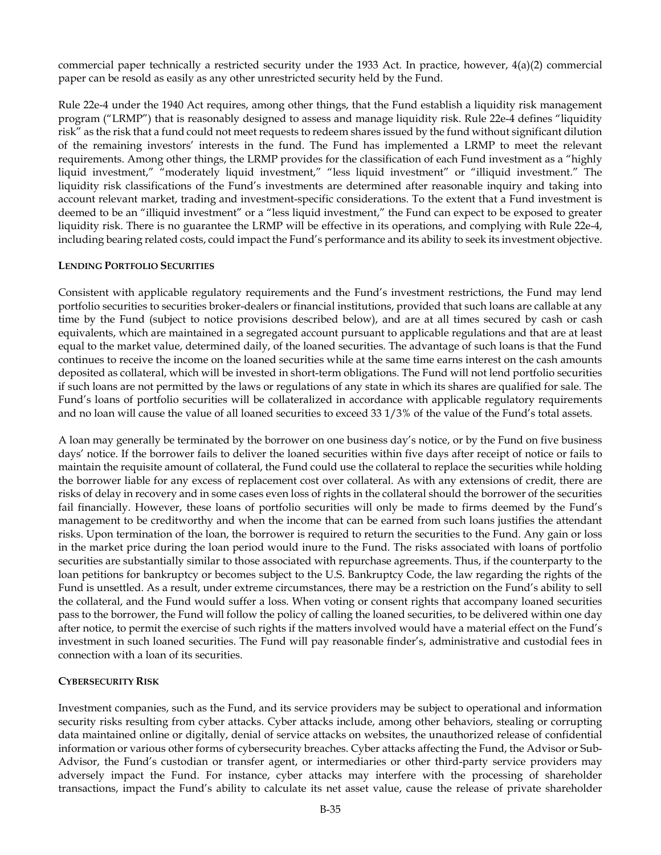commercial paper technically a restricted security under the 1933 Act. In practice, however, 4(a)(2) commercial paper can be resold as easily as any other unrestricted security held by the Fund.

Rule 22e-4 under the 1940 Act requires, among other things, that the Fund establish a liquidity risk management program ("LRMP") that is reasonably designed to assess and manage liquidity risk. Rule 22e-4 defines "liquidity risk" as the risk that a fund could not meet requests to redeem shares issued by the fund without significant dilution of the remaining investors' interests in the fund. The Fund has implemented a LRMP to meet the relevant requirements. Among other things, the LRMP provides for the classification of each Fund investment as a "highly liquid investment," "moderately liquid investment," "less liquid investment" or "illiquid investment." The liquidity risk classifications of the Fund's investments are determined after reasonable inquiry and taking into account relevant market, trading and investment-specific considerations. To the extent that a Fund investment is deemed to be an "illiquid investment" or a "less liquid investment," the Fund can expect to be exposed to greater liquidity risk. There is no guarantee the LRMP will be effective in its operations, and complying with Rule 22e-4, including bearing related costs, could impact the Fund's performance and its ability to seek its investment objective.

#### **LENDING PORTFOLIO SECURITIES**

Consistent with applicable regulatory requirements and the Fund's investment restrictions, the Fund may lend portfolio securities to securities broker-dealers or financial institutions, provided that such loans are callable at any time by the Fund (subject to notice provisions described below), and are at all times secured by cash or cash equivalents, which are maintained in a segregated account pursuant to applicable regulations and that are at least equal to the market value, determined daily, of the loaned securities. The advantage of such loans is that the Fund continues to receive the income on the loaned securities while at the same time earns interest on the cash amounts deposited as collateral, which will be invested in short-term obligations. The Fund will not lend portfolio securities if such loans are not permitted by the laws or regulations of any state in which its shares are qualified for sale. The Fund's loans of portfolio securities will be collateralized in accordance with applicable regulatory requirements and no loan will cause the value of all loaned securities to exceed 33 1/3% of the value of the Fund's total assets.

A loan may generally be terminated by the borrower on one business day's notice, or by the Fund on five business days' notice. If the borrower fails to deliver the loaned securities within five days after receipt of notice or fails to maintain the requisite amount of collateral, the Fund could use the collateral to replace the securities while holding the borrower liable for any excess of replacement cost over collateral. As with any extensions of credit, there are risks of delay in recovery and in some cases even loss of rights in the collateral should the borrower of the securities fail financially. However, these loans of portfolio securities will only be made to firms deemed by the Fund's management to be creditworthy and when the income that can be earned from such loans justifies the attendant risks. Upon termination of the loan, the borrower is required to return the securities to the Fund. Any gain or loss in the market price during the loan period would inure to the Fund. The risks associated with loans of portfolio securities are substantially similar to those associated with repurchase agreements. Thus, if the counterparty to the loan petitions for bankruptcy or becomes subject to the U.S. Bankruptcy Code, the law regarding the rights of the Fund is unsettled. As a result, under extreme circumstances, there may be a restriction on the Fund's ability to sell the collateral, and the Fund would suffer a loss. When voting or consent rights that accompany loaned securities pass to the borrower, the Fund will follow the policy of calling the loaned securities, to be delivered within one day after notice, to permit the exercise of such rights if the matters involved would have a material effect on the Fund's investment in such loaned securities. The Fund will pay reasonable finder's, administrative and custodial fees in connection with a loan of its securities.

#### **CYBERSECURITY RISK**

Investment companies, such as the Fund, and its service providers may be subject to operational and information security risks resulting from cyber attacks. Cyber attacks include, among other behaviors, stealing or corrupting data maintained online or digitally, denial of service attacks on websites, the unauthorized release of confidential information or various other forms of cybersecurity breaches. Cyber attacks affecting the Fund, the Advisor or Sub-Advisor, the Fund's custodian or transfer agent, or intermediaries or other third-party service providers may adversely impact the Fund. For instance, cyber attacks may interfere with the processing of shareholder transactions, impact the Fund's ability to calculate its net asset value, cause the release of private shareholder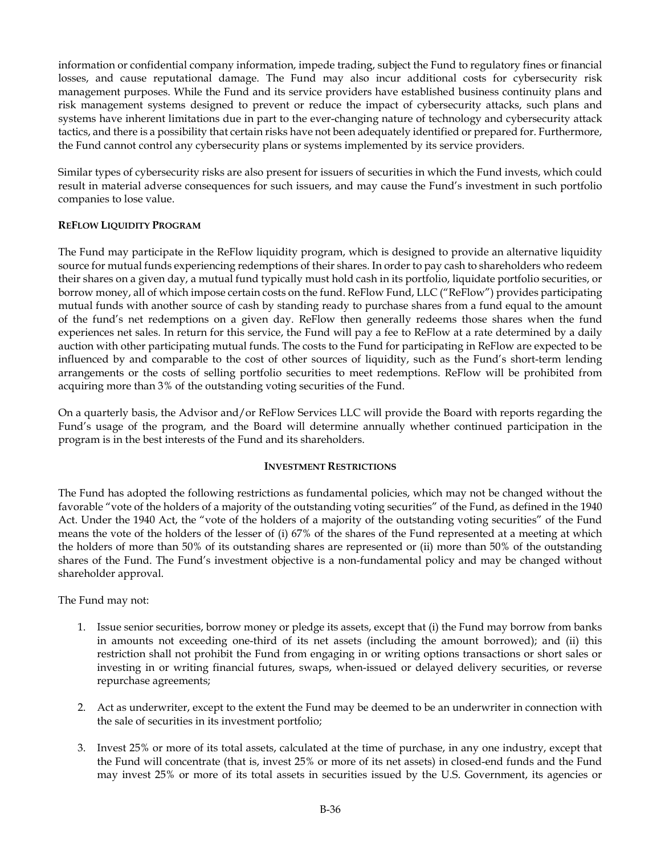information or confidential company information, impede trading, subject the Fund to regulatory fines or financial losses, and cause reputational damage. The Fund may also incur additional costs for cybersecurity risk management purposes. While the Fund and its service providers have established business continuity plans and risk management systems designed to prevent or reduce the impact of cybersecurity attacks, such plans and systems have inherent limitations due in part to the ever-changing nature of technology and cybersecurity attack tactics, and there is a possibility that certain risks have not been adequately identified or prepared for. Furthermore, the Fund cannot control any cybersecurity plans or systems implemented by its service providers.

Similar types of cybersecurity risks are also present for issuers of securities in which the Fund invests, which could result in material adverse consequences for such issuers, and may cause the Fund's investment in such portfolio companies to lose value.

# **REFLOW LIQUIDITY PROGRAM**

The Fund may participate in the ReFlow liquidity program, which is designed to provide an alternative liquidity source for mutual funds experiencing redemptions of their shares. In order to pay cash to shareholders who redeem their shares on a given day, a mutual fund typically must hold cash in its portfolio, liquidate portfolio securities, or borrow money, all of which impose certain costs on the fund. ReFlow Fund, LLC ("ReFlow") provides participating mutual funds with another source of cash by standing ready to purchase shares from a fund equal to the amount of the fund's net redemptions on a given day. ReFlow then generally redeems those shares when the fund experiences net sales. In return for this service, the Fund will pay a fee to ReFlow at a rate determined by a daily auction with other participating mutual funds. The costs to the Fund for participating in ReFlow are expected to be influenced by and comparable to the cost of other sources of liquidity, such as the Fund's short-term lending arrangements or the costs of selling portfolio securities to meet redemptions. ReFlow will be prohibited from acquiring more than 3% of the outstanding voting securities of the Fund.

On a quarterly basis, the Advisor and/or ReFlow Services LLC will provide the Board with reports regarding the Fund's usage of the program, and the Board will determine annually whether continued participation in the program is in the best interests of the Fund and its shareholders.

## **INVESTMENT RESTRICTIONS**

The Fund has adopted the following restrictions as fundamental policies, which may not be changed without the favorable "vote of the holders of a majority of the outstanding voting securities" of the Fund, as defined in the 1940 Act. Under the 1940 Act, the "vote of the holders of a majority of the outstanding voting securities" of the Fund means the vote of the holders of the lesser of (i) 67% of the shares of the Fund represented at a meeting at which the holders of more than 50% of its outstanding shares are represented or (ii) more than 50% of the outstanding shares of the Fund. The Fund's investment objective is a non-fundamental policy and may be changed without shareholder approval.

## The Fund may not:

- 1. Issue senior securities, borrow money or pledge its assets, except that (i) the Fund may borrow from banks in amounts not exceeding one-third of its net assets (including the amount borrowed); and (ii) this restriction shall not prohibit the Fund from engaging in or writing options transactions or short sales or investing in or writing financial futures, swaps, when-issued or delayed delivery securities, or reverse repurchase agreements;
- 2. Act as underwriter, except to the extent the Fund may be deemed to be an underwriter in connection with the sale of securities in its investment portfolio;
- 3. Invest 25% or more of its total assets, calculated at the time of purchase, in any one industry, except that the Fund will concentrate (that is, invest 25% or more of its net assets) in closed-end funds and the Fund may invest 25% or more of its total assets in securities issued by the U.S. Government, its agencies or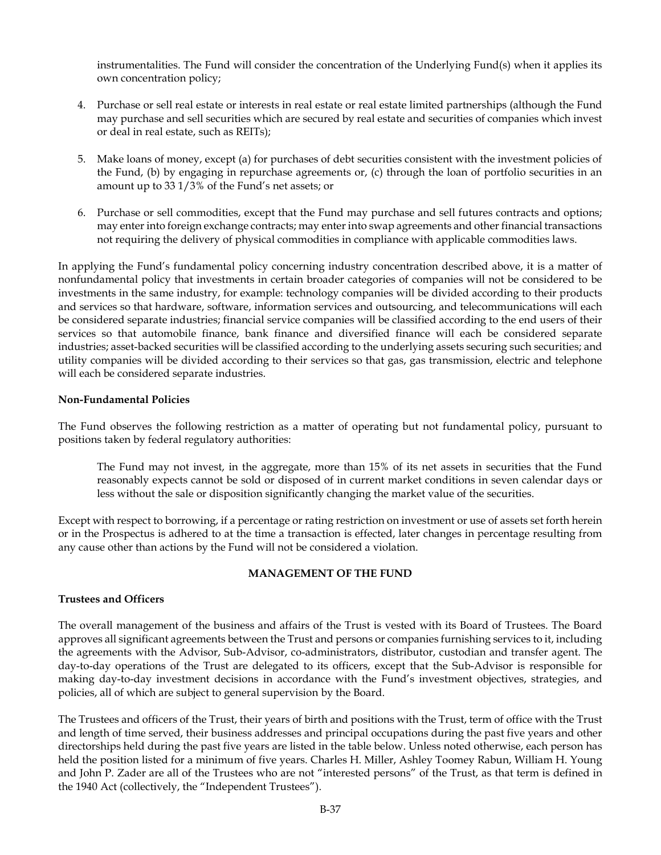instrumentalities. The Fund will consider the concentration of the Underlying Fund(s) when it applies its own concentration policy;

- 4. Purchase or sell real estate or interests in real estate or real estate limited partnerships (although the Fund may purchase and sell securities which are secured by real estate and securities of companies which invest or deal in real estate, such as REITs);
- 5. Make loans of money, except (a) for purchases of debt securities consistent with the investment policies of the Fund, (b) by engaging in repurchase agreements or, (c) through the loan of portfolio securities in an amount up to 33 1/3% of the Fund's net assets; or
- 6. Purchase or sell commodities, except that the Fund may purchase and sell futures contracts and options; may enter into foreign exchange contracts; may enter into swap agreements and other financial transactions not requiring the delivery of physical commodities in compliance with applicable commodities laws.

In applying the Fund's fundamental policy concerning industry concentration described above, it is a matter of nonfundamental policy that investments in certain broader categories of companies will not be considered to be investments in the same industry, for example: technology companies will be divided according to their products and services so that hardware, software, information services and outsourcing, and telecommunications will each be considered separate industries; financial service companies will be classified according to the end users of their services so that automobile finance, bank finance and diversified finance will each be considered separate industries; asset-backed securities will be classified according to the underlying assets securing such securities; and utility companies will be divided according to their services so that gas, gas transmission, electric and telephone will each be considered separate industries.

#### **Non-Fundamental Policies**

The Fund observes the following restriction as a matter of operating but not fundamental policy, pursuant to positions taken by federal regulatory authorities:

The Fund may not invest, in the aggregate, more than 15% of its net assets in securities that the Fund reasonably expects cannot be sold or disposed of in current market conditions in seven calendar days or less without the sale or disposition significantly changing the market value of the securities.

Except with respect to borrowing, if a percentage or rating restriction on investment or use of assets set forth herein or in the Prospectus is adhered to at the time a transaction is effected, later changes in percentage resulting from any cause other than actions by the Fund will not be considered a violation.

## **MANAGEMENT OF THE FUND**

## **Trustees and Officers**

The overall management of the business and affairs of the Trust is vested with its Board of Trustees. The Board approves all significant agreements between the Trust and persons or companies furnishing services to it, including the agreements with the Advisor, Sub-Advisor, co-administrators, distributor, custodian and transfer agent. The day-to-day operations of the Trust are delegated to its officers, except that the Sub-Advisor is responsible for making day-to-day investment decisions in accordance with the Fund's investment objectives, strategies, and policies, all of which are subject to general supervision by the Board.

The Trustees and officers of the Trust, their years of birth and positions with the Trust, term of office with the Trust and length of time served, their business addresses and principal occupations during the past five years and other directorships held during the past five years are listed in the table below. Unless noted otherwise, each person has held the position listed for a minimum of five years. Charles H. Miller, Ashley Toomey Rabun, William H. Young and John P. Zader are all of the Trustees who are not "interested persons" of the Trust, as that term is defined in the 1940 Act (collectively, the "Independent Trustees").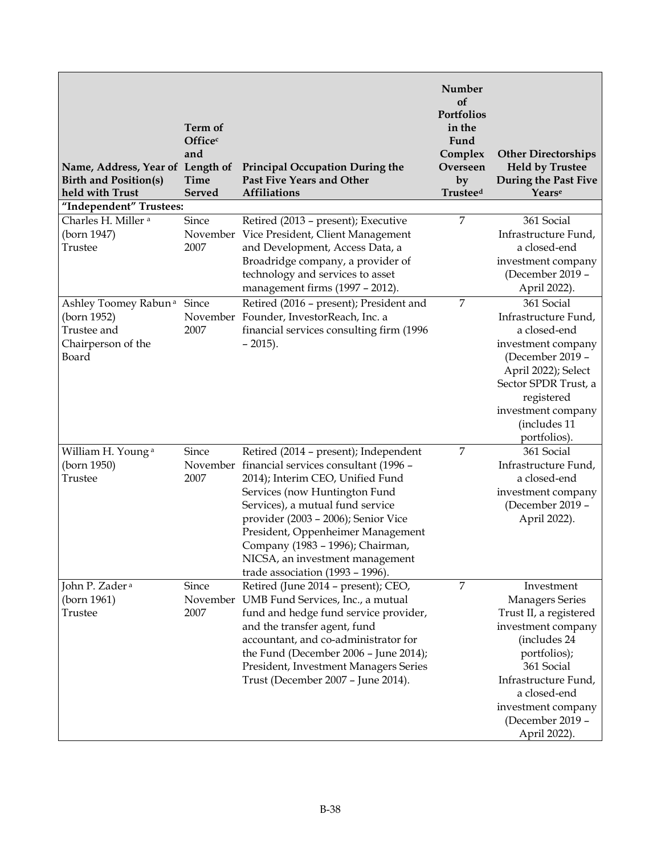| Name, Address, Year of Length of<br><b>Birth and Position(s)</b><br>held with Trust                 | Term of<br>Officec<br>and<br>Time<br><b>Served</b> | <b>Principal Occupation During the</b><br>Past Five Years and Other<br><b>Affiliations</b>                                                                                                                                                                                                                                                                                              | Number<br>of<br>Portfolios<br>in the<br>Fund<br>Complex<br>Overseen<br>by<br>Trusteed | <b>Other Directorships</b><br><b>Held by Trustee</b><br><b>During the Past Five</b><br>Yearse                                                                                                                                        |
|-----------------------------------------------------------------------------------------------------|----------------------------------------------------|-----------------------------------------------------------------------------------------------------------------------------------------------------------------------------------------------------------------------------------------------------------------------------------------------------------------------------------------------------------------------------------------|---------------------------------------------------------------------------------------|--------------------------------------------------------------------------------------------------------------------------------------------------------------------------------------------------------------------------------------|
| "Independent" Trustees:                                                                             |                                                    |                                                                                                                                                                                                                                                                                                                                                                                         |                                                                                       |                                                                                                                                                                                                                                      |
| Charles H. Miller <sup>a</sup><br>(born 1947)<br>Trustee                                            | Since<br>2007                                      | Retired (2013 - present); Executive<br>November Vice President, Client Management<br>and Development, Access Data, a<br>Broadridge company, a provider of<br>technology and services to asset<br>management firms (1997 - 2012).                                                                                                                                                        | $\overline{7}$                                                                        | 361 Social<br>Infrastructure Fund,<br>a closed-end<br>investment company<br>(December 2019 -<br>April 2022).                                                                                                                         |
| Ashley Toomey Rabun <sup>a</sup> Since<br>(born 1952)<br>Trustee and<br>Chairperson of the<br>Board | 2007                                               | Retired (2016 - present); President and<br>November Founder, InvestorReach, Inc. a<br>financial services consulting firm (1996)<br>$-2015$ ).                                                                                                                                                                                                                                           | $\overline{7}$                                                                        | 361 Social<br>Infrastructure Fund,<br>a closed-end<br>investment company<br>(December 2019 -<br>April 2022); Select<br>Sector SPDR Trust, a<br>registered<br>investment company<br>(includes 11<br>portfolios).                      |
| William H. Young <sup>a</sup><br>(born 1950)<br>Trustee                                             | Since<br>2007                                      | Retired (2014 - present); Independent<br>November financial services consultant (1996 -<br>2014); Interim CEO, Unified Fund<br>Services (now Huntington Fund<br>Services), a mutual fund service<br>provider (2003 - 2006); Senior Vice<br>President, Oppenheimer Management<br>Company (1983 - 1996); Chairman,<br>NICSA, an investment management<br>trade association (1993 - 1996). | 7                                                                                     | 361 Social<br>Infrastructure Fund,<br>a closed-end<br>investment company<br>(December 2019 -<br>April 2022).                                                                                                                         |
| John P. Zader <sup>a</sup><br>(born 1961)<br>Trustee                                                | Since<br>2007                                      | Retired (June 2014 - present); CEO,<br>November UMB Fund Services, Inc., a mutual<br>fund and hedge fund service provider,<br>and the transfer agent, fund<br>accountant, and co-administrator for<br>the Fund (December 2006 - June 2014);<br>President, Investment Managers Series<br>Trust (December 2007 - June 2014).                                                              | 7                                                                                     | Investment<br><b>Managers Series</b><br>Trust II, a registered<br>investment company<br>(includes 24<br>portfolios);<br>361 Social<br>Infrastructure Fund,<br>a closed-end<br>investment company<br>(December 2019 -<br>April 2022). |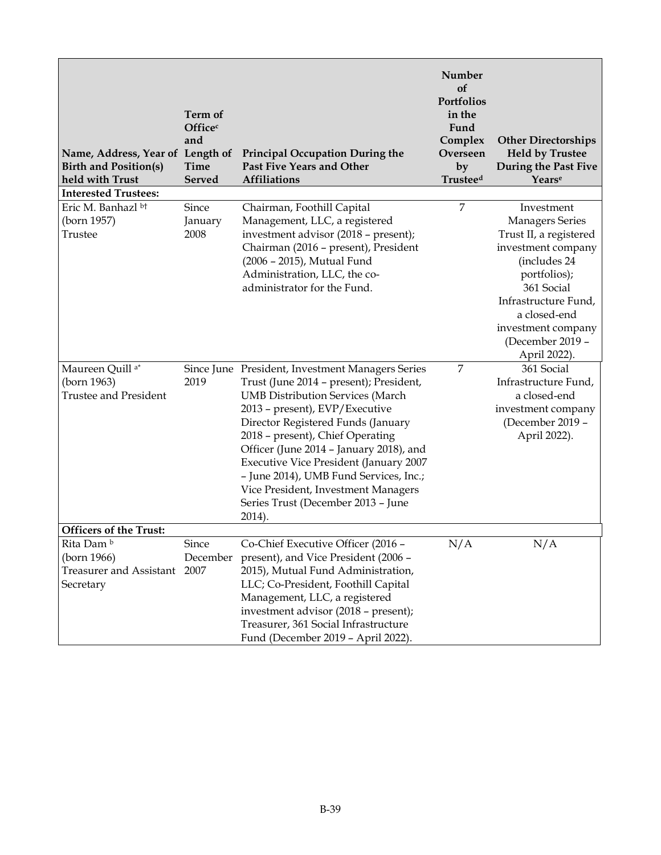| Name, Address, Year of Length of<br><b>Birth and Position(s)</b><br>held with Trust | Term of<br>Officec<br>and<br><b>Time</b><br><b>Served</b> | <b>Principal Occupation During the</b><br>Past Five Years and Other<br><b>Affiliations</b>                                                                                                                                                                                                                                                                                                                                  | Number<br>of<br>Portfolios<br>in the<br>Fund<br>Complex<br>Overseen<br>by<br>Trusteed | <b>Other Directorships</b><br><b>Held by Trustee</b><br><b>During the Past Five</b><br>Yearse                                                                                                                                        |
|-------------------------------------------------------------------------------------|-----------------------------------------------------------|-----------------------------------------------------------------------------------------------------------------------------------------------------------------------------------------------------------------------------------------------------------------------------------------------------------------------------------------------------------------------------------------------------------------------------|---------------------------------------------------------------------------------------|--------------------------------------------------------------------------------------------------------------------------------------------------------------------------------------------------------------------------------------|
| <b>Interested Trustees:</b>                                                         |                                                           |                                                                                                                                                                                                                                                                                                                                                                                                                             |                                                                                       |                                                                                                                                                                                                                                      |
| Eric M. Banhazl bt<br>(born 1957)<br>Trustee                                        | Since<br>January<br>2008                                  | Chairman, Foothill Capital<br>Management, LLC, a registered<br>investment advisor (2018 - present);<br>Chairman (2016 - present), President<br>(2006 - 2015), Mutual Fund<br>Administration, LLC, the co-<br>administrator for the Fund.                                                                                                                                                                                    | 7                                                                                     | Investment<br><b>Managers Series</b><br>Trust II, a registered<br>investment company<br>(includes 24<br>portfolios);<br>361 Social<br>Infrastructure Fund,<br>a closed-end<br>investment company<br>(December 2019 -<br>April 2022). |
| Maureen Quill <sup>a*</sup>                                                         |                                                           | Since June President, Investment Managers Series                                                                                                                                                                                                                                                                                                                                                                            | $\overline{7}$                                                                        | 361 Social                                                                                                                                                                                                                           |
| (born 1963)<br><b>Trustee and President</b>                                         | 2019                                                      | Trust (June 2014 - present); President,<br><b>UMB Distribution Services (March</b><br>2013 - present), EVP/Executive<br>Director Registered Funds (January<br>2018 - present), Chief Operating<br>Officer (June 2014 - January 2018), and<br><b>Executive Vice President (January 2007</b><br>- June 2014), UMB Fund Services, Inc.;<br>Vice President, Investment Managers<br>Series Trust (December 2013 - June<br>2014). |                                                                                       | Infrastructure Fund,<br>a closed-end<br>investment company<br>(December 2019 -<br>April 2022).                                                                                                                                       |
| Officers of the Trust:                                                              |                                                           |                                                                                                                                                                                                                                                                                                                                                                                                                             |                                                                                       |                                                                                                                                                                                                                                      |
| Rita Dam b<br>(born 1966)<br>Treasurer and Assistant 2007<br>Secretary              | <b>Since</b><br>December                                  | Co-Chief Executive Officer (2016 -<br>present), and Vice President (2006 -<br>2015), Mutual Fund Administration,<br>LLC; Co-President, Foothill Capital<br>Management, LLC, a registered<br>investment advisor (2018 - present);<br>Treasurer, 361 Social Infrastructure<br>Fund (December 2019 - April 2022).                                                                                                              | N/A                                                                                   | N/A                                                                                                                                                                                                                                  |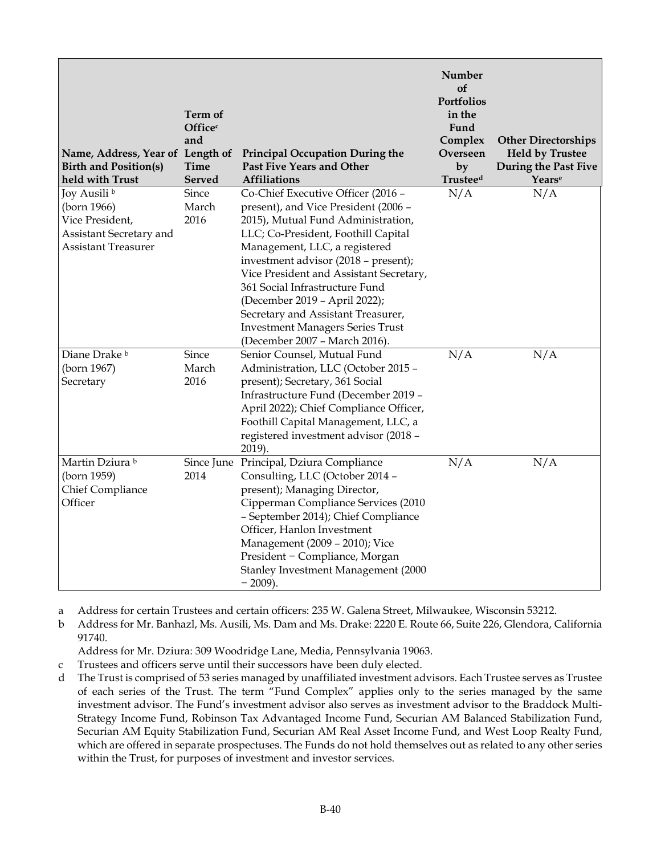| Name, Address, Year of Length of<br><b>Birth and Position(s)</b><br>held with Trust                                | Term of<br>Officec<br>and<br><b>Time</b><br><b>Served</b> | <b>Principal Occupation During the</b><br>Past Five Years and Other<br><b>Affiliations</b>                                                                                                                                                                                                                                                                                                                                                                       | <b>Number</b><br><b>of</b><br>Portfolios<br>in the<br>Fund<br>Complex<br>Overseen<br>by<br>Trusteed | <b>Other Directorships</b><br><b>Held by Trustee</b><br>During the Past Five<br>Yearse |
|--------------------------------------------------------------------------------------------------------------------|-----------------------------------------------------------|------------------------------------------------------------------------------------------------------------------------------------------------------------------------------------------------------------------------------------------------------------------------------------------------------------------------------------------------------------------------------------------------------------------------------------------------------------------|-----------------------------------------------------------------------------------------------------|----------------------------------------------------------------------------------------|
| Joy Ausili <sup>b</sup><br>(born 1966)<br>Vice President,<br>Assistant Secretary and<br><b>Assistant Treasurer</b> | Since<br>March<br>2016                                    | Co-Chief Executive Officer (2016 -<br>present), and Vice President (2006 -<br>2015), Mutual Fund Administration,<br>LLC; Co-President, Foothill Capital<br>Management, LLC, a registered<br>investment advisor (2018 - present);<br>Vice President and Assistant Secretary,<br>361 Social Infrastructure Fund<br>(December 2019 - April 2022);<br>Secretary and Assistant Treasurer,<br><b>Investment Managers Series Trust</b><br>(December 2007 - March 2016). | N/A                                                                                                 | N/A                                                                                    |
| Diane Drake <sup>b</sup><br>(born 1967)<br>Secretary                                                               | <b>Since</b><br>March<br>2016                             | Senior Counsel, Mutual Fund<br>Administration, LLC (October 2015 -<br>present); Secretary, 361 Social<br>Infrastructure Fund (December 2019 -<br>April 2022); Chief Compliance Officer,<br>Foothill Capital Management, LLC, a<br>registered investment advisor (2018 -<br>2019).                                                                                                                                                                                | $\overline{N/A}$                                                                                    | N/A                                                                                    |
| Martin Dziura b<br>(born 1959)<br>Chief Compliance<br>Officer                                                      | 2014                                                      | Since June Principal, Dziura Compliance<br>Consulting, LLC (October 2014 -<br>present); Managing Director,<br>Cipperman Compliance Services (2010<br>- September 2014); Chief Compliance<br>Officer, Hanlon Investment<br>Management (2009 - 2010); Vice<br>President - Compliance, Morgan<br>Stanley Investment Management (2000<br>$-2009$ ).                                                                                                                  | N/A                                                                                                 | N/A                                                                                    |

a Address for certain Trustees and certain officers: 235 W. Galena Street, Milwaukee, Wisconsin 53212.

b Address for Mr. Banhazl, Ms. Ausili, Ms. Dam and Ms. Drake: 2220 E. Route 66, Suite 226, Glendora, California 91740.

Address for Mr. Dziura: 309 Woodridge Lane, Media, Pennsylvania 19063.

c Trustees and officers serve until their successors have been duly elected.

d The Trust is comprised of 53 series managed by unaffiliated investment advisors. Each Trustee serves as Trustee of each series of the Trust. The term "Fund Complex" applies only to the series managed by the same investment advisor. The Fund's investment advisor also serves as investment advisor to the Braddock Multi-Strategy Income Fund, Robinson Tax Advantaged Income Fund, Securian AM Balanced Stabilization Fund, Securian AM Equity Stabilization Fund, Securian AM Real Asset Income Fund, and West Loop Realty Fund, which are offered in separate prospectuses. The Funds do not hold themselves out as related to any other series within the Trust, for purposes of investment and investor services.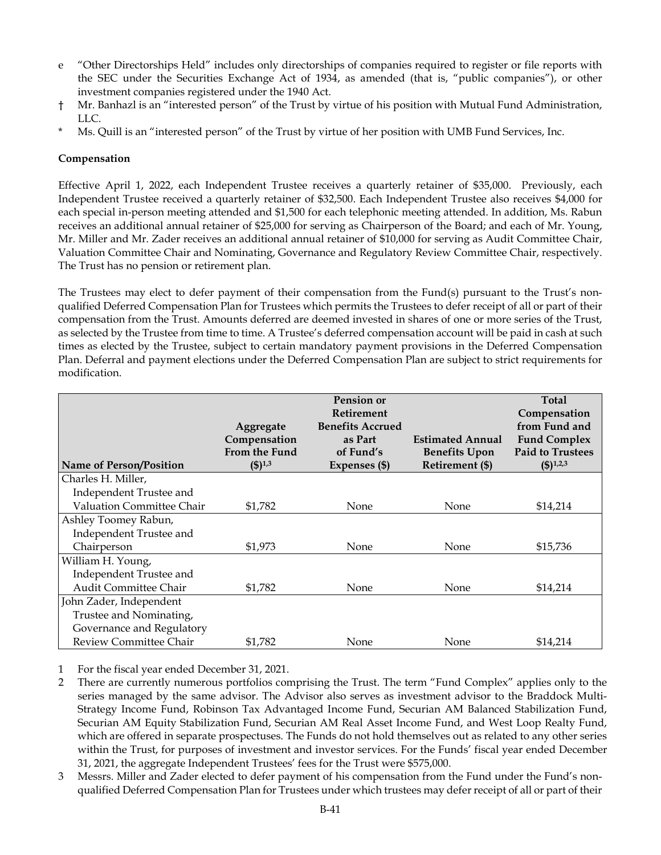- e "Other Directorships Held" includes only directorships of companies required to register or file reports with the SEC under the Securities Exchange Act of 1934, as amended (that is, "public companies"), or other investment companies registered under the 1940 Act.
- † Mr. Banhazl is an "interested person" of the Trust by virtue of his position with Mutual Fund Administration, LLC.
- Ms. Quill is an "interested person" of the Trust by virtue of her position with UMB Fund Services, Inc.

## **Compensation**

Effective April 1, 2022, each Independent Trustee receives a quarterly retainer of \$35,000. Previously, each Independent Trustee received a quarterly retainer of \$32,500. Each Independent Trustee also receives \$4,000 for each special in-person meeting attended and \$1,500 for each telephonic meeting attended. In addition, Ms. Rabun receives an additional annual retainer of \$25,000 for serving as Chairperson of the Board; and each of Mr. Young, Mr. Miller and Mr. Zader receives an additional annual retainer of \$10,000 for serving as Audit Committee Chair, Valuation Committee Chair and Nominating, Governance and Regulatory Review Committee Chair, respectively. The Trust has no pension or retirement plan.

The Trustees may elect to defer payment of their compensation from the Fund(s) pursuant to the Trust's nonqualified Deferred Compensation Plan for Trustees which permits the Trustees to defer receipt of all or part of their compensation from the Trust. Amounts deferred are deemed invested in shares of one or more series of the Trust, as selected by the Trustee from time to time. A Trustee's deferred compensation account will be paid in cash at such times as elected by the Trustee, subject to certain mandatory payment provisions in the Deferred Compensation Plan. Deferral and payment elections under the Deferred Compensation Plan are subject to strict requirements for modification.

| <b>Name of Person/Position</b> | Aggregate<br>Compensation<br>From the Fund<br>$($ \$) <sup>1,3</sup> | <b>Pension or</b><br><b>Retirement</b><br><b>Benefits Accrued</b><br>as Part<br>of Fund's<br>Expenses (\$) | <b>Estimated Annual</b><br><b>Benefits Upon</b><br>Retirement (\$) | <b>Total</b><br>Compensation<br>from Fund and<br><b>Fund Complex</b><br><b>Paid to Trustees</b><br>$($ \$) <sup>1,2,3</sup> |
|--------------------------------|----------------------------------------------------------------------|------------------------------------------------------------------------------------------------------------|--------------------------------------------------------------------|-----------------------------------------------------------------------------------------------------------------------------|
| Charles H. Miller,             |                                                                      |                                                                                                            |                                                                    |                                                                                                                             |
| Independent Trustee and        |                                                                      |                                                                                                            |                                                                    |                                                                                                                             |
| Valuation Committee Chair      | \$1,782                                                              | None                                                                                                       | None                                                               | \$14,214                                                                                                                    |
| Ashley Toomey Rabun,           |                                                                      |                                                                                                            |                                                                    |                                                                                                                             |
| Independent Trustee and        |                                                                      |                                                                                                            |                                                                    |                                                                                                                             |
| Chairperson                    | \$1,973                                                              | None                                                                                                       | None                                                               | \$15,736                                                                                                                    |
| William H. Young,              |                                                                      |                                                                                                            |                                                                    |                                                                                                                             |
| Independent Trustee and        |                                                                      |                                                                                                            |                                                                    |                                                                                                                             |
| Audit Committee Chair          | \$1,782                                                              | None                                                                                                       | None                                                               | \$14,214                                                                                                                    |
| John Zader, Independent        |                                                                      |                                                                                                            |                                                                    |                                                                                                                             |
| Trustee and Nominating,        |                                                                      |                                                                                                            |                                                                    |                                                                                                                             |
| Governance and Regulatory      |                                                                      |                                                                                                            |                                                                    |                                                                                                                             |
| Review Committee Chair         | \$1,782                                                              | None                                                                                                       | None                                                               | \$14,214                                                                                                                    |

1 For the fiscal year ended December 31, 2021.

- 2 There are currently numerous portfolios comprising the Trust. The term "Fund Complex" applies only to the series managed by the same advisor. The Advisor also serves as investment advisor to the Braddock Multi-Strategy Income Fund, Robinson Tax Advantaged Income Fund, Securian AM Balanced Stabilization Fund, Securian AM Equity Stabilization Fund, Securian AM Real Asset Income Fund, and West Loop Realty Fund, which are offered in separate prospectuses. The Funds do not hold themselves out as related to any other series within the Trust, for purposes of investment and investor services. For the Funds' fiscal year ended December 31, 2021, the aggregate Independent Trustees' fees for the Trust were \$575,000.
- 3 Messrs. Miller and Zader elected to defer payment of his compensation from the Fund under the Fund's nonqualified Deferred Compensation Plan for Trustees under which trustees may defer receipt of all or part of their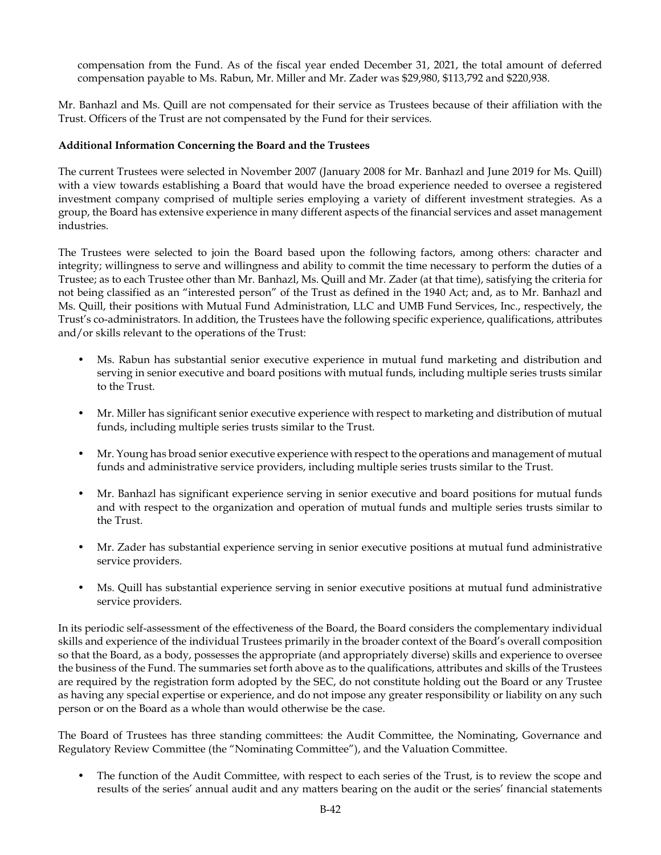compensation from the Fund. As of the fiscal year ended December 31, 2021, the total amount of deferred compensation payable to Ms. Rabun, Mr. Miller and Mr. Zader was \$29,980, \$113,792 and \$220,938.

Mr. Banhazl and Ms. Quill are not compensated for their service as Trustees because of their affiliation with the Trust. Officers of the Trust are not compensated by the Fund for their services.

## **Additional Information Concerning the Board and the Trustees**

The current Trustees were selected in November 2007 (January 2008 for Mr. Banhazl and June 2019 for Ms. Quill) with a view towards establishing a Board that would have the broad experience needed to oversee a registered investment company comprised of multiple series employing a variety of different investment strategies. As a group, the Board has extensive experience in many different aspects of the financial services and asset management industries.

The Trustees were selected to join the Board based upon the following factors, among others: character and integrity; willingness to serve and willingness and ability to commit the time necessary to perform the duties of a Trustee; as to each Trustee other than Mr. Banhazl, Ms. Quill and Mr. Zader (at that time), satisfying the criteria for not being classified as an "interested person" of the Trust as defined in the 1940 Act; and, as to Mr. Banhazl and Ms. Quill, their positions with Mutual Fund Administration, LLC and UMB Fund Services, Inc., respectively, the Trust's co-administrators. In addition, the Trustees have the following specific experience, qualifications, attributes and/or skills relevant to the operations of the Trust:

- Ms. Rabun has substantial senior executive experience in mutual fund marketing and distribution and serving in senior executive and board positions with mutual funds, including multiple series trusts similar to the Trust.
- Mr. Miller has significant senior executive experience with respect to marketing and distribution of mutual funds, including multiple series trusts similar to the Trust.
- Mr. Young has broad senior executive experience with respect to the operations and management of mutual funds and administrative service providers, including multiple series trusts similar to the Trust.
- Mr. Banhazl has significant experience serving in senior executive and board positions for mutual funds and with respect to the organization and operation of mutual funds and multiple series trusts similar to the Trust.
- Mr. Zader has substantial experience serving in senior executive positions at mutual fund administrative service providers.
- Ms. Quill has substantial experience serving in senior executive positions at mutual fund administrative service providers.

In its periodic self-assessment of the effectiveness of the Board, the Board considers the complementary individual skills and experience of the individual Trustees primarily in the broader context of the Board's overall composition so that the Board, as a body, possesses the appropriate (and appropriately diverse) skills and experience to oversee the business of the Fund. The summaries set forth above as to the qualifications, attributes and skills of the Trustees are required by the registration form adopted by the SEC, do not constitute holding out the Board or any Trustee as having any special expertise or experience, and do not impose any greater responsibility or liability on any such person or on the Board as a whole than would otherwise be the case.

The Board of Trustees has three standing committees: the Audit Committee, the Nominating, Governance and Regulatory Review Committee (the "Nominating Committee"), and the Valuation Committee.

The function of the Audit Committee, with respect to each series of the Trust, is to review the scope and results of the series' annual audit and any matters bearing on the audit or the series' financial statements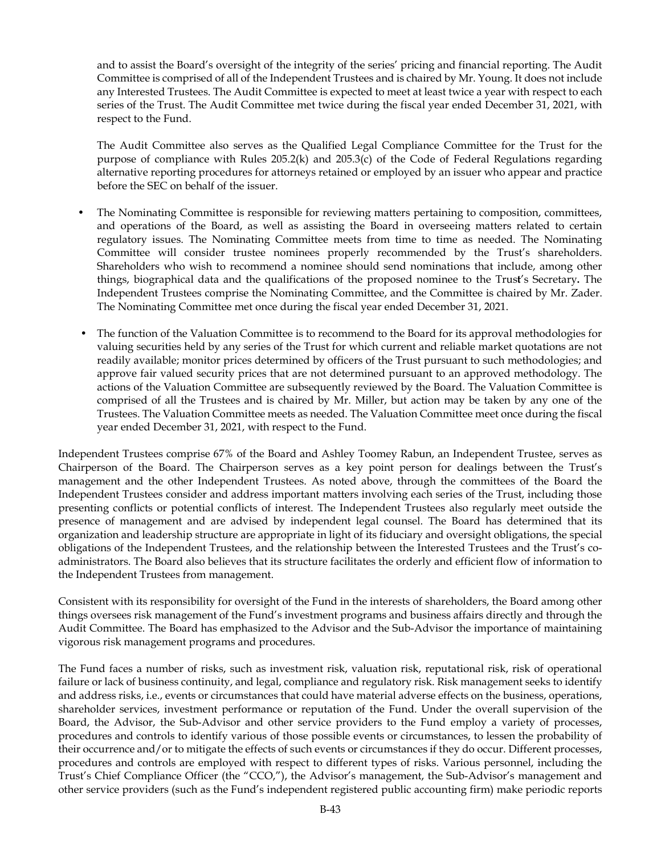and to assist the Board's oversight of the integrity of the series' pricing and financial reporting. The Audit Committee is comprised of all of the Independent Trustees and is chaired by Mr. Young. It does not include any Interested Trustees. The Audit Committee is expected to meet at least twice a year with respect to each series of the Trust. The Audit Committee met twice during the fiscal year ended December 31, 2021, with respect to the Fund.

The Audit Committee also serves as the Qualified Legal Compliance Committee for the Trust for the purpose of compliance with Rules 205.2(k) and 205.3(c) of the Code of Federal Regulations regarding alternative reporting procedures for attorneys retained or employed by an issuer who appear and practice before the SEC on behalf of the issuer.

- The Nominating Committee is responsible for reviewing matters pertaining to composition, committees, and operations of the Board, as well as assisting the Board in overseeing matters related to certain regulatory issues. The Nominating Committee meets from time to time as needed. The Nominating Committee will consider trustee nominees properly recommended by the Trust's shareholders. Shareholders who wish to recommend a nominee should send nominations that include, among other things, biographical data and the qualifications of the proposed nominee to the Trus**t**'s Secretary**.** The Independent Trustees comprise the Nominating Committee, and the Committee is chaired by Mr. Zader. The Nominating Committee met once during the fiscal year ended December 31, 2021.
- The function of the Valuation Committee is to recommend to the Board for its approval methodologies for valuing securities held by any series of the Trust for which current and reliable market quotations are not readily available; monitor prices determined by officers of the Trust pursuant to such methodologies; and approve fair valued security prices that are not determined pursuant to an approved methodology. The actions of the Valuation Committee are subsequently reviewed by the Board. The Valuation Committee is comprised of all the Trustees and is chaired by Mr. Miller, but action may be taken by any one of the Trustees. The Valuation Committee meets as needed. The Valuation Committee meet once during the fiscal year ended December 31, 2021, with respect to the Fund.

Independent Trustees comprise 67% of the Board and Ashley Toomey Rabun, an Independent Trustee, serves as Chairperson of the Board. The Chairperson serves as a key point person for dealings between the Trust's management and the other Independent Trustees. As noted above, through the committees of the Board the Independent Trustees consider and address important matters involving each series of the Trust, including those presenting conflicts or potential conflicts of interest. The Independent Trustees also regularly meet outside the presence of management and are advised by independent legal counsel. The Board has determined that its organization and leadership structure are appropriate in light of its fiduciary and oversight obligations, the special obligations of the Independent Trustees, and the relationship between the Interested Trustees and the Trust's coadministrators. The Board also believes that its structure facilitates the orderly and efficient flow of information to the Independent Trustees from management.

Consistent with its responsibility for oversight of the Fund in the interests of shareholders, the Board among other things oversees risk management of the Fund's investment programs and business affairs directly and through the Audit Committee. The Board has emphasized to the Advisor and the Sub-Advisor the importance of maintaining vigorous risk management programs and procedures.

The Fund faces a number of risks, such as investment risk, valuation risk, reputational risk, risk of operational failure or lack of business continuity, and legal, compliance and regulatory risk. Risk management seeks to identify and address risks, i.e., events or circumstances that could have material adverse effects on the business, operations, shareholder services, investment performance or reputation of the Fund. Under the overall supervision of the Board, the Advisor, the Sub-Advisor and other service providers to the Fund employ a variety of processes, procedures and controls to identify various of those possible events or circumstances, to lessen the probability of their occurrence and/or to mitigate the effects of such events or circumstances if they do occur. Different processes, procedures and controls are employed with respect to different types of risks. Various personnel, including the Trust's Chief Compliance Officer (the "CCO,"), the Advisor's management, the Sub-Advisor's management and other service providers (such as the Fund's independent registered public accounting firm) make periodic reports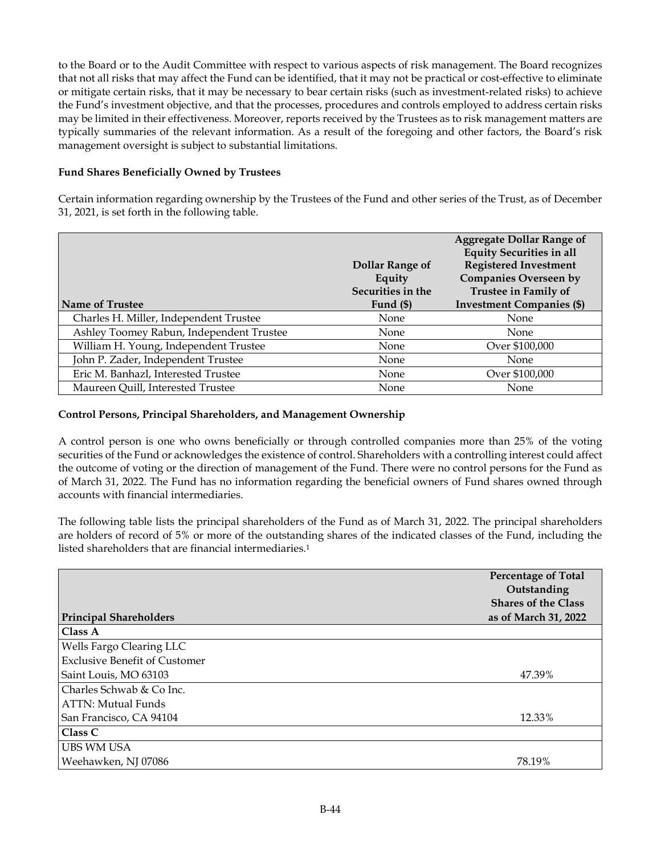to the Board or to the Audit Committee with respect to various aspects of risk management. The Board recognizes that not all risks that may affect the Fund can be identified, that it may not be practical or cost-effective to eliminate or mitigate certain risks, that it may be necessary to bear certain risks (such as investment-related risks) to achieve the Fund's investment objective, and that the processes, procedures and controls employed to address certain risks may be limited in their effectiveness. Moreover, reports received by the Trustees as to risk management matters are typically summaries of the relevant information. As a result of the foregoing and other factors, the Board's risk management oversight is subject to substantial limitations.

## **Fund Shares Beneficially Owned by Trustees**

Certain information regarding ownership by the Trustees of the Fund and other series of the Trust, as of December 31, 2021, is set forth in the following table.

|                                          | Dollar Range of<br>Equity<br>Securities in the | <b>Aggregate Dollar Range of</b><br><b>Equity Securities in all</b><br><b>Registered Investment</b><br><b>Companies Overseen by</b><br><b>Trustee in Family of</b> |
|------------------------------------------|------------------------------------------------|--------------------------------------------------------------------------------------------------------------------------------------------------------------------|
| <b>Name of Trustee</b>                   | Fund $(\$)$                                    | <b>Investment Companies (\$)</b>                                                                                                                                   |
| Charles H. Miller, Independent Trustee   | None                                           | None                                                                                                                                                               |
| Ashley Toomey Rabun, Independent Trustee | None                                           | <b>None</b>                                                                                                                                                        |
| William H. Young, Independent Trustee    | None                                           | Over \$100,000                                                                                                                                                     |
| John P. Zader, Independent Trustee       | None                                           | None                                                                                                                                                               |
| Eric M. Banhazl, Interested Trustee      | None                                           | Over \$100,000                                                                                                                                                     |
| Maureen Quill, Interested Trustee        | None                                           | <b>None</b>                                                                                                                                                        |

## **Control Persons, Principal Shareholders, and Management Ownership**

A control person is one who owns beneficially or through controlled companies more than 25% of the voting securities of the Fund or acknowledges the existence of control. Shareholders with a controlling interest could affect the outcome of voting or the direction of management of the Fund. There were no control persons for the Fund as of March 31, 2022. The Fund has no information regarding the beneficial owners of Fund shares owned through accounts with financial intermediaries.

The following table lists the principal shareholders of the Fund as of March 31, 2022. The principal shareholders are holders of record of 5% or more of the outstanding shares of the indicated classes of the Fund, including the listed shareholders that are financial intermediaries.1

| <b>Principal Shareholders</b>        | <b>Percentage of Total</b><br>Outstanding<br><b>Shares of the Class</b><br>as of March 31, 2022 |
|--------------------------------------|-------------------------------------------------------------------------------------------------|
| Class A                              |                                                                                                 |
| Wells Fargo Clearing LLC             |                                                                                                 |
| <b>Exclusive Benefit of Customer</b> |                                                                                                 |
| Saint Louis, MO 63103                | 47.39%                                                                                          |
| Charles Schwab & Co Inc.             |                                                                                                 |
| <b>ATTN: Mutual Funds</b>            |                                                                                                 |
| San Francisco, CA 94104              | 12.33%                                                                                          |
| Class C                              |                                                                                                 |
| UBS WM USA                           |                                                                                                 |
| Weehawken, NJ 07086                  | 78.19%                                                                                          |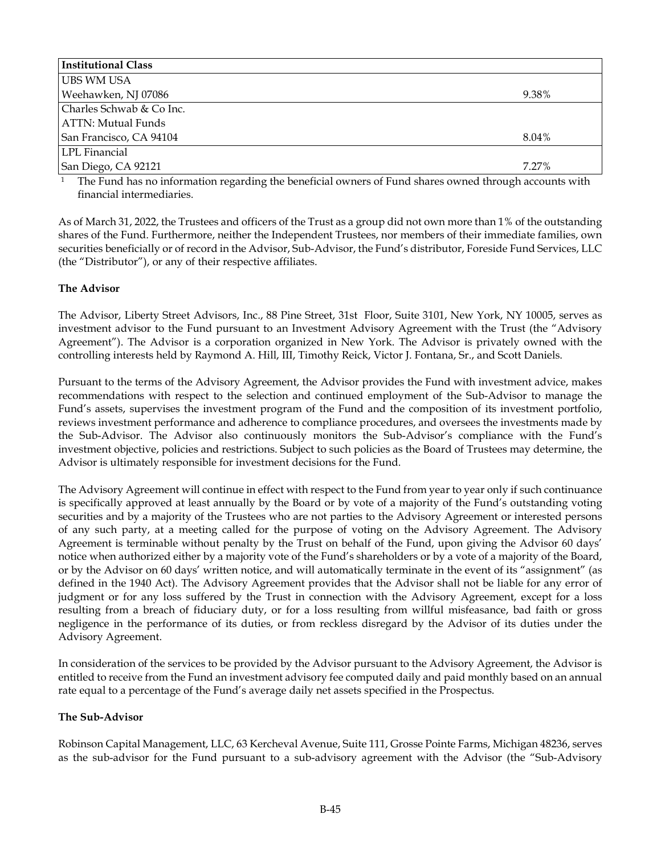| Institutional Class       |       |
|---------------------------|-------|
| UBS WM USA                |       |
| Weehawken, NJ 07086       | 9.38% |
| Charles Schwab & Co Inc.  |       |
| <b>ATTN: Mutual Funds</b> |       |
| San Francisco, CA 94104   | 8.04% |
| LPL Financial             |       |
| San Diego, CA 92121       | 7.27% |

<sup>1</sup> The Fund has no information regarding the beneficial owners of Fund shares owned through accounts with financial intermediaries.

As of March 31, 2022, the Trustees and officers of the Trust as a group did not own more than 1% of the outstanding shares of the Fund. Furthermore, neither the Independent Trustees, nor members of their immediate families, own securities beneficially or of record in the Advisor, Sub-Advisor, the Fund's distributor, Foreside Fund Services, LLC (the "Distributor"), or any of their respective affiliates.

#### **The Advisor**

The Advisor, Liberty Street Advisors, Inc., 88 Pine Street, 31st Floor, Suite 3101, New York, NY 10005, serves as investment advisor to the Fund pursuant to an Investment Advisory Agreement with the Trust (the "Advisory Agreement"). The Advisor is a corporation organized in New York. The Advisor is privately owned with the controlling interests held by Raymond A. Hill, III, Timothy Reick, Victor J. Fontana, Sr., and Scott Daniels.

Pursuant to the terms of the Advisory Agreement, the Advisor provides the Fund with investment advice, makes recommendations with respect to the selection and continued employment of the Sub-Advisor to manage the Fund's assets, supervises the investment program of the Fund and the composition of its investment portfolio, reviews investment performance and adherence to compliance procedures, and oversees the investments made by the Sub-Advisor. The Advisor also continuously monitors the Sub-Advisor's compliance with the Fund's investment objective, policies and restrictions. Subject to such policies as the Board of Trustees may determine, the Advisor is ultimately responsible for investment decisions for the Fund.

The Advisory Agreement will continue in effect with respect to the Fund from year to year only if such continuance is specifically approved at least annually by the Board or by vote of a majority of the Fund's outstanding voting securities and by a majority of the Trustees who are not parties to the Advisory Agreement or interested persons of any such party, at a meeting called for the purpose of voting on the Advisory Agreement. The Advisory Agreement is terminable without penalty by the Trust on behalf of the Fund, upon giving the Advisor 60 days' notice when authorized either by a majority vote of the Fund's shareholders or by a vote of a majority of the Board, or by the Advisor on 60 days' written notice, and will automatically terminate in the event of its "assignment" (as defined in the 1940 Act). The Advisory Agreement provides that the Advisor shall not be liable for any error of judgment or for any loss suffered by the Trust in connection with the Advisory Agreement, except for a loss resulting from a breach of fiduciary duty, or for a loss resulting from willful misfeasance, bad faith or gross negligence in the performance of its duties, or from reckless disregard by the Advisor of its duties under the Advisory Agreement.

In consideration of the services to be provided by the Advisor pursuant to the Advisory Agreement, the Advisor is entitled to receive from the Fund an investment advisory fee computed daily and paid monthly based on an annual rate equal to a percentage of the Fund's average daily net assets specified in the Prospectus.

#### **The Sub-Advisor**

Robinson Capital Management, LLC, 63 Kercheval Avenue, Suite 111, Grosse Pointe Farms, Michigan 48236, serves as the sub-advisor for the Fund pursuant to a sub-advisory agreement with the Advisor (the "Sub-Advisory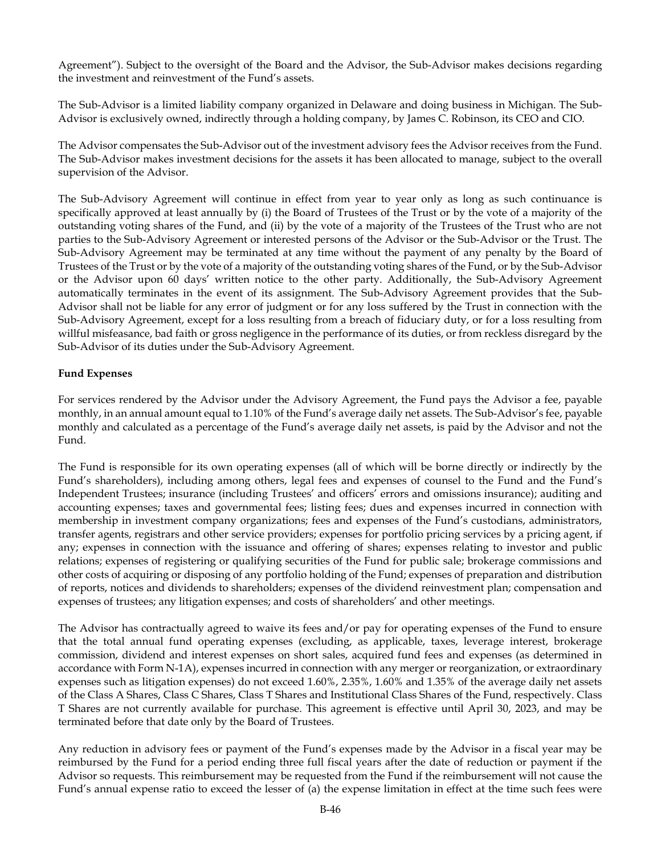Agreement"). Subject to the oversight of the Board and the Advisor, the Sub-Advisor makes decisions regarding the investment and reinvestment of the Fund's assets.

The Sub-Advisor is a limited liability company organized in Delaware and doing business in Michigan. The Sub-Advisor is exclusively owned, indirectly through a holding company, by James C. Robinson, its CEO and CIO.

The Advisor compensates the Sub-Advisor out of the investment advisory fees the Advisor receives from the Fund. The Sub-Advisor makes investment decisions for the assets it has been allocated to manage, subject to the overall supervision of the Advisor.

The Sub-Advisory Agreement will continue in effect from year to year only as long as such continuance is specifically approved at least annually by (i) the Board of Trustees of the Trust or by the vote of a majority of the outstanding voting shares of the Fund, and (ii) by the vote of a majority of the Trustees of the Trust who are not parties to the Sub-Advisory Agreement or interested persons of the Advisor or the Sub-Advisor or the Trust. The Sub-Advisory Agreement may be terminated at any time without the payment of any penalty by the Board of Trustees of the Trust or by the vote of a majority of the outstanding voting shares of the Fund, or by the Sub-Advisor or the Advisor upon 60 days' written notice to the other party. Additionally, the Sub-Advisory Agreement automatically terminates in the event of its assignment. The Sub-Advisory Agreement provides that the Sub-Advisor shall not be liable for any error of judgment or for any loss suffered by the Trust in connection with the Sub-Advisory Agreement, except for a loss resulting from a breach of fiduciary duty, or for a loss resulting from willful misfeasance, bad faith or gross negligence in the performance of its duties, or from reckless disregard by the Sub-Advisor of its duties under the Sub-Advisory Agreement.

#### **Fund Expenses**

For services rendered by the Advisor under the Advisory Agreement, the Fund pays the Advisor a fee, payable monthly, in an annual amount equal to 1.10% of the Fund's average daily net assets. The Sub-Advisor's fee, payable monthly and calculated as a percentage of the Fund's average daily net assets, is paid by the Advisor and not the Fund.

The Fund is responsible for its own operating expenses (all of which will be borne directly or indirectly by the Fund's shareholders), including among others, legal fees and expenses of counsel to the Fund and the Fund's Independent Trustees; insurance (including Trustees' and officers' errors and omissions insurance); auditing and accounting expenses; taxes and governmental fees; listing fees; dues and expenses incurred in connection with membership in investment company organizations; fees and expenses of the Fund's custodians, administrators, transfer agents, registrars and other service providers; expenses for portfolio pricing services by a pricing agent, if any; expenses in connection with the issuance and offering of shares; expenses relating to investor and public relations; expenses of registering or qualifying securities of the Fund for public sale; brokerage commissions and other costs of acquiring or disposing of any portfolio holding of the Fund; expenses of preparation and distribution of reports, notices and dividends to shareholders; expenses of the dividend reinvestment plan; compensation and expenses of trustees; any litigation expenses; and costs of shareholders' and other meetings.

The Advisor has contractually agreed to waive its fees and/or pay for operating expenses of the Fund to ensure that the total annual fund operating expenses (excluding, as applicable, taxes, leverage interest, brokerage commission, dividend and interest expenses on short sales, acquired fund fees and expenses (as determined in accordance with Form N-1A), expenses incurred in connection with any merger or reorganization, or extraordinary expenses such as litigation expenses) do not exceed 1.60%, 2.35%, 1.60% and 1.35% of the average daily net assets of the Class A Shares, Class C Shares, Class T Shares and Institutional Class Shares of the Fund, respectively. Class T Shares are not currently available for purchase. This agreement is effective until April 30, 2023, and may be terminated before that date only by the Board of Trustees.

Any reduction in advisory fees or payment of the Fund's expenses made by the Advisor in a fiscal year may be reimbursed by the Fund for a period ending three full fiscal years after the date of reduction or payment if the Advisor so requests. This reimbursement may be requested from the Fund if the reimbursement will not cause the Fund's annual expense ratio to exceed the lesser of (a) the expense limitation in effect at the time such fees were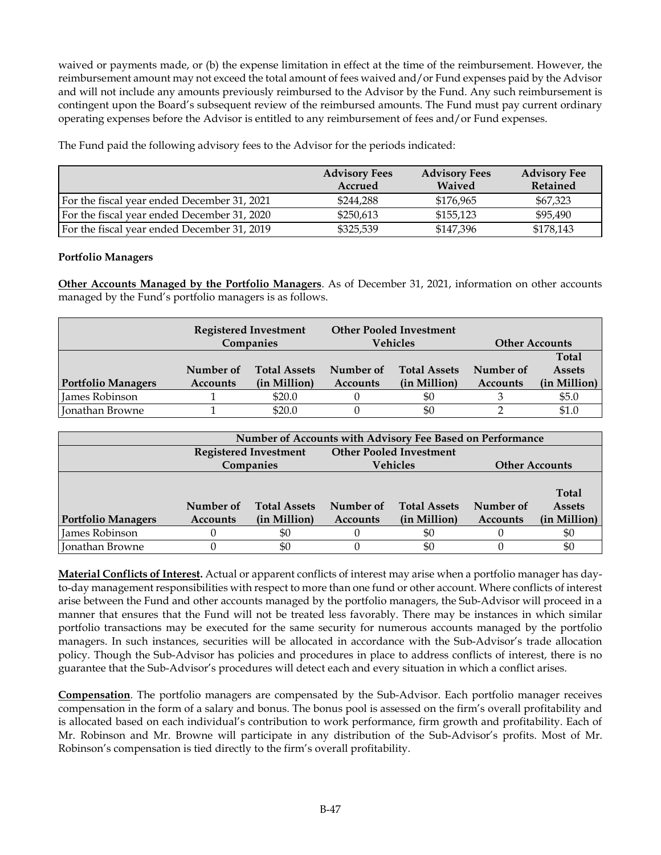waived or payments made, or (b) the expense limitation in effect at the time of the reimbursement. However, the reimbursement amount may not exceed the total amount of fees waived and/or Fund expenses paid by the Advisor and will not include any amounts previously reimbursed to the Advisor by the Fund. Any such reimbursement is contingent upon the Board's subsequent review of the reimbursed amounts. The Fund must pay current ordinary operating expenses before the Advisor is entitled to any reimbursement of fees and/or Fund expenses.

The Fund paid the following advisory fees to the Advisor for the periods indicated:

|                                             | <b>Advisory Fees</b><br>Accrued | <b>Advisory Fees</b><br><b>Waived</b> | <b>Advisory Fee</b><br>Retained |
|---------------------------------------------|---------------------------------|---------------------------------------|---------------------------------|
| For the fiscal year ended December 31, 2021 | \$244,288                       | \$176,965                             | \$67,323                        |
| For the fiscal year ended December 31, 2020 | \$250.613                       | \$155,123                             | \$95,490                        |
| For the fiscal year ended December 31, 2019 | \$325,539                       | \$147,396                             | \$178,143                       |

## **Portfolio Managers**

**Other Accounts Managed by the Portfolio Managers**. As of December 31, 2021, information on other accounts managed by the Fund's portfolio managers is as follows.

|                           | <b>Registered Investment</b><br>Companies |                                     | <b>Other Pooled Investment</b><br><b>Vehicles</b> |                                     | <b>Other Accounts</b>        |                               |
|---------------------------|-------------------------------------------|-------------------------------------|---------------------------------------------------|-------------------------------------|------------------------------|-------------------------------|
|                           |                                           |                                     |                                                   |                                     |                              | <b>Total</b>                  |
| <b>Portfolio Managers</b> | Number of<br><b>Accounts</b>              | <b>Total Assets</b><br>(in Million) | Number of<br><b>Accounts</b>                      | <b>Total Assets</b><br>(in Million) | Number of<br><b>Accounts</b> | <b>Assets</b><br>(in Million) |
|                           |                                           |                                     |                                                   |                                     |                              |                               |
| James Robinson            |                                           | \$20.0                              |                                                   | \$0                                 |                              | \$5.0                         |
| Jonathan Browne           |                                           | \$20.0                              |                                                   | \$0                                 |                              | \$1.0                         |

|                           | Number of Accounts with Advisory Fee Based on Performance |                     |                                |                     |                       |               |
|---------------------------|-----------------------------------------------------------|---------------------|--------------------------------|---------------------|-----------------------|---------------|
|                           | <b>Registered Investment</b>                              |                     | <b>Other Pooled Investment</b> |                     |                       |               |
|                           | Companies                                                 |                     | <b>Vehicles</b>                |                     | <b>Other Accounts</b> |               |
|                           |                                                           |                     |                                |                     |                       |               |
|                           |                                                           |                     |                                |                     |                       | <b>Total</b>  |
|                           | Number of                                                 | <b>Total Assets</b> | Number of                      | <b>Total Assets</b> | Number of             | <b>Assets</b> |
| <b>Portfolio Managers</b> | Accounts                                                  | (in Million)        | Accounts                       | (in Million)        | Accounts              | (in Million)  |
| James Robinson            |                                                           | \$0                 |                                | \$0                 |                       | \$0           |
| Jonathan Browne           |                                                           | \$0                 |                                | \$0                 |                       | \$0           |

**Material Conflicts of Interest.** Actual or apparent conflicts of interest may arise when a portfolio manager has dayto-day management responsibilities with respect to more than one fund or other account. Where conflicts of interest arise between the Fund and other accounts managed by the portfolio managers, the Sub-Advisor will proceed in a manner that ensures that the Fund will not be treated less favorably. There may be instances in which similar portfolio transactions may be executed for the same security for numerous accounts managed by the portfolio managers. In such instances, securities will be allocated in accordance with the Sub-Advisor's trade allocation policy. Though the Sub-Advisor has policies and procedures in place to address conflicts of interest, there is no guarantee that the Sub-Advisor's procedures will detect each and every situation in which a conflict arises.

**Compensation**. The portfolio managers are compensated by the Sub-Advisor. Each portfolio manager receives compensation in the form of a salary and bonus. The bonus pool is assessed on the firm's overall profitability and is allocated based on each individual's contribution to work performance, firm growth and profitability. Each of Mr. Robinson and Mr. Browne will participate in any distribution of the Sub-Advisor's profits. Most of Mr. Robinson's compensation is tied directly to the firm's overall profitability.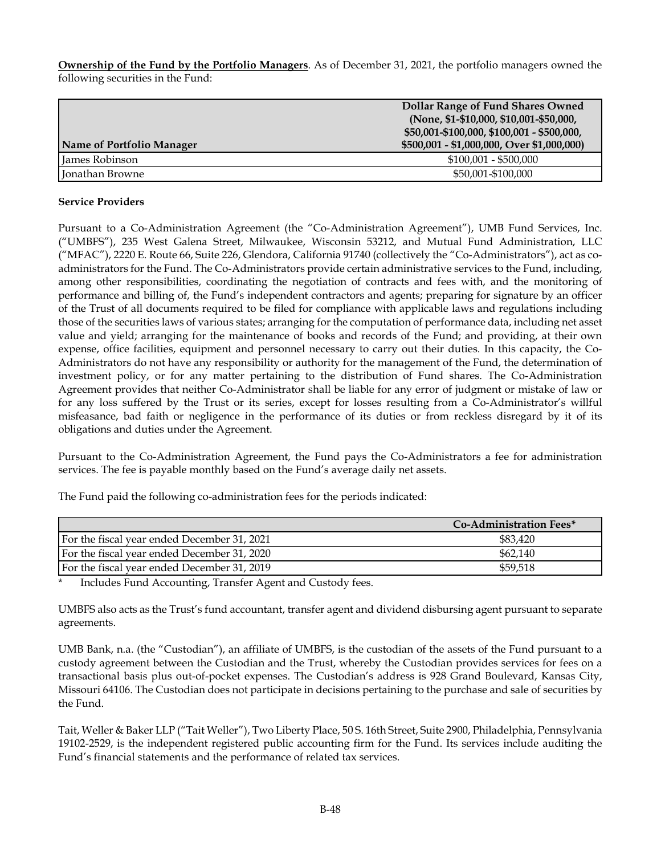**Ownership of the Fund by the Portfolio Managers**. As of December 31, 2021, the portfolio managers owned the following securities in the Fund:

|                           | <b>Dollar Range of Fund Shares Owned</b>   |
|---------------------------|--------------------------------------------|
|                           | (None, \$1-\$10,000, \$10,001-\$50,000,    |
|                           | \$50,001-\$100,000, \$100,001 - \$500,000, |
| Name of Portfolio Manager | \$500,001 - \$1,000,000, Over \$1,000,000) |
| James Robinson            | $$100,001 - $500,000$                      |
| Jonathan Browne           | \$50,001-\$100,000                         |

#### **Service Providers**

Pursuant to a Co-Administration Agreement (the "Co-Administration Agreement"), UMB Fund Services, Inc. ("UMBFS"), 235 West Galena Street, Milwaukee, Wisconsin 53212, and Mutual Fund Administration, LLC ("MFAC"), 2220 E. Route 66, Suite 226, Glendora, California 91740 (collectively the "Co-Administrators"), act as coadministrators for the Fund. The Co-Administrators provide certain administrative services to the Fund, including, among other responsibilities, coordinating the negotiation of contracts and fees with, and the monitoring of performance and billing of, the Fund's independent contractors and agents; preparing for signature by an officer of the Trust of all documents required to be filed for compliance with applicable laws and regulations including those of the securities laws of various states; arranging for the computation of performance data, including net asset value and yield; arranging for the maintenance of books and records of the Fund; and providing, at their own expense, office facilities, equipment and personnel necessary to carry out their duties. In this capacity, the Co-Administrators do not have any responsibility or authority for the management of the Fund, the determination of investment policy, or for any matter pertaining to the distribution of Fund shares. The Co-Administration Agreement provides that neither Co-Administrator shall be liable for any error of judgment or mistake of law or for any loss suffered by the Trust or its series, except for losses resulting from a Co-Administrator's willful misfeasance, bad faith or negligence in the performance of its duties or from reckless disregard by it of its obligations and duties under the Agreement.

Pursuant to the Co-Administration Agreement, the Fund pays the Co-Administrators a fee for administration services. The fee is payable monthly based on the Fund's average daily net assets.

|                                             | <b>Co-Administration Fees*</b> |
|---------------------------------------------|--------------------------------|
| For the fiscal year ended December 31, 2021 | \$83,420                       |
| For the fiscal year ended December 31, 2020 | \$62,140                       |
| For the fiscal year ended December 31, 2019 | \$59,518                       |

The Fund paid the following co-administration fees for the periods indicated:

Includes Fund Accounting, Transfer Agent and Custody fees.

UMBFS also acts as the Trust's fund accountant, transfer agent and dividend disbursing agent pursuant to separate agreements.

UMB Bank, n.a. (the "Custodian"), an affiliate of UMBFS, is the custodian of the assets of the Fund pursuant to a custody agreement between the Custodian and the Trust, whereby the Custodian provides services for fees on a transactional basis plus out-of-pocket expenses. The Custodian's address is 928 Grand Boulevard, Kansas City, Missouri 64106. The Custodian does not participate in decisions pertaining to the purchase and sale of securities by the Fund.

Tait, Weller & Baker LLP ("Tait Weller"), Two Liberty Place, 50 S. 16th Street, Suite 2900, Philadelphia, Pennsylvania 19102-2529, is the independent registered public accounting firm for the Fund. Its services include auditing the Fund's financial statements and the performance of related tax services.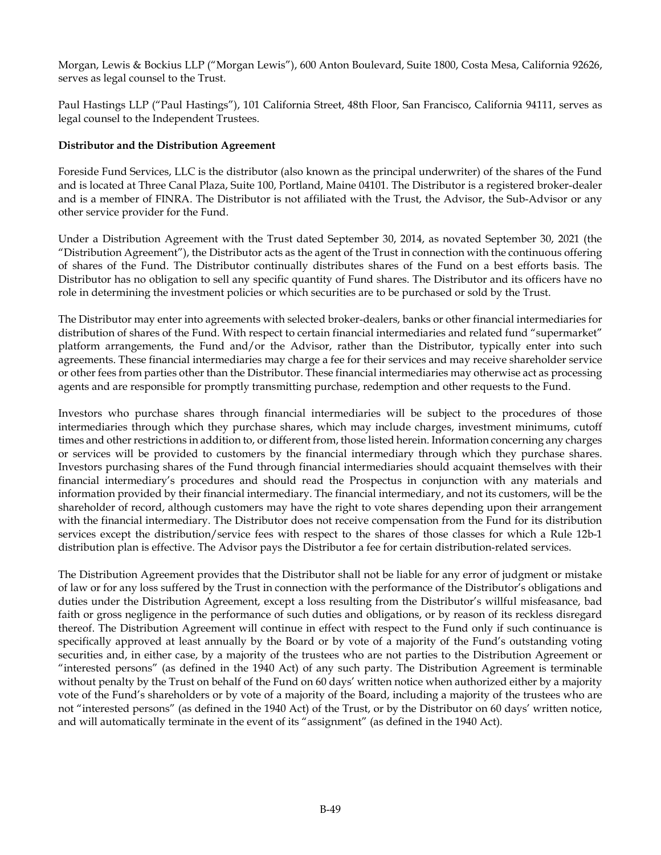Morgan, Lewis & Bockius LLP ("Morgan Lewis"), 600 Anton Boulevard, Suite 1800, Costa Mesa, California 92626, serves as legal counsel to the Trust.

Paul Hastings LLP ("Paul Hastings"), 101 California Street, 48th Floor, San Francisco, California 94111, serves as legal counsel to the Independent Trustees.

## **Distributor and the Distribution Agreement**

Foreside Fund Services, LLC is the distributor (also known as the principal underwriter) of the shares of the Fund and is located at Three Canal Plaza, Suite 100, Portland, Maine 04101. The Distributor is a registered broker-dealer and is a member of FINRA. The Distributor is not affiliated with the Trust, the Advisor, the Sub-Advisor or any other service provider for the Fund.

Under a Distribution Agreement with the Trust dated September 30, 2014, as novated September 30, 2021 (the "Distribution Agreement"), the Distributor acts as the agent of the Trust in connection with the continuous offering of shares of the Fund. The Distributor continually distributes shares of the Fund on a best efforts basis. The Distributor has no obligation to sell any specific quantity of Fund shares. The Distributor and its officers have no role in determining the investment policies or which securities are to be purchased or sold by the Trust.

The Distributor may enter into agreements with selected broker-dealers, banks or other financial intermediaries for distribution of shares of the Fund. With respect to certain financial intermediaries and related fund "supermarket" platform arrangements, the Fund and/or the Advisor, rather than the Distributor, typically enter into such agreements. These financial intermediaries may charge a fee for their services and may receive shareholder service or other fees from parties other than the Distributor. These financial intermediaries may otherwise act as processing agents and are responsible for promptly transmitting purchase, redemption and other requests to the Fund.

Investors who purchase shares through financial intermediaries will be subject to the procedures of those intermediaries through which they purchase shares, which may include charges, investment minimums, cutoff times and other restrictions in addition to, or different from, those listed herein. Information concerning any charges or services will be provided to customers by the financial intermediary through which they purchase shares. Investors purchasing shares of the Fund through financial intermediaries should acquaint themselves with their financial intermediary's procedures and should read the Prospectus in conjunction with any materials and information provided by their financial intermediary. The financial intermediary, and not its customers, will be the shareholder of record, although customers may have the right to vote shares depending upon their arrangement with the financial intermediary. The Distributor does not receive compensation from the Fund for its distribution services except the distribution/service fees with respect to the shares of those classes for which a Rule 12b-1 distribution plan is effective. The Advisor pays the Distributor a fee for certain distribution-related services.

The Distribution Agreement provides that the Distributor shall not be liable for any error of judgment or mistake of law or for any loss suffered by the Trust in connection with the performance of the Distributor's obligations and duties under the Distribution Agreement, except a loss resulting from the Distributor's willful misfeasance, bad faith or gross negligence in the performance of such duties and obligations, or by reason of its reckless disregard thereof. The Distribution Agreement will continue in effect with respect to the Fund only if such continuance is specifically approved at least annually by the Board or by vote of a majority of the Fund's outstanding voting securities and, in either case, by a majority of the trustees who are not parties to the Distribution Agreement or "interested persons" (as defined in the 1940 Act) of any such party. The Distribution Agreement is terminable without penalty by the Trust on behalf of the Fund on 60 days' written notice when authorized either by a majority vote of the Fund's shareholders or by vote of a majority of the Board, including a majority of the trustees who are not "interested persons" (as defined in the 1940 Act) of the Trust, or by the Distributor on 60 days' written notice, and will automatically terminate in the event of its "assignment" (as defined in the 1940 Act).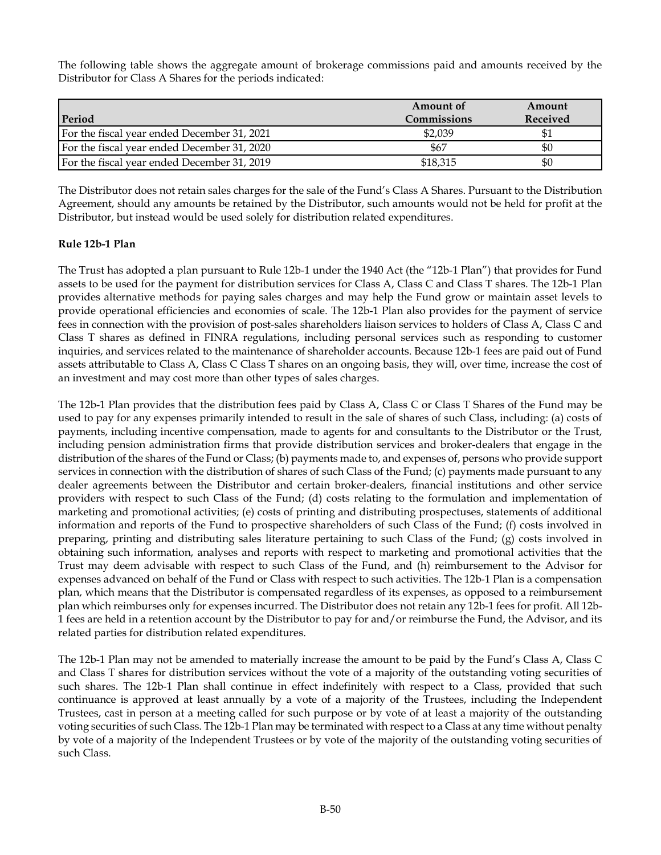The following table shows the aggregate amount of brokerage commissions paid and amounts received by the Distributor for Class A Shares for the periods indicated:

| Period                                      | Amount of<br><b>Commissions</b> | Amount<br>Received |
|---------------------------------------------|---------------------------------|--------------------|
| For the fiscal year ended December 31, 2021 | \$2,039                         |                    |
| For the fiscal year ended December 31, 2020 | \$67                            | \$0                |
| For the fiscal year ended December 31, 2019 | \$18,315                        | \$0                |

The Distributor does not retain sales charges for the sale of the Fund's Class A Shares. Pursuant to the Distribution Agreement, should any amounts be retained by the Distributor, such amounts would not be held for profit at the Distributor, but instead would be used solely for distribution related expenditures.

## **Rule 12b-1 Plan**

The Trust has adopted a plan pursuant to Rule 12b-1 under the 1940 Act (the "12b-1 Plan") that provides for Fund assets to be used for the payment for distribution services for Class A, Class C and Class T shares. The 12b-1 Plan provides alternative methods for paying sales charges and may help the Fund grow or maintain asset levels to provide operational efficiencies and economies of scale. The 12b-1 Plan also provides for the payment of service fees in connection with the provision of post-sales shareholders liaison services to holders of Class A, Class C and Class T shares as defined in FINRA regulations, including personal services such as responding to customer inquiries, and services related to the maintenance of shareholder accounts. Because 12b-1 fees are paid out of Fund assets attributable to Class A, Class C Class T shares on an ongoing basis, they will, over time, increase the cost of an investment and may cost more than other types of sales charges.

The 12b-1 Plan provides that the distribution fees paid by Class A, Class C or Class T Shares of the Fund may be used to pay for any expenses primarily intended to result in the sale of shares of such Class, including: (a) costs of payments, including incentive compensation, made to agents for and consultants to the Distributor or the Trust, including pension administration firms that provide distribution services and broker-dealers that engage in the distribution of the shares of the Fund or Class; (b) payments made to, and expenses of, persons who provide support services in connection with the distribution of shares of such Class of the Fund; (c) payments made pursuant to any dealer agreements between the Distributor and certain broker-dealers, financial institutions and other service providers with respect to such Class of the Fund; (d) costs relating to the formulation and implementation of marketing and promotional activities; (e) costs of printing and distributing prospectuses, statements of additional information and reports of the Fund to prospective shareholders of such Class of the Fund; (f) costs involved in preparing, printing and distributing sales literature pertaining to such Class of the Fund; (g) costs involved in obtaining such information, analyses and reports with respect to marketing and promotional activities that the Trust may deem advisable with respect to such Class of the Fund, and (h) reimbursement to the Advisor for expenses advanced on behalf of the Fund or Class with respect to such activities. The 12b-1 Plan is a compensation plan, which means that the Distributor is compensated regardless of its expenses, as opposed to a reimbursement plan which reimburses only for expenses incurred. The Distributor does not retain any 12b-1 fees for profit. All 12b-1 fees are held in a retention account by the Distributor to pay for and/or reimburse the Fund, the Advisor, and its related parties for distribution related expenditures.

The 12b-1 Plan may not be amended to materially increase the amount to be paid by the Fund's Class A, Class C and Class T shares for distribution services without the vote of a majority of the outstanding voting securities of such shares. The 12b-1 Plan shall continue in effect indefinitely with respect to a Class, provided that such continuance is approved at least annually by a vote of a majority of the Trustees, including the Independent Trustees, cast in person at a meeting called for such purpose or by vote of at least a majority of the outstanding voting securities of such Class. The 12b-1 Plan may be terminated with respect to a Class at any time without penalty by vote of a majority of the Independent Trustees or by vote of the majority of the outstanding voting securities of such Class.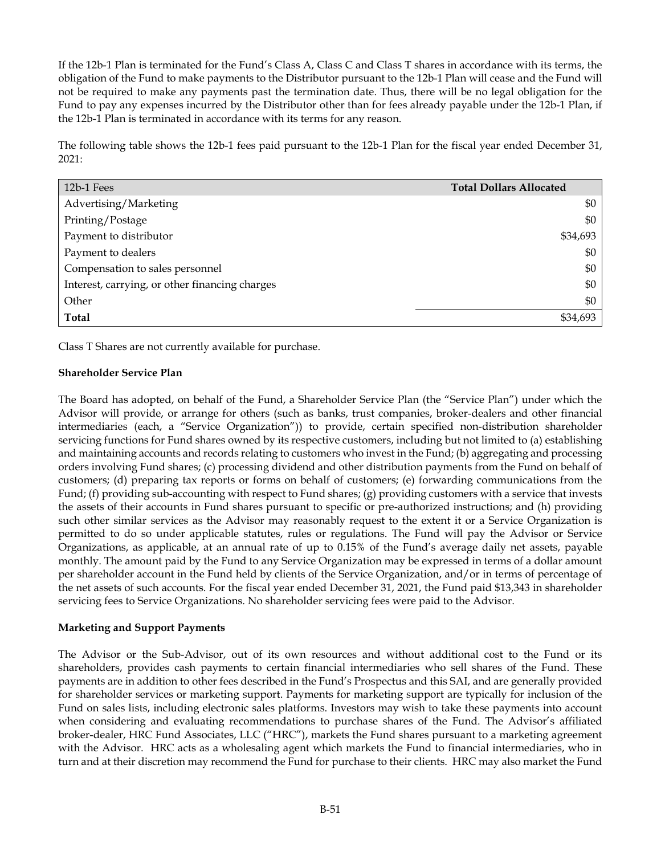If the 12b-1 Plan is terminated for the Fund's Class A, Class C and Class T shares in accordance with its terms, the obligation of the Fund to make payments to the Distributor pursuant to the 12b-1 Plan will cease and the Fund will not be required to make any payments past the termination date. Thus, there will be no legal obligation for the Fund to pay any expenses incurred by the Distributor other than for fees already payable under the 12b-1 Plan, if the 12b-1 Plan is terminated in accordance with its terms for any reason.

The following table shows the 12b-1 fees paid pursuant to the 12b-1 Plan for the fiscal year ended December 31, 2021:

| 12b-1 Fees                                     | <b>Total Dollars Allocated</b> |
|------------------------------------------------|--------------------------------|
| Advertising/Marketing                          | \$0                            |
| Printing/Postage                               | \$0                            |
| Payment to distributor                         | \$34,693                       |
| Payment to dealers                             | \$0                            |
| Compensation to sales personnel                | \$0                            |
| Interest, carrying, or other financing charges | \$0                            |
| Other                                          | \$0                            |
| <b>Total</b>                                   | \$34,693                       |

Class T Shares are not currently available for purchase.

#### **Shareholder Service Plan**

The Board has adopted, on behalf of the Fund, a Shareholder Service Plan (the "Service Plan") under which the Advisor will provide, or arrange for others (such as banks, trust companies, broker-dealers and other financial intermediaries (each, a "Service Organization")) to provide, certain specified non-distribution shareholder servicing functions for Fund shares owned by its respective customers, including but not limited to (a) establishing and maintaining accounts and records relating to customers who invest in the Fund; (b) aggregating and processing orders involving Fund shares; (c) processing dividend and other distribution payments from the Fund on behalf of customers; (d) preparing tax reports or forms on behalf of customers; (e) forwarding communications from the Fund; (f) providing sub-accounting with respect to Fund shares; (g) providing customers with a service that invests the assets of their accounts in Fund shares pursuant to specific or pre-authorized instructions; and (h) providing such other similar services as the Advisor may reasonably request to the extent it or a Service Organization is permitted to do so under applicable statutes, rules or regulations. The Fund will pay the Advisor or Service Organizations, as applicable, at an annual rate of up to 0.15% of the Fund's average daily net assets, payable monthly. The amount paid by the Fund to any Service Organization may be expressed in terms of a dollar amount per shareholder account in the Fund held by clients of the Service Organization, and/or in terms of percentage of the net assets of such accounts. For the fiscal year ended December 31, 2021, the Fund paid \$13,343 in shareholder servicing fees to Service Organizations. No shareholder servicing fees were paid to the Advisor.

#### **Marketing and Support Payments**

The Advisor or the Sub-Advisor, out of its own resources and without additional cost to the Fund or its shareholders, provides cash payments to certain financial intermediaries who sell shares of the Fund. These payments are in addition to other fees described in the Fund's Prospectus and this SAI, and are generally provided for shareholder services or marketing support. Payments for marketing support are typically for inclusion of the Fund on sales lists, including electronic sales platforms. Investors may wish to take these payments into account when considering and evaluating recommendations to purchase shares of the Fund. The Advisor's affiliated broker-dealer, HRC Fund Associates, LLC ("HRC"), markets the Fund shares pursuant to a marketing agreement with the Advisor. HRC acts as a wholesaling agent which markets the Fund to financial intermediaries, who in turn and at their discretion may recommend the Fund for purchase to their clients. HRC may also market the Fund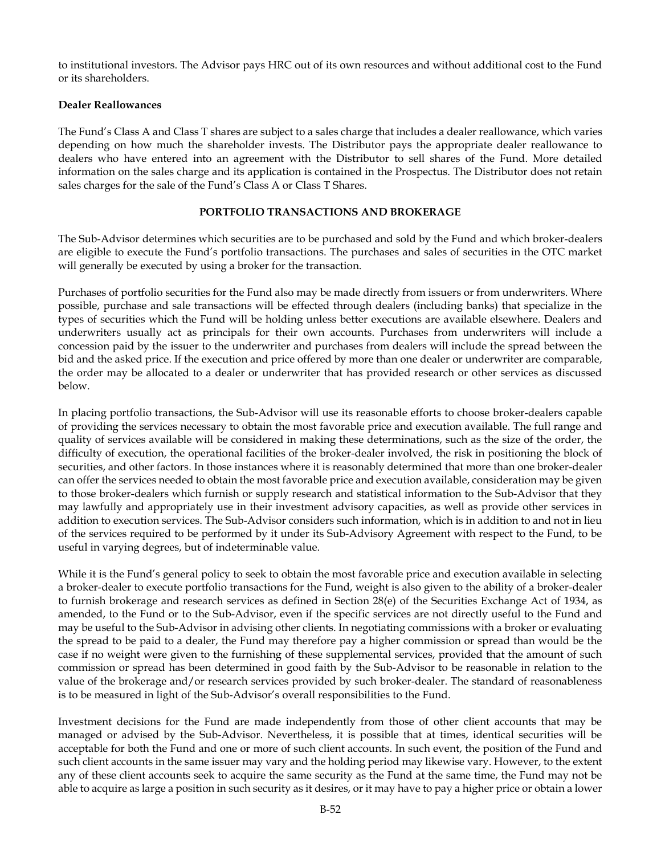to institutional investors. The Advisor pays HRC out of its own resources and without additional cost to the Fund or its shareholders.

#### **Dealer Reallowances**

The Fund's Class A and Class T shares are subject to a sales charge that includes a dealer reallowance, which varies depending on how much the shareholder invests. The Distributor pays the appropriate dealer reallowance to dealers who have entered into an agreement with the Distributor to sell shares of the Fund. More detailed information on the sales charge and its application is contained in the Prospectus. The Distributor does not retain sales charges for the sale of the Fund's Class A or Class T Shares.

#### **PORTFOLIO TRANSACTIONS AND BROKERAGE**

The Sub-Advisor determines which securities are to be purchased and sold by the Fund and which broker-dealers are eligible to execute the Fund's portfolio transactions. The purchases and sales of securities in the OTC market will generally be executed by using a broker for the transaction.

Purchases of portfolio securities for the Fund also may be made directly from issuers or from underwriters. Where possible, purchase and sale transactions will be effected through dealers (including banks) that specialize in the types of securities which the Fund will be holding unless better executions are available elsewhere. Dealers and underwriters usually act as principals for their own accounts. Purchases from underwriters will include a concession paid by the issuer to the underwriter and purchases from dealers will include the spread between the bid and the asked price. If the execution and price offered by more than one dealer or underwriter are comparable, the order may be allocated to a dealer or underwriter that has provided research or other services as discussed below.

In placing portfolio transactions, the Sub-Advisor will use its reasonable efforts to choose broker-dealers capable of providing the services necessary to obtain the most favorable price and execution available. The full range and quality of services available will be considered in making these determinations, such as the size of the order, the difficulty of execution, the operational facilities of the broker-dealer involved, the risk in positioning the block of securities, and other factors. In those instances where it is reasonably determined that more than one broker-dealer can offer the services needed to obtain the most favorable price and execution available, consideration may be given to those broker-dealers which furnish or supply research and statistical information to the Sub-Advisor that they may lawfully and appropriately use in their investment advisory capacities, as well as provide other services in addition to execution services. The Sub-Advisor considers such information, which is in addition to and not in lieu of the services required to be performed by it under its Sub-Advisory Agreement with respect to the Fund, to be useful in varying degrees, but of indeterminable value.

While it is the Fund's general policy to seek to obtain the most favorable price and execution available in selecting a broker-dealer to execute portfolio transactions for the Fund, weight is also given to the ability of a broker-dealer to furnish brokerage and research services as defined in Section 28(e) of the Securities Exchange Act of 1934, as amended, to the Fund or to the Sub-Advisor, even if the specific services are not directly useful to the Fund and may be useful to the Sub-Advisor in advising other clients. In negotiating commissions with a broker or evaluating the spread to be paid to a dealer, the Fund may therefore pay a higher commission or spread than would be the case if no weight were given to the furnishing of these supplemental services, provided that the amount of such commission or spread has been determined in good faith by the Sub-Advisor to be reasonable in relation to the value of the brokerage and/or research services provided by such broker-dealer. The standard of reasonableness is to be measured in light of the Sub-Advisor's overall responsibilities to the Fund.

Investment decisions for the Fund are made independently from those of other client accounts that may be managed or advised by the Sub-Advisor. Nevertheless, it is possible that at times, identical securities will be acceptable for both the Fund and one or more of such client accounts. In such event, the position of the Fund and such client accounts in the same issuer may vary and the holding period may likewise vary. However, to the extent any of these client accounts seek to acquire the same security as the Fund at the same time, the Fund may not be able to acquire as large a position in such security as it desires, or it may have to pay a higher price or obtain a lower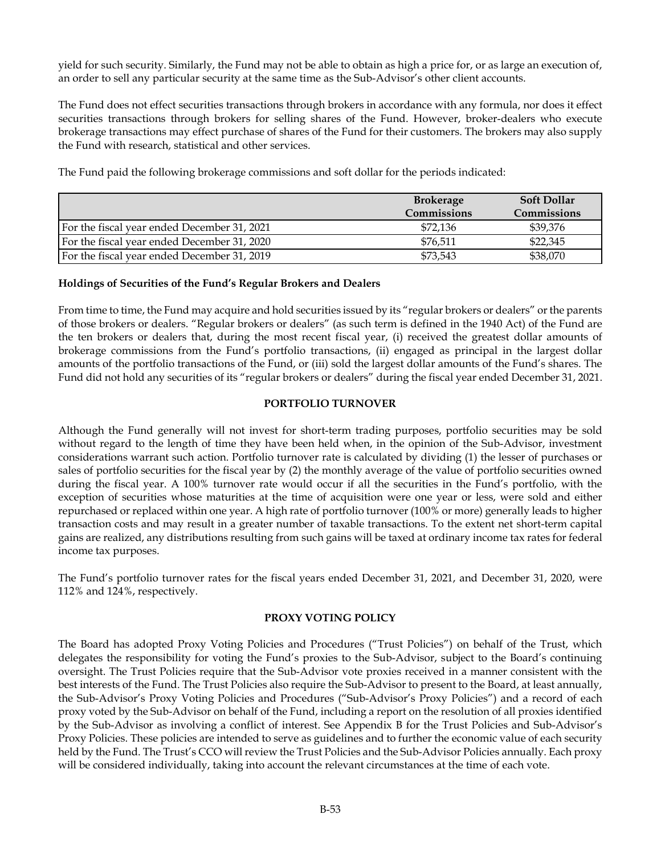yield for such security. Similarly, the Fund may not be able to obtain as high a price for, or as large an execution of, an order to sell any particular security at the same time as the Sub-Advisor's other client accounts.

The Fund does not effect securities transactions through brokers in accordance with any formula, nor does it effect securities transactions through brokers for selling shares of the Fund. However, broker-dealers who execute brokerage transactions may effect purchase of shares of the Fund for their customers. The brokers may also supply the Fund with research, statistical and other services.

The Fund paid the following brokerage commissions and soft dollar for the periods indicated:

|                                             | <b>Brokerage</b> | <b>Soft Dollar</b> |
|---------------------------------------------|------------------|--------------------|
|                                             | Commissions      | <b>Commissions</b> |
| For the fiscal year ended December 31, 2021 | \$72.136         | \$39,376           |
| For the fiscal year ended December 31, 2020 | \$76,511         | \$22,345           |
| For the fiscal year ended December 31, 2019 | \$73,543         | \$38,070           |

#### **Holdings of Securities of the Fund's Regular Brokers and Dealers**

From time to time, the Fund may acquire and hold securities issued by its "regular brokers or dealers" or the parents of those brokers or dealers. "Regular brokers or dealers" (as such term is defined in the 1940 Act) of the Fund are the ten brokers or dealers that, during the most recent fiscal year, (i) received the greatest dollar amounts of brokerage commissions from the Fund's portfolio transactions, (ii) engaged as principal in the largest dollar amounts of the portfolio transactions of the Fund, or (iii) sold the largest dollar amounts of the Fund's shares. The Fund did not hold any securities of its "regular brokers or dealers" during the fiscal year ended December 31, 2021.

#### **PORTFOLIO TURNOVER**

Although the Fund generally will not invest for short-term trading purposes, portfolio securities may be sold without regard to the length of time they have been held when, in the opinion of the Sub-Advisor, investment considerations warrant such action. Portfolio turnover rate is calculated by dividing (1) the lesser of purchases or sales of portfolio securities for the fiscal year by (2) the monthly average of the value of portfolio securities owned during the fiscal year. A 100% turnover rate would occur if all the securities in the Fund's portfolio, with the exception of securities whose maturities at the time of acquisition were one year or less, were sold and either repurchased or replaced within one year. A high rate of portfolio turnover (100% or more) generally leads to higher transaction costs and may result in a greater number of taxable transactions. To the extent net short-term capital gains are realized, any distributions resulting from such gains will be taxed at ordinary income tax rates for federal income tax purposes.

The Fund's portfolio turnover rates for the fiscal years ended December 31, 2021, and December 31, 2020, were 112% and 124%, respectively.

#### **PROXY VOTING POLICY**

The Board has adopted Proxy Voting Policies and Procedures ("Trust Policies") on behalf of the Trust, which delegates the responsibility for voting the Fund's proxies to the Sub-Advisor, subject to the Board's continuing oversight. The Trust Policies require that the Sub-Advisor vote proxies received in a manner consistent with the best interests of the Fund. The Trust Policies also require the Sub-Advisor to present to the Board, at least annually, the Sub-Advisor's Proxy Voting Policies and Procedures ("Sub-Advisor's Proxy Policies") and a record of each proxy voted by the Sub-Advisor on behalf of the Fund, including a report on the resolution of all proxies identified by the Sub-Advisor as involving a conflict of interest. See Appendix B for the Trust Policies and Sub-Advisor's Proxy Policies. These policies are intended to serve as guidelines and to further the economic value of each security held by the Fund. The Trust's CCO will review the Trust Policies and the Sub-Advisor Policies annually. Each proxy will be considered individually, taking into account the relevant circumstances at the time of each vote.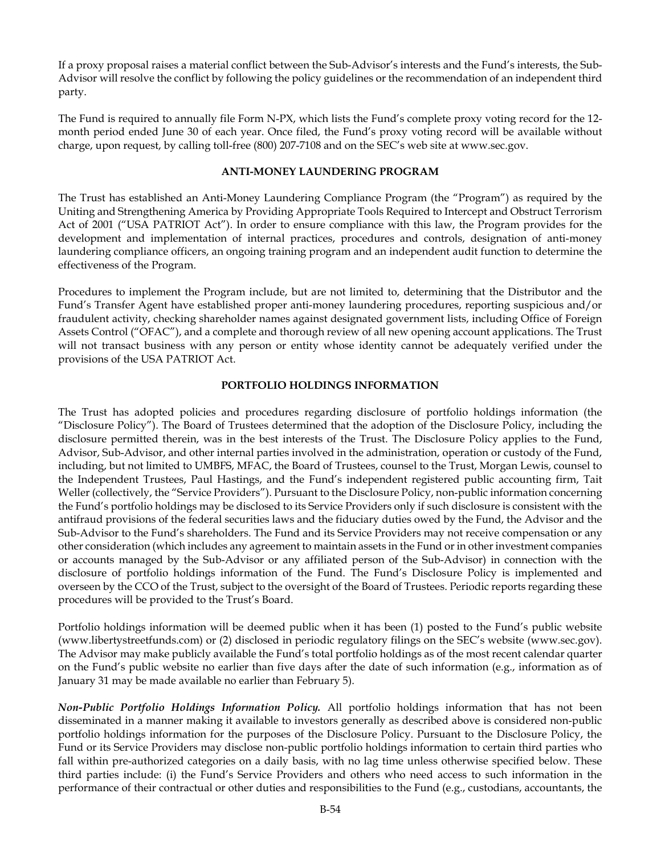If a proxy proposal raises a material conflict between the Sub-Advisor's interests and the Fund's interests, the Sub-Advisor will resolve the conflict by following the policy guidelines or the recommendation of an independent third party.

The Fund is required to annually file Form N-PX, which lists the Fund's complete proxy voting record for the 12 month period ended June 30 of each year. Once filed, the Fund's proxy voting record will be available without charge, upon request, by calling toll-free (800) 207-7108 and on the SEC's web site at www.sec.gov.

#### **ANTI-MONEY LAUNDERING PROGRAM**

The Trust has established an Anti-Money Laundering Compliance Program (the "Program") as required by the Uniting and Strengthening America by Providing Appropriate Tools Required to Intercept and Obstruct Terrorism Act of 2001 ("USA PATRIOT Act"). In order to ensure compliance with this law, the Program provides for the development and implementation of internal practices, procedures and controls, designation of anti-money laundering compliance officers, an ongoing training program and an independent audit function to determine the effectiveness of the Program.

Procedures to implement the Program include, but are not limited to, determining that the Distributor and the Fund's Transfer Agent have established proper anti-money laundering procedures, reporting suspicious and/or fraudulent activity, checking shareholder names against designated government lists, including Office of Foreign Assets Control ("OFAC"), and a complete and thorough review of all new opening account applications. The Trust will not transact business with any person or entity whose identity cannot be adequately verified under the provisions of the USA PATRIOT Act.

## **PORTFOLIO HOLDINGS INFORMATION**

The Trust has adopted policies and procedures regarding disclosure of portfolio holdings information (the "Disclosure Policy"). The Board of Trustees determined that the adoption of the Disclosure Policy, including the disclosure permitted therein, was in the best interests of the Trust. The Disclosure Policy applies to the Fund, Advisor, Sub-Advisor, and other internal parties involved in the administration, operation or custody of the Fund, including, but not limited to UMBFS, MFAC, the Board of Trustees, counsel to the Trust, Morgan Lewis, counsel to the Independent Trustees, Paul Hastings, and the Fund's independent registered public accounting firm, Tait Weller (collectively, the "Service Providers"). Pursuant to the Disclosure Policy, non-public information concerning the Fund's portfolio holdings may be disclosed to its Service Providers only if such disclosure is consistent with the antifraud provisions of the federal securities laws and the fiduciary duties owed by the Fund, the Advisor and the Sub-Advisor to the Fund's shareholders. The Fund and its Service Providers may not receive compensation or any other consideration (which includes any agreement to maintain assets in the Fund or in other investment companies or accounts managed by the Sub-Advisor or any affiliated person of the Sub-Advisor) in connection with the disclosure of portfolio holdings information of the Fund. The Fund's Disclosure Policy is implemented and overseen by the CCO of the Trust, subject to the oversight of the Board of Trustees. Periodic reports regarding these procedures will be provided to the Trust's Board.

Portfolio holdings information will be deemed public when it has been (1) posted to the Fund's public website (www.libertystreetfunds.com) or (2) disclosed in periodic regulatory filings on the SEC's website (www.sec.gov). The Advisor may make publicly available the Fund's total portfolio holdings as of the most recent calendar quarter on the Fund's public website no earlier than five days after the date of such information (e.g., information as of January 31 may be made available no earlier than February 5).

*Non-Public Portfolio Holdings Information Policy.* All portfolio holdings information that has not been disseminated in a manner making it available to investors generally as described above is considered non-public portfolio holdings information for the purposes of the Disclosure Policy. Pursuant to the Disclosure Policy, the Fund or its Service Providers may disclose non-public portfolio holdings information to certain third parties who fall within pre-authorized categories on a daily basis, with no lag time unless otherwise specified below. These third parties include: (i) the Fund's Service Providers and others who need access to such information in the performance of their contractual or other duties and responsibilities to the Fund (e.g., custodians, accountants, the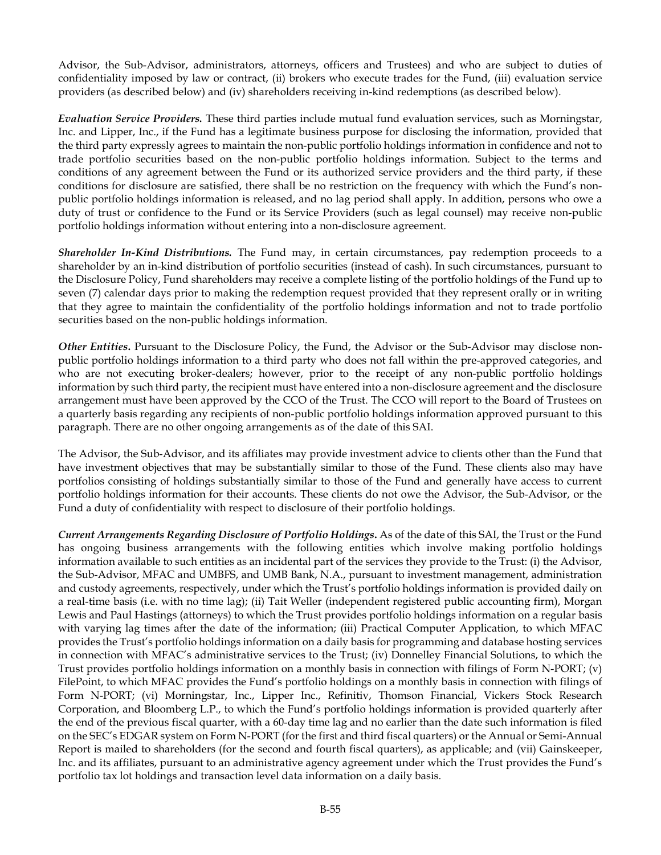Advisor, the Sub-Advisor, administrators, attorneys, officers and Trustees) and who are subject to duties of confidentiality imposed by law or contract, (ii) brokers who execute trades for the Fund, (iii) evaluation service providers (as described below) and (iv) shareholders receiving in-kind redemptions (as described below).

*Evaluation Service Providers.* These third parties include mutual fund evaluation services, such as Morningstar, Inc. and Lipper, Inc., if the Fund has a legitimate business purpose for disclosing the information, provided that the third party expressly agrees to maintain the non-public portfolio holdings information in confidence and not to trade portfolio securities based on the non-public portfolio holdings information. Subject to the terms and conditions of any agreement between the Fund or its authorized service providers and the third party, if these conditions for disclosure are satisfied, there shall be no restriction on the frequency with which the Fund's nonpublic portfolio holdings information is released, and no lag period shall apply. In addition, persons who owe a duty of trust or confidence to the Fund or its Service Providers (such as legal counsel) may receive non-public portfolio holdings information without entering into a non-disclosure agreement.

*Shareholder In-Kind Distributions.* The Fund may, in certain circumstances, pay redemption proceeds to a shareholder by an in-kind distribution of portfolio securities (instead of cash). In such circumstances, pursuant to the Disclosure Policy, Fund shareholders may receive a complete listing of the portfolio holdings of the Fund up to seven (7) calendar days prior to making the redemption request provided that they represent orally or in writing that they agree to maintain the confidentiality of the portfolio holdings information and not to trade portfolio securities based on the non-public holdings information.

*Other Entities***.** Pursuant to the Disclosure Policy, the Fund, the Advisor or the Sub-Advisor may disclose nonpublic portfolio holdings information to a third party who does not fall within the pre-approved categories, and who are not executing broker-dealers; however, prior to the receipt of any non-public portfolio holdings information by such third party, the recipient must have entered into a non-disclosure agreement and the disclosure arrangement must have been approved by the CCO of the Trust. The CCO will report to the Board of Trustees on a quarterly basis regarding any recipients of non-public portfolio holdings information approved pursuant to this paragraph. There are no other ongoing arrangements as of the date of this SAI.

The Advisor, the Sub-Advisor, and its affiliates may provide investment advice to clients other than the Fund that have investment objectives that may be substantially similar to those of the Fund. These clients also may have portfolios consisting of holdings substantially similar to those of the Fund and generally have access to current portfolio holdings information for their accounts. These clients do not owe the Advisor, the Sub-Advisor, or the Fund a duty of confidentiality with respect to disclosure of their portfolio holdings.

*Current Arrangements Regarding Disclosure of Portfolio Holdings***.** As of the date of this SAI, the Trust or the Fund has ongoing business arrangements with the following entities which involve making portfolio holdings information available to such entities as an incidental part of the services they provide to the Trust: (i) the Advisor, the Sub-Advisor, MFAC and UMBFS, and UMB Bank, N.A., pursuant to investment management, administration and custody agreements, respectively, under which the Trust's portfolio holdings information is provided daily on a real-time basis (i.e. with no time lag); (ii) Tait Weller (independent registered public accounting firm), Morgan Lewis and Paul Hastings (attorneys) to which the Trust provides portfolio holdings information on a regular basis with varying lag times after the date of the information; (iii) Practical Computer Application, to which MFAC provides the Trust's portfolio holdings information on a daily basis for programming and database hosting services in connection with MFAC's administrative services to the Trust; (iv) Donnelley Financial Solutions, to which the Trust provides portfolio holdings information on a monthly basis in connection with filings of Form N-PORT; (v) FilePoint, to which MFAC provides the Fund's portfolio holdings on a monthly basis in connection with filings of Form N-PORT; (vi) Morningstar, Inc., Lipper Inc., Refinitiv, Thomson Financial, Vickers Stock Research Corporation, and Bloomberg L.P., to which the Fund's portfolio holdings information is provided quarterly after the end of the previous fiscal quarter, with a 60-day time lag and no earlier than the date such information is filed on the SEC's EDGAR system on Form N-PORT (for the first and third fiscal quarters) or the Annual or Semi-Annual Report is mailed to shareholders (for the second and fourth fiscal quarters), as applicable; and (vii) Gainskeeper, Inc. and its affiliates, pursuant to an administrative agency agreement under which the Trust provides the Fund's portfolio tax lot holdings and transaction level data information on a daily basis.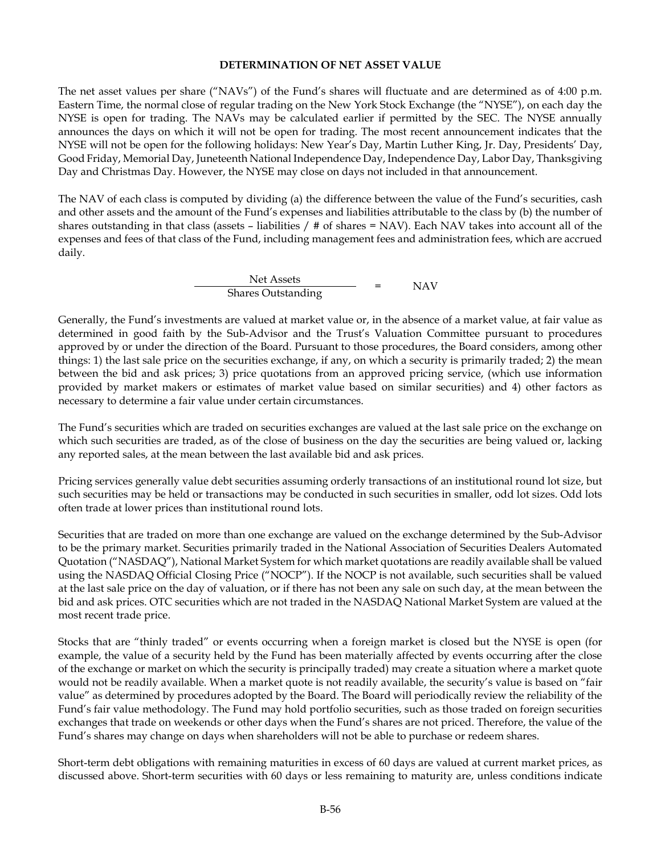#### **DETERMINATION OF NET ASSET VALUE**

The net asset values per share ("NAVs") of the Fund's shares will fluctuate and are determined as of 4:00 p.m. Eastern Time, the normal close of regular trading on the New York Stock Exchange (the "NYSE"), on each day the NYSE is open for trading. The NAVs may be calculated earlier if permitted by the SEC. The NYSE annually announces the days on which it will not be open for trading. The most recent announcement indicates that the NYSE will not be open for the following holidays: New Year's Day, Martin Luther King, Jr. Day, Presidents' Day, Good Friday, Memorial Day, Juneteenth National Independence Day, Independence Day, Labor Day, Thanksgiving Day and Christmas Day. However, the NYSE may close on days not included in that announcement.

The NAV of each class is computed by dividing (a) the difference between the value of the Fund's securities, cash and other assets and the amount of the Fund's expenses and liabilities attributable to the class by (b) the number of shares outstanding in that class (assets – liabilities / # of shares = NAV). Each NAV takes into account all of the expenses and fees of that class of the Fund, including management fees and administration fees, which are accrued daily.

Net Assets = NAV<br>Shares Outstanding = NAV

Generally, the Fund's investments are valued at market value or, in the absence of a market value, at fair value as determined in good faith by the Sub-Advisor and the Trust's Valuation Committee pursuant to procedures approved by or under the direction of the Board. Pursuant to those procedures, the Board considers, among other things: 1) the last sale price on the securities exchange, if any, on which a security is primarily traded; 2) the mean between the bid and ask prices; 3) price quotations from an approved pricing service, (which use information provided by market makers or estimates of market value based on similar securities) and 4) other factors as necessary to determine a fair value under certain circumstances.

The Fund's securities which are traded on securities exchanges are valued at the last sale price on the exchange on which such securities are traded, as of the close of business on the day the securities are being valued or, lacking any reported sales, at the mean between the last available bid and ask prices.

Pricing services generally value debt securities assuming orderly transactions of an institutional round lot size, but such securities may be held or transactions may be conducted in such securities in smaller, odd lot sizes. Odd lots often trade at lower prices than institutional round lots.

Securities that are traded on more than one exchange are valued on the exchange determined by the Sub-Advisor to be the primary market. Securities primarily traded in the National Association of Securities Dealers Automated Quotation ("NASDAQ"), National Market System for which market quotations are readily available shall be valued using the NASDAQ Official Closing Price ("NOCP"). If the NOCP is not available, such securities shall be valued at the last sale price on the day of valuation, or if there has not been any sale on such day, at the mean between the bid and ask prices. OTC securities which are not traded in the NASDAQ National Market System are valued at the most recent trade price.

Stocks that are "thinly traded" or events occurring when a foreign market is closed but the NYSE is open (for example, the value of a security held by the Fund has been materially affected by events occurring after the close of the exchange or market on which the security is principally traded) may create a situation where a market quote would not be readily available. When a market quote is not readily available, the security's value is based on "fair value" as determined by procedures adopted by the Board. The Board will periodically review the reliability of the Fund's fair value methodology. The Fund may hold portfolio securities, such as those traded on foreign securities exchanges that trade on weekends or other days when the Fund's shares are not priced. Therefore, the value of the Fund's shares may change on days when shareholders will not be able to purchase or redeem shares.

Short-term debt obligations with remaining maturities in excess of 60 days are valued at current market prices, as discussed above. Short-term securities with 60 days or less remaining to maturity are, unless conditions indicate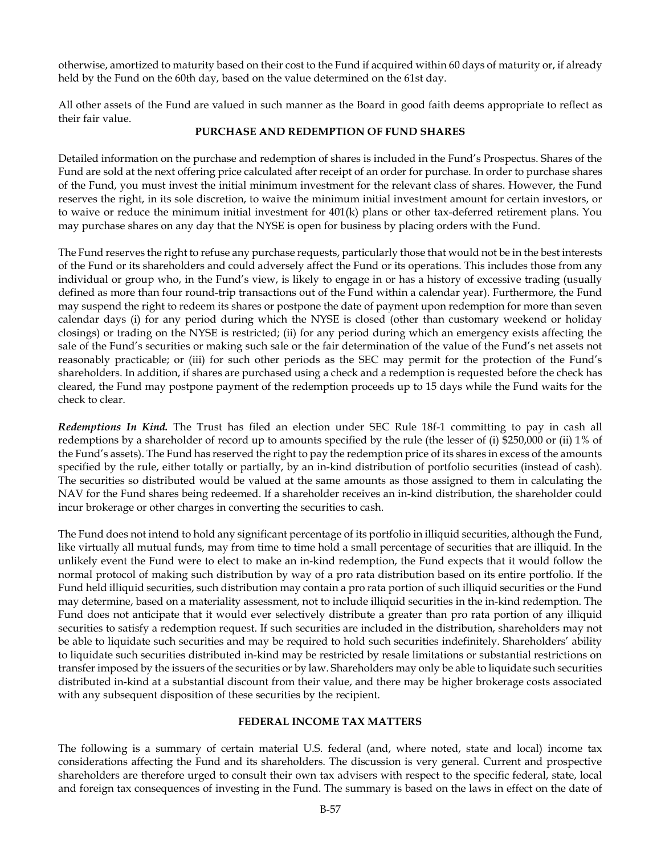otherwise, amortized to maturity based on their cost to the Fund if acquired within 60 days of maturity or, if already held by the Fund on the 60th day, based on the value determined on the 61st day.

All other assets of the Fund are valued in such manner as the Board in good faith deems appropriate to reflect as their fair value.

#### **PURCHASE AND REDEMPTION OF FUND SHARES**

Detailed information on the purchase and redemption of shares is included in the Fund's Prospectus. Shares of the Fund are sold at the next offering price calculated after receipt of an order for purchase. In order to purchase shares of the Fund, you must invest the initial minimum investment for the relevant class of shares. However, the Fund reserves the right, in its sole discretion, to waive the minimum initial investment amount for certain investors, or to waive or reduce the minimum initial investment for 401(k) plans or other tax-deferred retirement plans. You may purchase shares on any day that the NYSE is open for business by placing orders with the Fund.

The Fund reserves the right to refuse any purchase requests, particularly those that would not be in the best interests of the Fund or its shareholders and could adversely affect the Fund or its operations. This includes those from any individual or group who, in the Fund's view, is likely to engage in or has a history of excessive trading (usually defined as more than four round-trip transactions out of the Fund within a calendar year). Furthermore, the Fund may suspend the right to redeem its shares or postpone the date of payment upon redemption for more than seven calendar days (i) for any period during which the NYSE is closed (other than customary weekend or holiday closings) or trading on the NYSE is restricted; (ii) for any period during which an emergency exists affecting the sale of the Fund's securities or making such sale or the fair determination of the value of the Fund's net assets not reasonably practicable; or (iii) for such other periods as the SEC may permit for the protection of the Fund's shareholders. In addition, if shares are purchased using a check and a redemption is requested before the check has cleared, the Fund may postpone payment of the redemption proceeds up to 15 days while the Fund waits for the check to clear.

*Redemptions In Kind.* The Trust has filed an election under SEC Rule 18f-1 committing to pay in cash all redemptions by a shareholder of record up to amounts specified by the rule (the lesser of (i) \$250,000 or (ii) 1% of the Fund's assets). The Fund has reserved the right to pay the redemption price of its shares in excess of the amounts specified by the rule, either totally or partially, by an in-kind distribution of portfolio securities (instead of cash). The securities so distributed would be valued at the same amounts as those assigned to them in calculating the NAV for the Fund shares being redeemed. If a shareholder receives an in-kind distribution, the shareholder could incur brokerage or other charges in converting the securities to cash.

The Fund does not intend to hold any significant percentage of its portfolio in illiquid securities, although the Fund, like virtually all mutual funds, may from time to time hold a small percentage of securities that are illiquid. In the unlikely event the Fund were to elect to make an in-kind redemption, the Fund expects that it would follow the normal protocol of making such distribution by way of a pro rata distribution based on its entire portfolio. If the Fund held illiquid securities, such distribution may contain a pro rata portion of such illiquid securities or the Fund may determine, based on a materiality assessment, not to include illiquid securities in the in-kind redemption. The Fund does not anticipate that it would ever selectively distribute a greater than pro rata portion of any illiquid securities to satisfy a redemption request. If such securities are included in the distribution, shareholders may not be able to liquidate such securities and may be required to hold such securities indefinitely. Shareholders' ability to liquidate such securities distributed in-kind may be restricted by resale limitations or substantial restrictions on transfer imposed by the issuers of the securities or by law. Shareholders may only be able to liquidate such securities distributed in-kind at a substantial discount from their value, and there may be higher brokerage costs associated with any subsequent disposition of these securities by the recipient.

#### **FEDERAL INCOME TAX MATTERS**

The following is a summary of certain material U.S. federal (and, where noted, state and local) income tax considerations affecting the Fund and its shareholders. The discussion is very general. Current and prospective shareholders are therefore urged to consult their own tax advisers with respect to the specific federal, state, local and foreign tax consequences of investing in the Fund. The summary is based on the laws in effect on the date of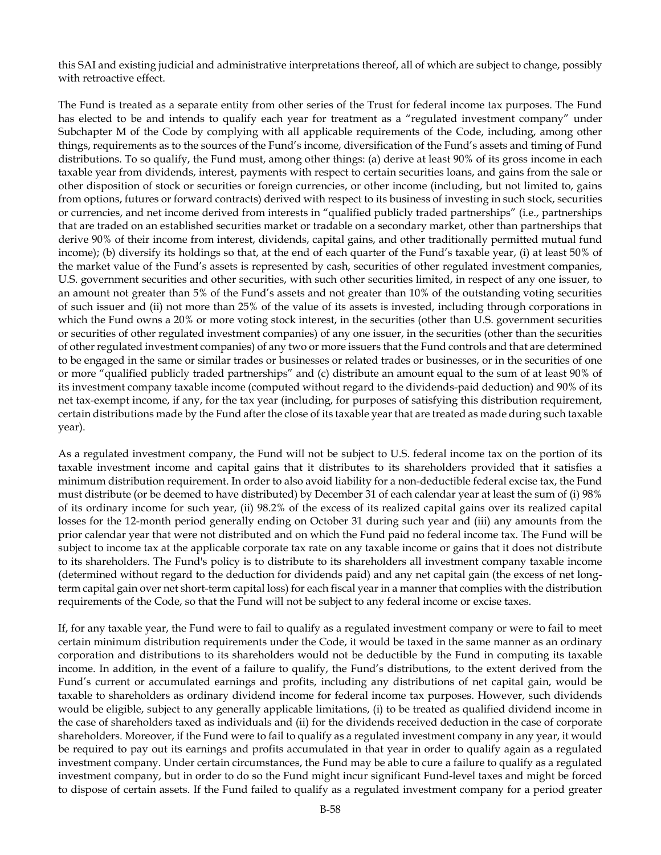this SAI and existing judicial and administrative interpretations thereof, all of which are subject to change, possibly with retroactive effect.

The Fund is treated as a separate entity from other series of the Trust for federal income tax purposes. The Fund has elected to be and intends to qualify each year for treatment as a "regulated investment company" under Subchapter M of the Code by complying with all applicable requirements of the Code, including, among other things, requirements as to the sources of the Fund's income, diversification of the Fund's assets and timing of Fund distributions. To so qualify, the Fund must, among other things: (a) derive at least 90% of its gross income in each taxable year from dividends, interest, payments with respect to certain securities loans, and gains from the sale or other disposition of stock or securities or foreign currencies, or other income (including, but not limited to, gains from options, futures or forward contracts) derived with respect to its business of investing in such stock, securities or currencies, and net income derived from interests in "qualified publicly traded partnerships" (i.e., partnerships that are traded on an established securities market or tradable on a secondary market, other than partnerships that derive 90% of their income from interest, dividends, capital gains, and other traditionally permitted mutual fund income); (b) diversify its holdings so that, at the end of each quarter of the Fund's taxable year, (i) at least 50% of the market value of the Fund's assets is represented by cash, securities of other regulated investment companies, U.S. government securities and other securities, with such other securities limited, in respect of any one issuer, to an amount not greater than 5% of the Fund's assets and not greater than 10% of the outstanding voting securities of such issuer and (ii) not more than 25% of the value of its assets is invested, including through corporations in which the Fund owns a 20% or more voting stock interest, in the securities (other than U.S. government securities or securities of other regulated investment companies) of any one issuer, in the securities (other than the securities of other regulated investment companies) of any two or more issuers that the Fund controls and that are determined to be engaged in the same or similar trades or businesses or related trades or businesses, or in the securities of one or more "qualified publicly traded partnerships" and (c) distribute an amount equal to the sum of at least 90% of its investment company taxable income (computed without regard to the dividends-paid deduction) and 90% of its net tax-exempt income, if any, for the tax year (including, for purposes of satisfying this distribution requirement, certain distributions made by the Fund after the close of its taxable year that are treated as made during such taxable year).

As a regulated investment company, the Fund will not be subject to U.S. federal income tax on the portion of its taxable investment income and capital gains that it distributes to its shareholders provided that it satisfies a minimum distribution requirement. In order to also avoid liability for a non-deductible federal excise tax, the Fund must distribute (or be deemed to have distributed) by December 31 of each calendar year at least the sum of (i) 98% of its ordinary income for such year, (ii) 98.2% of the excess of its realized capital gains over its realized capital losses for the 12-month period generally ending on October 31 during such year and (iii) any amounts from the prior calendar year that were not distributed and on which the Fund paid no federal income tax. The Fund will be subject to income tax at the applicable corporate tax rate on any taxable income or gains that it does not distribute to its shareholders. The Fund's policy is to distribute to its shareholders all investment company taxable income (determined without regard to the deduction for dividends paid) and any net capital gain (the excess of net longterm capital gain over net short-term capital loss) for each fiscal year in a manner that complies with the distribution requirements of the Code, so that the Fund will not be subject to any federal income or excise taxes.

If, for any taxable year, the Fund were to fail to qualify as a regulated investment company or were to fail to meet certain minimum distribution requirements under the Code, it would be taxed in the same manner as an ordinary corporation and distributions to its shareholders would not be deductible by the Fund in computing its taxable income. In addition, in the event of a failure to qualify, the Fund's distributions, to the extent derived from the Fund's current or accumulated earnings and profits, including any distributions of net capital gain, would be taxable to shareholders as ordinary dividend income for federal income tax purposes. However, such dividends would be eligible, subject to any generally applicable limitations, (i) to be treated as qualified dividend income in the case of shareholders taxed as individuals and (ii) for the dividends received deduction in the case of corporate shareholders. Moreover, if the Fund were to fail to qualify as a regulated investment company in any year, it would be required to pay out its earnings and profits accumulated in that year in order to qualify again as a regulated investment company. Under certain circumstances, the Fund may be able to cure a failure to qualify as a regulated investment company, but in order to do so the Fund might incur significant Fund-level taxes and might be forced to dispose of certain assets. If the Fund failed to qualify as a regulated investment company for a period greater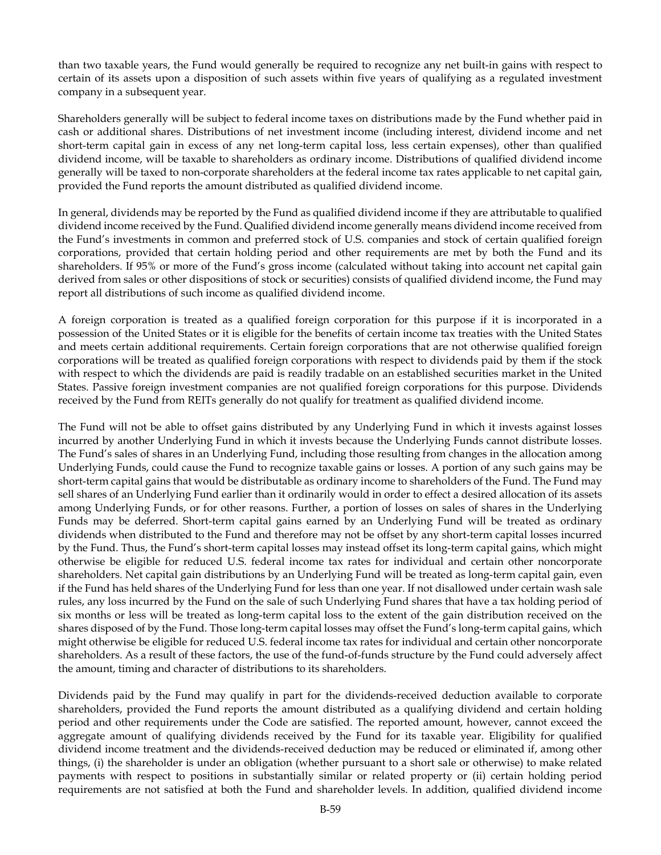than two taxable years, the Fund would generally be required to recognize any net built-in gains with respect to certain of its assets upon a disposition of such assets within five years of qualifying as a regulated investment company in a subsequent year.

Shareholders generally will be subject to federal income taxes on distributions made by the Fund whether paid in cash or additional shares. Distributions of net investment income (including interest, dividend income and net short-term capital gain in excess of any net long-term capital loss, less certain expenses), other than qualified dividend income, will be taxable to shareholders as ordinary income. Distributions of qualified dividend income generally will be taxed to non-corporate shareholders at the federal income tax rates applicable to net capital gain, provided the Fund reports the amount distributed as qualified dividend income.

In general, dividends may be reported by the Fund as qualified dividend income if they are attributable to qualified dividend income received by the Fund. Qualified dividend income generally means dividend income received from the Fund's investments in common and preferred stock of U.S. companies and stock of certain qualified foreign corporations, provided that certain holding period and other requirements are met by both the Fund and its shareholders. If 95% or more of the Fund's gross income (calculated without taking into account net capital gain derived from sales or other dispositions of stock or securities) consists of qualified dividend income, the Fund may report all distributions of such income as qualified dividend income.

A foreign corporation is treated as a qualified foreign corporation for this purpose if it is incorporated in a possession of the United States or it is eligible for the benefits of certain income tax treaties with the United States and meets certain additional requirements. Certain foreign corporations that are not otherwise qualified foreign corporations will be treated as qualified foreign corporations with respect to dividends paid by them if the stock with respect to which the dividends are paid is readily tradable on an established securities market in the United States. Passive foreign investment companies are not qualified foreign corporations for this purpose. Dividends received by the Fund from REITs generally do not qualify for treatment as qualified dividend income.

The Fund will not be able to offset gains distributed by any Underlying Fund in which it invests against losses incurred by another Underlying Fund in which it invests because the Underlying Funds cannot distribute losses. The Fund's sales of shares in an Underlying Fund, including those resulting from changes in the allocation among Underlying Funds, could cause the Fund to recognize taxable gains or losses. A portion of any such gains may be short-term capital gains that would be distributable as ordinary income to shareholders of the Fund. The Fund may sell shares of an Underlying Fund earlier than it ordinarily would in order to effect a desired allocation of its assets among Underlying Funds, or for other reasons. Further, a portion of losses on sales of shares in the Underlying Funds may be deferred. Short-term capital gains earned by an Underlying Fund will be treated as ordinary dividends when distributed to the Fund and therefore may not be offset by any short-term capital losses incurred by the Fund. Thus, the Fund's short-term capital losses may instead offset its long-term capital gains, which might otherwise be eligible for reduced U.S. federal income tax rates for individual and certain other noncorporate shareholders. Net capital gain distributions by an Underlying Fund will be treated as long-term capital gain, even if the Fund has held shares of the Underlying Fund for less than one year. If not disallowed under certain wash sale rules, any loss incurred by the Fund on the sale of such Underlying Fund shares that have a tax holding period of six months or less will be treated as long-term capital loss to the extent of the gain distribution received on the shares disposed of by the Fund. Those long-term capital losses may offset the Fund's long-term capital gains, which might otherwise be eligible for reduced U.S. federal income tax rates for individual and certain other noncorporate shareholders. As a result of these factors, the use of the fund-of-funds structure by the Fund could adversely affect the amount, timing and character of distributions to its shareholders.

Dividends paid by the Fund may qualify in part for the dividends-received deduction available to corporate shareholders, provided the Fund reports the amount distributed as a qualifying dividend and certain holding period and other requirements under the Code are satisfied. The reported amount, however, cannot exceed the aggregate amount of qualifying dividends received by the Fund for its taxable year. Eligibility for qualified dividend income treatment and the dividends-received deduction may be reduced or eliminated if, among other things, (i) the shareholder is under an obligation (whether pursuant to a short sale or otherwise) to make related payments with respect to positions in substantially similar or related property or (ii) certain holding period requirements are not satisfied at both the Fund and shareholder levels. In addition, qualified dividend income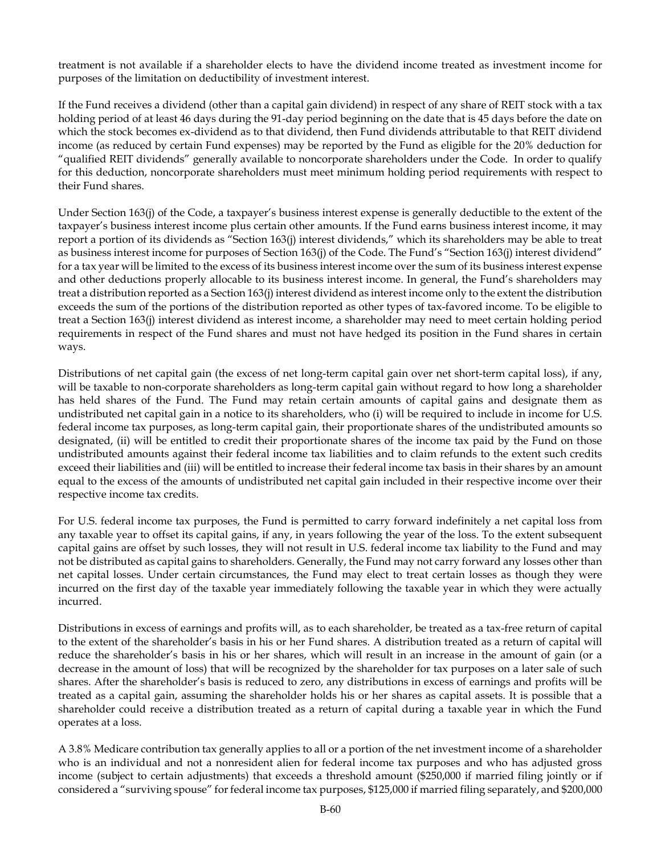treatment is not available if a shareholder elects to have the dividend income treated as investment income for purposes of the limitation on deductibility of investment interest.

If the Fund receives a dividend (other than a capital gain dividend) in respect of any share of REIT stock with a tax holding period of at least 46 days during the 91-day period beginning on the date that is 45 days before the date on which the stock becomes ex-dividend as to that dividend, then Fund dividends attributable to that REIT dividend income (as reduced by certain Fund expenses) may be reported by the Fund as eligible for the 20% deduction for "qualified REIT dividends" generally available to noncorporate shareholders under the Code. In order to qualify for this deduction, noncorporate shareholders must meet minimum holding period requirements with respect to their Fund shares.

Under Section 163(j) of the Code, a taxpayer's business interest expense is generally deductible to the extent of the taxpayer's business interest income plus certain other amounts. If the Fund earns business interest income, it may report a portion of its dividends as "Section 163(j) interest dividends," which its shareholders may be able to treat as business interest income for purposes of Section 163(j) of the Code. The Fund's "Section 163(j) interest dividend" for a tax year will be limited to the excess of its business interest income over the sum of its business interest expense and other deductions properly allocable to its business interest income. In general, the Fund's shareholders may treat a distribution reported as a Section 163(j) interest dividend as interest income only to the extent the distribution exceeds the sum of the portions of the distribution reported as other types of tax-favored income. To be eligible to treat a Section 163(j) interest dividend as interest income, a shareholder may need to meet certain holding period requirements in respect of the Fund shares and must not have hedged its position in the Fund shares in certain ways.

Distributions of net capital gain (the excess of net long-term capital gain over net short-term capital loss), if any, will be taxable to non-corporate shareholders as long-term capital gain without regard to how long a shareholder has held shares of the Fund. The Fund may retain certain amounts of capital gains and designate them as undistributed net capital gain in a notice to its shareholders, who (i) will be required to include in income for U.S. federal income tax purposes, as long-term capital gain, their proportionate shares of the undistributed amounts so designated, (ii) will be entitled to credit their proportionate shares of the income tax paid by the Fund on those undistributed amounts against their federal income tax liabilities and to claim refunds to the extent such credits exceed their liabilities and (iii) will be entitled to increase their federal income tax basis in their shares by an amount equal to the excess of the amounts of undistributed net capital gain included in their respective income over their respective income tax credits.

For U.S. federal income tax purposes, the Fund is permitted to carry forward indefinitely a net capital loss from any taxable year to offset its capital gains, if any, in years following the year of the loss. To the extent subsequent capital gains are offset by such losses, they will not result in U.S. federal income tax liability to the Fund and may not be distributed as capital gains to shareholders. Generally, the Fund may not carry forward any losses other than net capital losses. Under certain circumstances, the Fund may elect to treat certain losses as though they were incurred on the first day of the taxable year immediately following the taxable year in which they were actually incurred.

Distributions in excess of earnings and profits will, as to each shareholder, be treated as a tax-free return of capital to the extent of the shareholder's basis in his or her Fund shares. A distribution treated as a return of capital will reduce the shareholder's basis in his or her shares, which will result in an increase in the amount of gain (or a decrease in the amount of loss) that will be recognized by the shareholder for tax purposes on a later sale of such shares. After the shareholder's basis is reduced to zero, any distributions in excess of earnings and profits will be treated as a capital gain, assuming the shareholder holds his or her shares as capital assets. It is possible that a shareholder could receive a distribution treated as a return of capital during a taxable year in which the Fund operates at a loss.

A 3.8% Medicare contribution tax generally applies to all or a portion of the net investment income of a shareholder who is an individual and not a nonresident alien for federal income tax purposes and who has adjusted gross income (subject to certain adjustments) that exceeds a threshold amount (\$250,000 if married filing jointly or if considered a "surviving spouse" for federal income tax purposes, \$125,000 if married filing separately, and \$200,000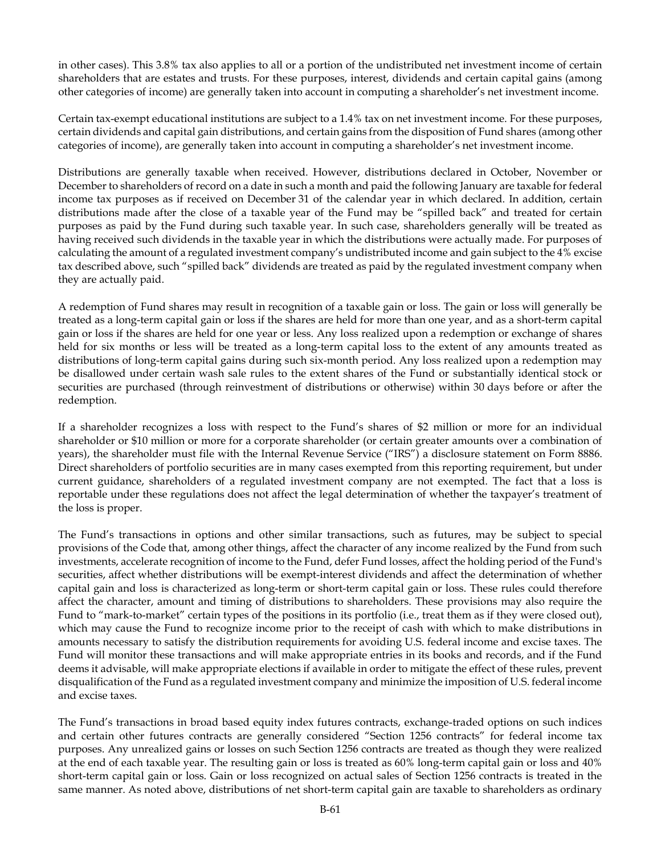in other cases). This 3.8% tax also applies to all or a portion of the undistributed net investment income of certain shareholders that are estates and trusts. For these purposes, interest, dividends and certain capital gains (among other categories of income) are generally taken into account in computing a shareholder's net investment income.

Certain tax-exempt educational institutions are subject to a 1.4% tax on net investment income. For these purposes, certain dividends and capital gain distributions, and certain gains from the disposition of Fund shares (among other categories of income), are generally taken into account in computing a shareholder's net investment income.

Distributions are generally taxable when received. However, distributions declared in October, November or December to shareholders of record on a date in such a month and paid the following January are taxable for federal income tax purposes as if received on December 31 of the calendar year in which declared. In addition, certain distributions made after the close of a taxable year of the Fund may be "spilled back" and treated for certain purposes as paid by the Fund during such taxable year. In such case, shareholders generally will be treated as having received such dividends in the taxable year in which the distributions were actually made. For purposes of calculating the amount of a regulated investment company's undistributed income and gain subject to the 4% excise tax described above, such "spilled back" dividends are treated as paid by the regulated investment company when they are actually paid.

A redemption of Fund shares may result in recognition of a taxable gain or loss. The gain or loss will generally be treated as a long-term capital gain or loss if the shares are held for more than one year, and as a short-term capital gain or loss if the shares are held for one year or less. Any loss realized upon a redemption or exchange of shares held for six months or less will be treated as a long-term capital loss to the extent of any amounts treated as distributions of long-term capital gains during such six-month period. Any loss realized upon a redemption may be disallowed under certain wash sale rules to the extent shares of the Fund or substantially identical stock or securities are purchased (through reinvestment of distributions or otherwise) within 30 days before or after the redemption.

If a shareholder recognizes a loss with respect to the Fund's shares of \$2 million or more for an individual shareholder or \$10 million or more for a corporate shareholder (or certain greater amounts over a combination of years), the shareholder must file with the Internal Revenue Service ("IRS") a disclosure statement on Form 8886. Direct shareholders of portfolio securities are in many cases exempted from this reporting requirement, but under current guidance, shareholders of a regulated investment company are not exempted. The fact that a loss is reportable under these regulations does not affect the legal determination of whether the taxpayer's treatment of the loss is proper.

The Fund's transactions in options and other similar transactions, such as futures, may be subject to special provisions of the Code that, among other things, affect the character of any income realized by the Fund from such investments, accelerate recognition of income to the Fund, defer Fund losses, affect the holding period of the Fund's securities, affect whether distributions will be exempt-interest dividends and affect the determination of whether capital gain and loss is characterized as long-term or short-term capital gain or loss. These rules could therefore affect the character, amount and timing of distributions to shareholders. These provisions may also require the Fund to "mark-to-market" certain types of the positions in its portfolio (i.e., treat them as if they were closed out), which may cause the Fund to recognize income prior to the receipt of cash with which to make distributions in amounts necessary to satisfy the distribution requirements for avoiding U.S. federal income and excise taxes. The Fund will monitor these transactions and will make appropriate entries in its books and records, and if the Fund deems it advisable, will make appropriate elections if available in order to mitigate the effect of these rules, prevent disqualification of the Fund as a regulated investment company and minimize the imposition of U.S. federal income and excise taxes.

The Fund's transactions in broad based equity index futures contracts, exchange-traded options on such indices and certain other futures contracts are generally considered "Section 1256 contracts" for federal income tax purposes. Any unrealized gains or losses on such Section 1256 contracts are treated as though they were realized at the end of each taxable year. The resulting gain or loss is treated as 60% long-term capital gain or loss and 40% short-term capital gain or loss. Gain or loss recognized on actual sales of Section 1256 contracts is treated in the same manner. As noted above, distributions of net short-term capital gain are taxable to shareholders as ordinary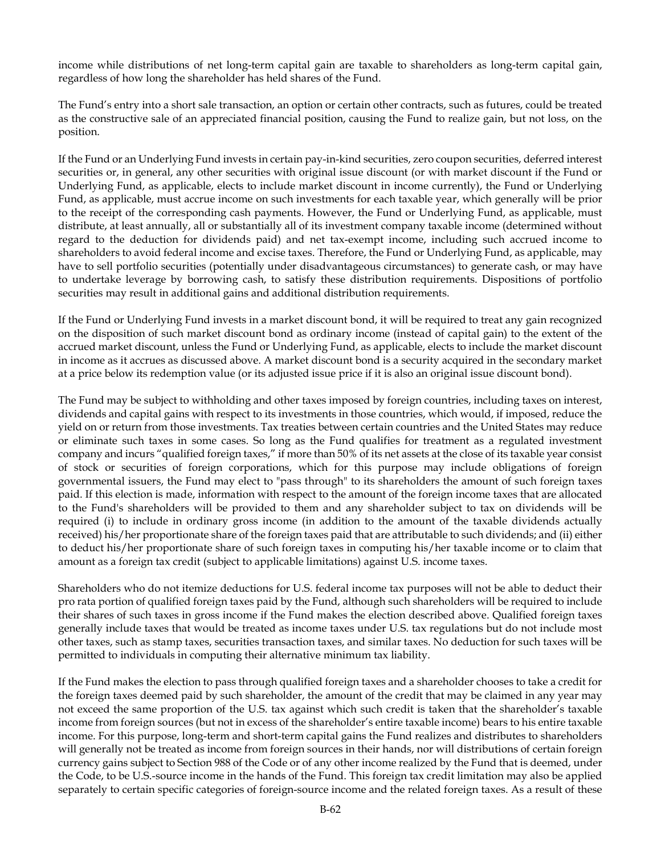income while distributions of net long-term capital gain are taxable to shareholders as long-term capital gain, regardless of how long the shareholder has held shares of the Fund.

The Fund's entry into a short sale transaction, an option or certain other contracts, such as futures, could be treated as the constructive sale of an appreciated financial position, causing the Fund to realize gain, but not loss, on the position.

If the Fund or an Underlying Fund invests in certain pay-in-kind securities, zero coupon securities, deferred interest securities or, in general, any other securities with original issue discount (or with market discount if the Fund or Underlying Fund, as applicable, elects to include market discount in income currently), the Fund or Underlying Fund, as applicable, must accrue income on such investments for each taxable year, which generally will be prior to the receipt of the corresponding cash payments. However, the Fund or Underlying Fund, as applicable, must distribute, at least annually, all or substantially all of its investment company taxable income (determined without regard to the deduction for dividends paid) and net tax-exempt income, including such accrued income to shareholders to avoid federal income and excise taxes. Therefore, the Fund or Underlying Fund, as applicable, may have to sell portfolio securities (potentially under disadvantageous circumstances) to generate cash, or may have to undertake leverage by borrowing cash, to satisfy these distribution requirements. Dispositions of portfolio securities may result in additional gains and additional distribution requirements.

If the Fund or Underlying Fund invests in a market discount bond, it will be required to treat any gain recognized on the disposition of such market discount bond as ordinary income (instead of capital gain) to the extent of the accrued market discount, unless the Fund or Underlying Fund, as applicable, elects to include the market discount in income as it accrues as discussed above. A market discount bond is a security acquired in the secondary market at a price below its redemption value (or its adjusted issue price if it is also an original issue discount bond).

The Fund may be subject to withholding and other taxes imposed by foreign countries, including taxes on interest, dividends and capital gains with respect to its investments in those countries, which would, if imposed, reduce the yield on or return from those investments. Tax treaties between certain countries and the United States may reduce or eliminate such taxes in some cases. So long as the Fund qualifies for treatment as a regulated investment company and incurs "qualified foreign taxes," if more than 50% of its net assets at the close of its taxable year consist of stock or securities of foreign corporations, which for this purpose may include obligations of foreign governmental issuers, the Fund may elect to "pass through" to its shareholders the amount of such foreign taxes paid. If this election is made, information with respect to the amount of the foreign income taxes that are allocated to the Fund's shareholders will be provided to them and any shareholder subject to tax on dividends will be required (i) to include in ordinary gross income (in addition to the amount of the taxable dividends actually received) his/her proportionate share of the foreign taxes paid that are attributable to such dividends; and (ii) either to deduct his/her proportionate share of such foreign taxes in computing his/her taxable income or to claim that amount as a foreign tax credit (subject to applicable limitations) against U.S. income taxes.

Shareholders who do not itemize deductions for U.S. federal income tax purposes will not be able to deduct their pro rata portion of qualified foreign taxes paid by the Fund, although such shareholders will be required to include their shares of such taxes in gross income if the Fund makes the election described above. Qualified foreign taxes generally include taxes that would be treated as income taxes under U.S. tax regulations but do not include most other taxes, such as stamp taxes, securities transaction taxes, and similar taxes. No deduction for such taxes will be permitted to individuals in computing their alternative minimum tax liability.

If the Fund makes the election to pass through qualified foreign taxes and a shareholder chooses to take a credit for the foreign taxes deemed paid by such shareholder, the amount of the credit that may be claimed in any year may not exceed the same proportion of the U.S. tax against which such credit is taken that the shareholder's taxable income from foreign sources (but not in excess of the shareholder's entire taxable income) bears to his entire taxable income. For this purpose, long-term and short-term capital gains the Fund realizes and distributes to shareholders will generally not be treated as income from foreign sources in their hands, nor will distributions of certain foreign currency gains subject to Section 988 of the Code or of any other income realized by the Fund that is deemed, under the Code, to be U.S.-source income in the hands of the Fund. This foreign tax credit limitation may also be applied separately to certain specific categories of foreign-source income and the related foreign taxes. As a result of these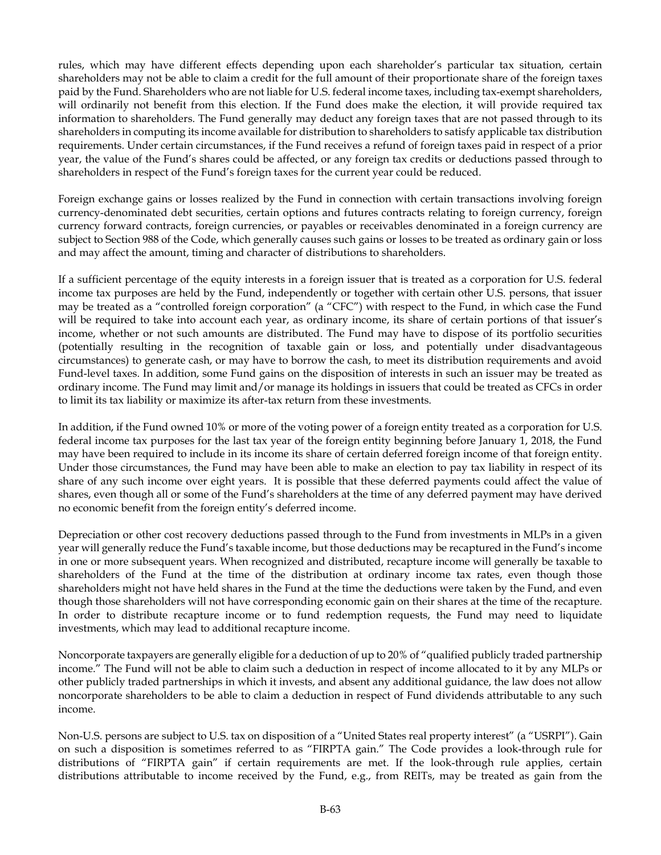rules, which may have different effects depending upon each shareholder's particular tax situation, certain shareholders may not be able to claim a credit for the full amount of their proportionate share of the foreign taxes paid by the Fund. Shareholders who are not liable for U.S. federal income taxes, including tax-exempt shareholders, will ordinarily not benefit from this election. If the Fund does make the election, it will provide required tax information to shareholders. The Fund generally may deduct any foreign taxes that are not passed through to its shareholders in computing its income available for distribution to shareholders to satisfy applicable tax distribution requirements. Under certain circumstances, if the Fund receives a refund of foreign taxes paid in respect of a prior year, the value of the Fund's shares could be affected, or any foreign tax credits or deductions passed through to shareholders in respect of the Fund's foreign taxes for the current year could be reduced.

Foreign exchange gains or losses realized by the Fund in connection with certain transactions involving foreign currency-denominated debt securities, certain options and futures contracts relating to foreign currency, foreign currency forward contracts, foreign currencies, or payables or receivables denominated in a foreign currency are subject to Section 988 of the Code, which generally causes such gains or losses to be treated as ordinary gain or loss and may affect the amount, timing and character of distributions to shareholders.

If a sufficient percentage of the equity interests in a foreign issuer that is treated as a corporation for U.S. federal income tax purposes are held by the Fund, independently or together with certain other U.S. persons, that issuer may be treated as a "controlled foreign corporation" (a "CFC") with respect to the Fund, in which case the Fund will be required to take into account each year, as ordinary income, its share of certain portions of that issuer's income, whether or not such amounts are distributed. The Fund may have to dispose of its portfolio securities (potentially resulting in the recognition of taxable gain or loss, and potentially under disadvantageous circumstances) to generate cash, or may have to borrow the cash, to meet its distribution requirements and avoid Fund-level taxes. In addition, some Fund gains on the disposition of interests in such an issuer may be treated as ordinary income. The Fund may limit and/or manage its holdings in issuers that could be treated as CFCs in order to limit its tax liability or maximize its after-tax return from these investments.

In addition, if the Fund owned 10% or more of the voting power of a foreign entity treated as a corporation for U.S. federal income tax purposes for the last tax year of the foreign entity beginning before January 1, 2018, the Fund may have been required to include in its income its share of certain deferred foreign income of that foreign entity. Under those circumstances, the Fund may have been able to make an election to pay tax liability in respect of its share of any such income over eight years. It is possible that these deferred payments could affect the value of shares, even though all or some of the Fund's shareholders at the time of any deferred payment may have derived no economic benefit from the foreign entity's deferred income.

Depreciation or other cost recovery deductions passed through to the Fund from investments in MLPs in a given year will generally reduce the Fund's taxable income, but those deductions may be recaptured in the Fund's income in one or more subsequent years. When recognized and distributed, recapture income will generally be taxable to shareholders of the Fund at the time of the distribution at ordinary income tax rates, even though those shareholders might not have held shares in the Fund at the time the deductions were taken by the Fund, and even though those shareholders will not have corresponding economic gain on their shares at the time of the recapture. In order to distribute recapture income or to fund redemption requests, the Fund may need to liquidate investments, which may lead to additional recapture income.

Noncorporate taxpayers are generally eligible for a deduction of up to 20% of "qualified publicly traded partnership income." The Fund will not be able to claim such a deduction in respect of income allocated to it by any MLPs or other publicly traded partnerships in which it invests, and absent any additional guidance, the law does not allow noncorporate shareholders to be able to claim a deduction in respect of Fund dividends attributable to any such income.

Non-U.S. persons are subject to U.S. tax on disposition of a "United States real property interest" (a "USRPI"). Gain on such a disposition is sometimes referred to as "FIRPTA gain." The Code provides a look-through rule for distributions of "FIRPTA gain" if certain requirements are met. If the look-through rule applies, certain distributions attributable to income received by the Fund, e.g., from REITs, may be treated as gain from the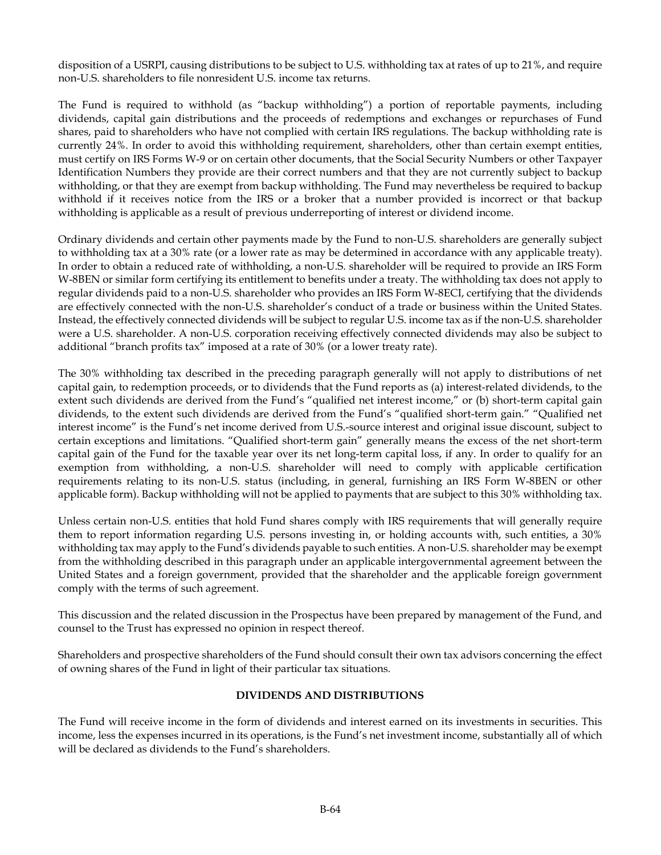disposition of a USRPI, causing distributions to be subject to U.S. withholding tax at rates of up to 21%, and require non-U.S. shareholders to file nonresident U.S. income tax returns.

The Fund is required to withhold (as "backup withholding") a portion of reportable payments, including dividends, capital gain distributions and the proceeds of redemptions and exchanges or repurchases of Fund shares, paid to shareholders who have not complied with certain IRS regulations. The backup withholding rate is currently 24%. In order to avoid this withholding requirement, shareholders, other than certain exempt entities, must certify on IRS Forms W-9 or on certain other documents, that the Social Security Numbers or other Taxpayer Identification Numbers they provide are their correct numbers and that they are not currently subject to backup withholding, or that they are exempt from backup withholding. The Fund may nevertheless be required to backup withhold if it receives notice from the IRS or a broker that a number provided is incorrect or that backup withholding is applicable as a result of previous underreporting of interest or dividend income.

Ordinary dividends and certain other payments made by the Fund to non-U.S. shareholders are generally subject to withholding tax at a 30% rate (or a lower rate as may be determined in accordance with any applicable treaty). In order to obtain a reduced rate of withholding, a non-U.S. shareholder will be required to provide an IRS Form W-8BEN or similar form certifying its entitlement to benefits under a treaty. The withholding tax does not apply to regular dividends paid to a non-U.S. shareholder who provides an IRS Form W-8ECI, certifying that the dividends are effectively connected with the non-U.S. shareholder's conduct of a trade or business within the United States. Instead, the effectively connected dividends will be subject to regular U.S. income tax as if the non-U.S. shareholder were a U.S. shareholder. A non-U.S. corporation receiving effectively connected dividends may also be subject to additional "branch profits tax" imposed at a rate of 30% (or a lower treaty rate).

The 30% withholding tax described in the preceding paragraph generally will not apply to distributions of net capital gain, to redemption proceeds, or to dividends that the Fund reports as (a) interest-related dividends, to the extent such dividends are derived from the Fund's "qualified net interest income," or (b) short-term capital gain dividends, to the extent such dividends are derived from the Fund's "qualified short-term gain." "Qualified net interest income" is the Fund's net income derived from U.S.-source interest and original issue discount, subject to certain exceptions and limitations. "Qualified short-term gain" generally means the excess of the net short-term capital gain of the Fund for the taxable year over its net long-term capital loss, if any. In order to qualify for an exemption from withholding, a non-U.S. shareholder will need to comply with applicable certification requirements relating to its non-U.S. status (including, in general, furnishing an IRS Form W-8BEN or other applicable form). Backup withholding will not be applied to payments that are subject to this 30% withholding tax.

Unless certain non-U.S. entities that hold Fund shares comply with IRS requirements that will generally require them to report information regarding U.S. persons investing in, or holding accounts with, such entities, a 30% withholding tax may apply to the Fund's dividends payable to such entities. A non-U.S. shareholder may be exempt from the withholding described in this paragraph under an applicable intergovernmental agreement between the United States and a foreign government, provided that the shareholder and the applicable foreign government comply with the terms of such agreement.

This discussion and the related discussion in the Prospectus have been prepared by management of the Fund, and counsel to the Trust has expressed no opinion in respect thereof.

Shareholders and prospective shareholders of the Fund should consult their own tax advisors concerning the effect of owning shares of the Fund in light of their particular tax situations.

## **DIVIDENDS AND DISTRIBUTIONS**

The Fund will receive income in the form of dividends and interest earned on its investments in securities. This income, less the expenses incurred in its operations, is the Fund's net investment income, substantially all of which will be declared as dividends to the Fund's shareholders.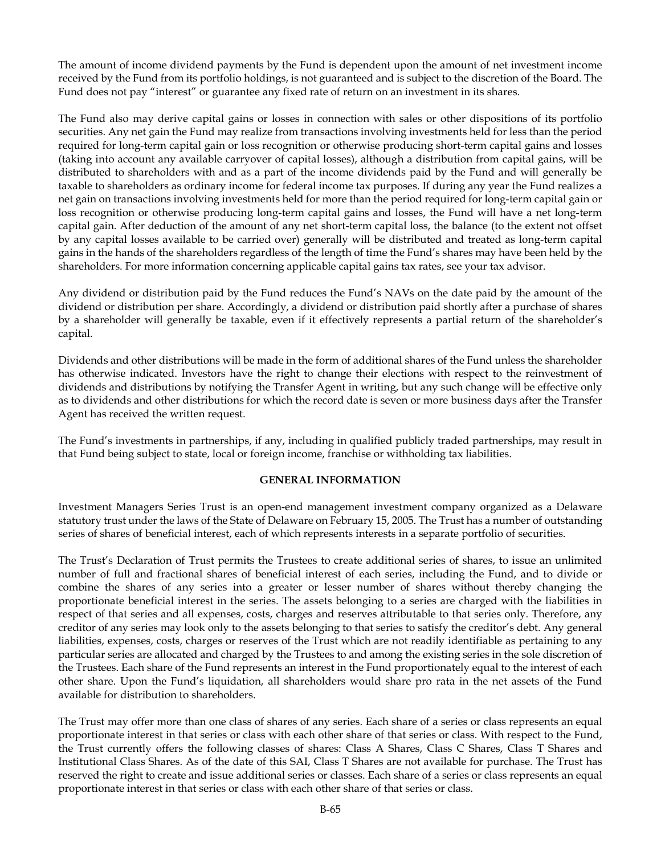The amount of income dividend payments by the Fund is dependent upon the amount of net investment income received by the Fund from its portfolio holdings, is not guaranteed and is subject to the discretion of the Board. The Fund does not pay "interest" or guarantee any fixed rate of return on an investment in its shares.

The Fund also may derive capital gains or losses in connection with sales or other dispositions of its portfolio securities. Any net gain the Fund may realize from transactions involving investments held for less than the period required for long-term capital gain or loss recognition or otherwise producing short-term capital gains and losses (taking into account any available carryover of capital losses), although a distribution from capital gains, will be distributed to shareholders with and as a part of the income dividends paid by the Fund and will generally be taxable to shareholders as ordinary income for federal income tax purposes. If during any year the Fund realizes a net gain on transactions involving investments held for more than the period required for long-term capital gain or loss recognition or otherwise producing long-term capital gains and losses, the Fund will have a net long-term capital gain. After deduction of the amount of any net short-term capital loss, the balance (to the extent not offset by any capital losses available to be carried over) generally will be distributed and treated as long-term capital gains in the hands of the shareholders regardless of the length of time the Fund's shares may have been held by the shareholders. For more information concerning applicable capital gains tax rates, see your tax advisor.

Any dividend or distribution paid by the Fund reduces the Fund's NAVs on the date paid by the amount of the dividend or distribution per share. Accordingly, a dividend or distribution paid shortly after a purchase of shares by a shareholder will generally be taxable, even if it effectively represents a partial return of the shareholder's capital.

Dividends and other distributions will be made in the form of additional shares of the Fund unless the shareholder has otherwise indicated. Investors have the right to change their elections with respect to the reinvestment of dividends and distributions by notifying the Transfer Agent in writing, but any such change will be effective only as to dividends and other distributions for which the record date is seven or more business days after the Transfer Agent has received the written request.

The Fund's investments in partnerships, if any, including in qualified publicly traded partnerships, may result in that Fund being subject to state, local or foreign income, franchise or withholding tax liabilities.

## **GENERAL INFORMATION**

Investment Managers Series Trust is an open-end management investment company organized as a Delaware statutory trust under the laws of the State of Delaware on February 15, 2005. The Trust has a number of outstanding series of shares of beneficial interest, each of which represents interests in a separate portfolio of securities.

The Trust's Declaration of Trust permits the Trustees to create additional series of shares, to issue an unlimited number of full and fractional shares of beneficial interest of each series, including the Fund, and to divide or combine the shares of any series into a greater or lesser number of shares without thereby changing the proportionate beneficial interest in the series. The assets belonging to a series are charged with the liabilities in respect of that series and all expenses, costs, charges and reserves attributable to that series only. Therefore, any creditor of any series may look only to the assets belonging to that series to satisfy the creditor's debt. Any general liabilities, expenses, costs, charges or reserves of the Trust which are not readily identifiable as pertaining to any particular series are allocated and charged by the Trustees to and among the existing series in the sole discretion of the Trustees. Each share of the Fund represents an interest in the Fund proportionately equal to the interest of each other share. Upon the Fund's liquidation, all shareholders would share pro rata in the net assets of the Fund available for distribution to shareholders.

The Trust may offer more than one class of shares of any series. Each share of a series or class represents an equal proportionate interest in that series or class with each other share of that series or class. With respect to the Fund, the Trust currently offers the following classes of shares: Class A Shares, Class C Shares, Class T Shares and Institutional Class Shares. As of the date of this SAI, Class T Shares are not available for purchase. The Trust has reserved the right to create and issue additional series or classes. Each share of a series or class represents an equal proportionate interest in that series or class with each other share of that series or class.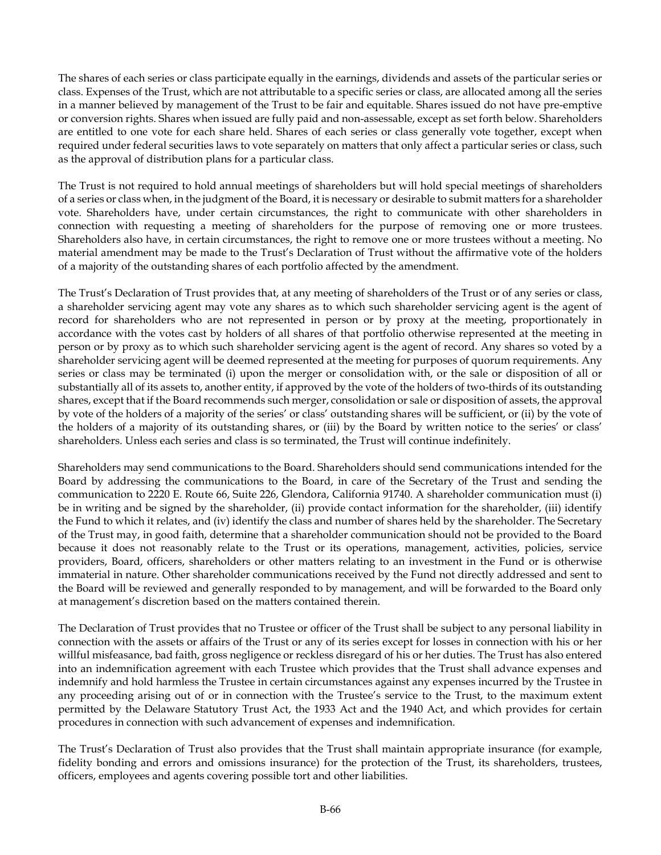The shares of each series or class participate equally in the earnings, dividends and assets of the particular series or class. Expenses of the Trust, which are not attributable to a specific series or class, are allocated among all the series in a manner believed by management of the Trust to be fair and equitable. Shares issued do not have pre-emptive or conversion rights. Shares when issued are fully paid and non-assessable, except as set forth below. Shareholders are entitled to one vote for each share held. Shares of each series or class generally vote together, except when required under federal securities laws to vote separately on matters that only affect a particular series or class, such as the approval of distribution plans for a particular class.

The Trust is not required to hold annual meetings of shareholders but will hold special meetings of shareholders of a series or class when, in the judgment of the Board, it is necessary or desirable to submit matters for a shareholder vote. Shareholders have, under certain circumstances, the right to communicate with other shareholders in connection with requesting a meeting of shareholders for the purpose of removing one or more trustees. Shareholders also have, in certain circumstances, the right to remove one or more trustees without a meeting. No material amendment may be made to the Trust's Declaration of Trust without the affirmative vote of the holders of a majority of the outstanding shares of each portfolio affected by the amendment.

The Trust's Declaration of Trust provides that, at any meeting of shareholders of the Trust or of any series or class, a shareholder servicing agent may vote any shares as to which such shareholder servicing agent is the agent of record for shareholders who are not represented in person or by proxy at the meeting, proportionately in accordance with the votes cast by holders of all shares of that portfolio otherwise represented at the meeting in person or by proxy as to which such shareholder servicing agent is the agent of record. Any shares so voted by a shareholder servicing agent will be deemed represented at the meeting for purposes of quorum requirements. Any series or class may be terminated (i) upon the merger or consolidation with, or the sale or disposition of all or substantially all of its assets to, another entity, if approved by the vote of the holders of two-thirds of its outstanding shares, except that if the Board recommends such merger, consolidation or sale or disposition of assets, the approval by vote of the holders of a majority of the series' or class' outstanding shares will be sufficient, or (ii) by the vote of the holders of a majority of its outstanding shares, or (iii) by the Board by written notice to the series' or class' shareholders. Unless each series and class is so terminated, the Trust will continue indefinitely.

Shareholders may send communications to the Board. Shareholders should send communications intended for the Board by addressing the communications to the Board, in care of the Secretary of the Trust and sending the communication to 2220 E. Route 66, Suite 226, Glendora, California 91740. A shareholder communication must (i) be in writing and be signed by the shareholder, (ii) provide contact information for the shareholder, (iii) identify the Fund to which it relates, and (iv) identify the class and number of shares held by the shareholder. The Secretary of the Trust may, in good faith, determine that a shareholder communication should not be provided to the Board because it does not reasonably relate to the Trust or its operations, management, activities, policies, service providers, Board, officers, shareholders or other matters relating to an investment in the Fund or is otherwise immaterial in nature. Other shareholder communications received by the Fund not directly addressed and sent to the Board will be reviewed and generally responded to by management, and will be forwarded to the Board only at management's discretion based on the matters contained therein.

The Declaration of Trust provides that no Trustee or officer of the Trust shall be subject to any personal liability in connection with the assets or affairs of the Trust or any of its series except for losses in connection with his or her willful misfeasance, bad faith, gross negligence or reckless disregard of his or her duties. The Trust has also entered into an indemnification agreement with each Trustee which provides that the Trust shall advance expenses and indemnify and hold harmless the Trustee in certain circumstances against any expenses incurred by the Trustee in any proceeding arising out of or in connection with the Trustee's service to the Trust, to the maximum extent permitted by the Delaware Statutory Trust Act, the 1933 Act and the 1940 Act, and which provides for certain procedures in connection with such advancement of expenses and indemnification.

The Trust's Declaration of Trust also provides that the Trust shall maintain appropriate insurance (for example, fidelity bonding and errors and omissions insurance) for the protection of the Trust, its shareholders, trustees, officers, employees and agents covering possible tort and other liabilities.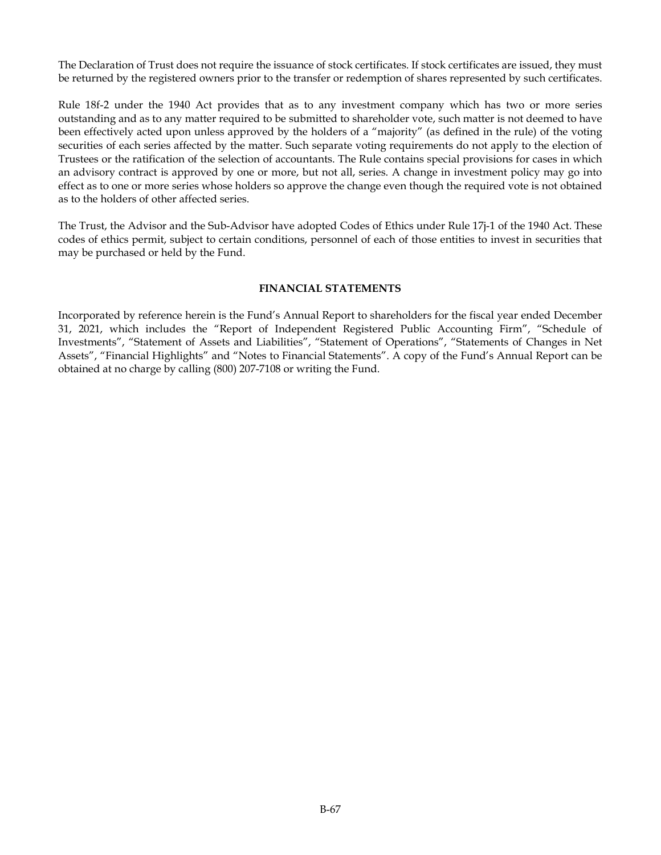The Declaration of Trust does not require the issuance of stock certificates. If stock certificates are issued, they must be returned by the registered owners prior to the transfer or redemption of shares represented by such certificates.

Rule 18f-2 under the 1940 Act provides that as to any investment company which has two or more series outstanding and as to any matter required to be submitted to shareholder vote, such matter is not deemed to have been effectively acted upon unless approved by the holders of a "majority" (as defined in the rule) of the voting securities of each series affected by the matter. Such separate voting requirements do not apply to the election of Trustees or the ratification of the selection of accountants. The Rule contains special provisions for cases in which an advisory contract is approved by one or more, but not all, series. A change in investment policy may go into effect as to one or more series whose holders so approve the change even though the required vote is not obtained as to the holders of other affected series.

The Trust, the Advisor and the Sub-Advisor have adopted Codes of Ethics under Rule 17j-1 of the 1940 Act. These codes of ethics permit, subject to certain conditions, personnel of each of those entities to invest in securities that may be purchased or held by the Fund.

#### **FINANCIAL STATEMENTS**

Incorporated by reference herein is the Fund's Annual Report to shareholders for the fiscal year ended December 31, 2021, which includes the "Report of Independent Registered Public Accounting Firm", "Schedule of Investments", "Statement of Assets and Liabilities", "Statement of Operations", "Statements of Changes in Net Assets", "Financial Highlights" and "Notes to Financial Statements". A copy of the Fund's Annual Report can be obtained at no charge by calling (800) 207-7108 or writing the Fund.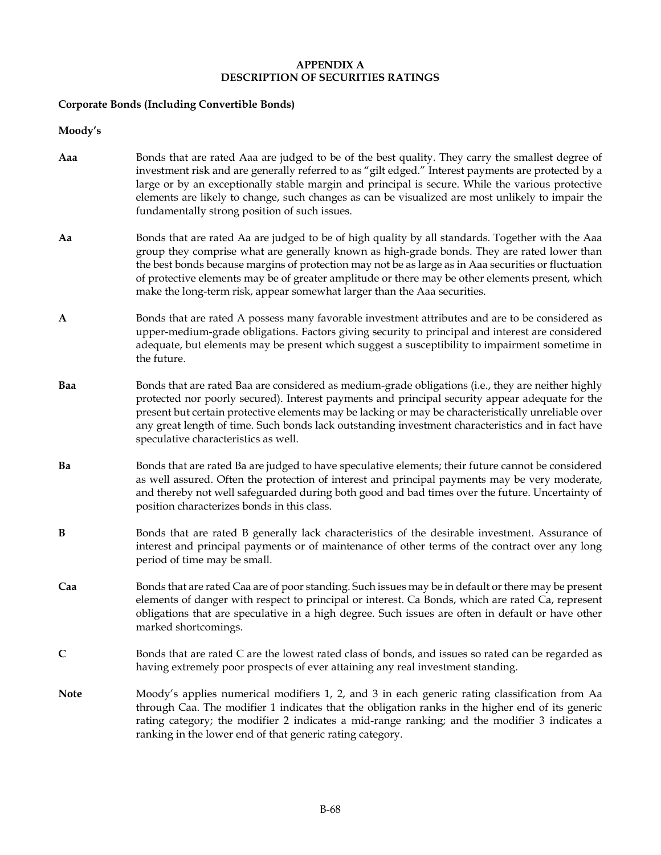## **APPENDIX A DESCRIPTION OF SECURITIES RATINGS**

# **Corporate Bonds (Including Convertible Bonds)**

## **Moody's**

| Aaa         | Bonds that are rated Aaa are judged to be of the best quality. They carry the smallest degree of<br>investment risk and are generally referred to as "gilt edged." Interest payments are protected by a<br>large or by an exceptionally stable margin and principal is secure. While the various protective<br>elements are likely to change, such changes as can be visualized are most unlikely to impair the<br>fundamentally strong position of such issues.                        |
|-------------|-----------------------------------------------------------------------------------------------------------------------------------------------------------------------------------------------------------------------------------------------------------------------------------------------------------------------------------------------------------------------------------------------------------------------------------------------------------------------------------------|
| Aa          | Bonds that are rated Aa are judged to be of high quality by all standards. Together with the Aaa<br>group they comprise what are generally known as high-grade bonds. They are rated lower than<br>the best bonds because margins of protection may not be as large as in Aaa securities or fluctuation<br>of protective elements may be of greater amplitude or there may be other elements present, which<br>make the long-term risk, appear somewhat larger than the Aaa securities. |
| A           | Bonds that are rated A possess many favorable investment attributes and are to be considered as<br>upper-medium-grade obligations. Factors giving security to principal and interest are considered<br>adequate, but elements may be present which suggest a susceptibility to impairment sometime in<br>the future.                                                                                                                                                                    |
| Baa         | Bonds that are rated Baa are considered as medium-grade obligations (i.e., they are neither highly<br>protected nor poorly secured). Interest payments and principal security appear adequate for the<br>present but certain protective elements may be lacking or may be characteristically unreliable over<br>any great length of time. Such bonds lack outstanding investment characteristics and in fact have<br>speculative characteristics as well.                               |
| Ba          | Bonds that are rated Ba are judged to have speculative elements; their future cannot be considered<br>as well assured. Often the protection of interest and principal payments may be very moderate,<br>and thereby not well safeguarded during both good and bad times over the future. Uncertainty of<br>position characterizes bonds in this class.                                                                                                                                  |
| B           | Bonds that are rated B generally lack characteristics of the desirable investment. Assurance of<br>interest and principal payments or of maintenance of other terms of the contract over any long<br>period of time may be small.                                                                                                                                                                                                                                                       |
| Caa         | Bonds that are rated Caa are of poor standing. Such issues may be in default or there may be present<br>elements of danger with respect to principal or interest. Ca Bonds, which are rated Ca, represent<br>obligations that are speculative in a high degree. Such issues are often in default or have other<br>marked shortcomings.                                                                                                                                                  |
| C           | Bonds that are rated C are the lowest rated class of bonds, and issues so rated can be regarded as<br>having extremely poor prospects of ever attaining any real investment standing.                                                                                                                                                                                                                                                                                                   |
| <b>Note</b> | Moody's applies numerical modifiers 1, 2, and 3 in each generic rating classification from Aa<br>through Caa. The modifier 1 indicates that the obligation ranks in the higher end of its generic<br>rating category; the modifier 2 indicates a mid-range ranking; and the modifier 3 indicates a<br>ranking in the lower end of that generic rating category.                                                                                                                         |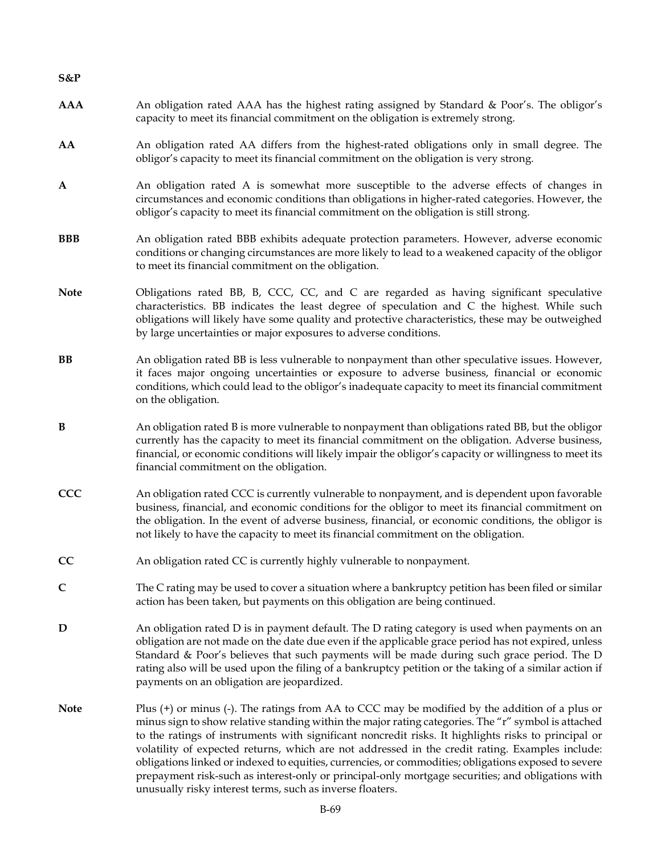| S&P         |                                                                                                                                                                                                                                                                                                                                                                                                                                                                                                                                                                                                                                                                                                |
|-------------|------------------------------------------------------------------------------------------------------------------------------------------------------------------------------------------------------------------------------------------------------------------------------------------------------------------------------------------------------------------------------------------------------------------------------------------------------------------------------------------------------------------------------------------------------------------------------------------------------------------------------------------------------------------------------------------------|
| AAA         | An obligation rated AAA has the highest rating assigned by Standard & Poor's. The obligor's<br>capacity to meet its financial commitment on the obligation is extremely strong.                                                                                                                                                                                                                                                                                                                                                                                                                                                                                                                |
| AA          | An obligation rated AA differs from the highest-rated obligations only in small degree. The<br>obligor's capacity to meet its financial commitment on the obligation is very strong.                                                                                                                                                                                                                                                                                                                                                                                                                                                                                                           |
| A           | An obligation rated A is somewhat more susceptible to the adverse effects of changes in<br>circumstances and economic conditions than obligations in higher-rated categories. However, the<br>obligor's capacity to meet its financial commitment on the obligation is still strong.                                                                                                                                                                                                                                                                                                                                                                                                           |
| <b>BBB</b>  | An obligation rated BBB exhibits adequate protection parameters. However, adverse economic<br>conditions or changing circumstances are more likely to lead to a weakened capacity of the obligor<br>to meet its financial commitment on the obligation.                                                                                                                                                                                                                                                                                                                                                                                                                                        |
| <b>Note</b> | Obligations rated BB, B, CCC, CC, and C are regarded as having significant speculative<br>characteristics. BB indicates the least degree of speculation and C the highest. While such<br>obligations will likely have some quality and protective characteristics, these may be outweighed<br>by large uncertainties or major exposures to adverse conditions.                                                                                                                                                                                                                                                                                                                                 |
| BB          | An obligation rated BB is less vulnerable to nonpayment than other speculative issues. However,<br>it faces major ongoing uncertainties or exposure to adverse business, financial or economic<br>conditions, which could lead to the obligor's inadequate capacity to meet its financial commitment<br>on the obligation.                                                                                                                                                                                                                                                                                                                                                                     |
| B           | An obligation rated B is more vulnerable to nonpayment than obligations rated BB, but the obligor<br>currently has the capacity to meet its financial commitment on the obligation. Adverse business,<br>financial, or economic conditions will likely impair the obligor's capacity or willingness to meet its<br>financial commitment on the obligation.                                                                                                                                                                                                                                                                                                                                     |
| <b>CCC</b>  | An obligation rated CCC is currently vulnerable to nonpayment, and is dependent upon favorable<br>business, financial, and economic conditions for the obligor to meet its financial commitment on<br>the obligation. In the event of adverse business, financial, or economic conditions, the obligor is<br>not likely to have the capacity to meet its financial commitment on the obligation.                                                                                                                                                                                                                                                                                               |
| CC          | An obligation rated CC is currently highly vulnerable to nonpayment.                                                                                                                                                                                                                                                                                                                                                                                                                                                                                                                                                                                                                           |
| $\mathbf C$ | The C rating may be used to cover a situation where a bankruptcy petition has been filed or similar<br>action has been taken, but payments on this obligation are being continued.                                                                                                                                                                                                                                                                                                                                                                                                                                                                                                             |
| D           | An obligation rated D is in payment default. The D rating category is used when payments on an<br>obligation are not made on the date due even if the applicable grace period has not expired, unless<br>Standard & Poor's believes that such payments will be made during such grace period. The D<br>rating also will be used upon the filing of a bankruptcy petition or the taking of a similar action if<br>payments on an obligation are jeopardized.                                                                                                                                                                                                                                    |
| <b>Note</b> | Plus $(+)$ or minus $(-)$ . The ratings from AA to CCC may be modified by the addition of a plus or<br>minus sign to show relative standing within the major rating categories. The "r" symbol is attached<br>to the ratings of instruments with significant noncredit risks. It highlights risks to principal or<br>volatility of expected returns, which are not addressed in the credit rating. Examples include:<br>obligations linked or indexed to equities, currencies, or commodities; obligations exposed to severe<br>prepayment risk-such as interest-only or principal-only mortgage securities; and obligations with<br>unusually risky interest terms, such as inverse floaters. |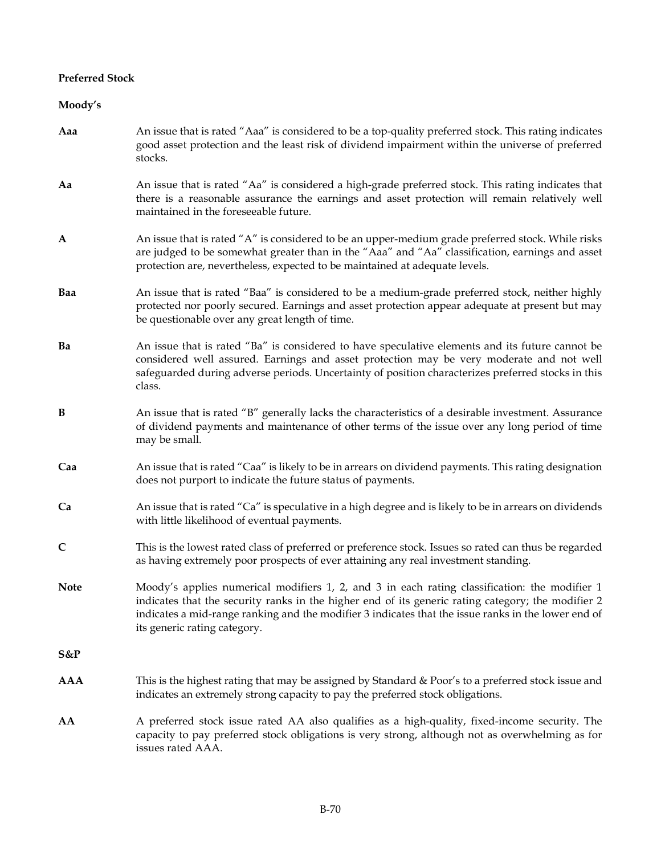#### **Preferred Stock**

**Moody's**

**Aaa** An issue that is rated "Aaa" is considered to be a top-quality preferred stock. This rating indicates good asset protection and the least risk of dividend impairment within the universe of preferred stocks. **Aa** An issue that is rated "Aa" is considered a high-grade preferred stock. This rating indicates that there is a reasonable assurance the earnings and asset protection will remain relatively well maintained in the foreseeable future. **A** An issue that is rated "A" is considered to be an upper-medium grade preferred stock. While risks are judged to be somewhat greater than in the "Aaa" and "Aa" classification, earnings and asset protection are, nevertheless, expected to be maintained at adequate levels. Baa An issue that is rated "Baa" is considered to be a medium-grade preferred stock, neither highly protected nor poorly secured. Earnings and asset protection appear adequate at present but may be questionable over any great length of time. **Ba** An issue that is rated "Ba" is considered to have speculative elements and its future cannot be considered well assured. Earnings and asset protection may be very moderate and not well safeguarded during adverse periods. Uncertainty of position characterizes preferred stocks in this class. **B** An issue that is rated "B" generally lacks the characteristics of a desirable investment. Assurance of dividend payments and maintenance of other terms of the issue over any long period of time may be small. **Caa** An issue that is rated "Caa" is likely to be in arrears on dividend payments. This rating designation does not purport to indicate the future status of payments. **Ca** An issue that is rated "Ca" is speculative in a high degree and is likely to be in arrears on dividends with little likelihood of eventual payments. **C** This is the lowest rated class of preferred or preference stock. Issues so rated can thus be regarded as having extremely poor prospects of ever attaining any real investment standing. **Note** Moody's applies numerical modifiers 1, 2, and 3 in each rating classification: the modifier 1 indicates that the security ranks in the higher end of its generic rating category; the modifier 2 indicates a mid-range ranking and the modifier 3 indicates that the issue ranks in the lower end of its generic rating category. **S&P AAA** This is the highest rating that may be assigned by Standard & Poor's to a preferred stock issue and indicates an extremely strong capacity to pay the preferred stock obligations. **AA** A preferred stock issue rated AA also qualifies as a high-quality, fixed-income security. The capacity to pay preferred stock obligations is very strong, although not as overwhelming as for issues rated AAA.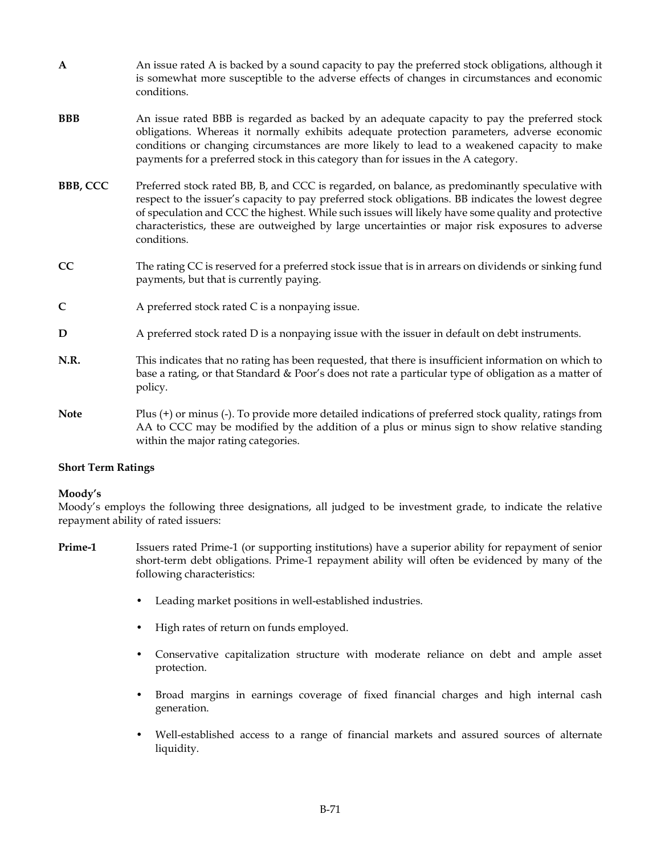| $\mathbf{A}$    | An issue rated A is backed by a sound capacity to pay the preferred stock obligations, although it<br>is somewhat more susceptible to the adverse effects of changes in circumstances and economic<br>conditions.                                                                                                                                                                                                              |
|-----------------|--------------------------------------------------------------------------------------------------------------------------------------------------------------------------------------------------------------------------------------------------------------------------------------------------------------------------------------------------------------------------------------------------------------------------------|
| <b>BBB</b>      | An issue rated BBB is regarded as backed by an adequate capacity to pay the preferred stock<br>obligations. Whereas it normally exhibits adequate protection parameters, adverse economic<br>conditions or changing circumstances are more likely to lead to a weakened capacity to make<br>payments for a preferred stock in this category than for issues in the A category.                                                 |
| <b>BBB, CCC</b> | Preferred stock rated BB, B, and CCC is regarded, on balance, as predominantly speculative with<br>respect to the issuer's capacity to pay preferred stock obligations. BB indicates the lowest degree<br>of speculation and CCC the highest. While such issues will likely have some quality and protective<br>characteristics, these are outweighed by large uncertainties or major risk exposures to adverse<br>conditions. |
| CC              | The rating CC is reserved for a preferred stock issue that is in arrears on dividends or sinking fund<br>payments, but that is currently paying.                                                                                                                                                                                                                                                                               |
| $\mathsf{C}$    | A preferred stock rated C is a nonpaying issue.                                                                                                                                                                                                                                                                                                                                                                                |
| D               | A preferred stock rated D is a nonpaying issue with the issuer in default on debt instruments.                                                                                                                                                                                                                                                                                                                                 |
| N.R.            | This indicates that no rating has been requested, that there is insufficient information on which to<br>base a rating, or that Standard & Poor's does not rate a particular type of obligation as a matter of<br>policy.                                                                                                                                                                                                       |
| <b>Note</b>     | Plus (+) or minus (-). To provide more detailed indications of preferred stock quality, ratings from<br>AA to CCC may be modified by the addition of a plus or minus sign to show relative standing<br>within the major rating categories.                                                                                                                                                                                     |

#### **Short Term Ratings**

#### **Moody's**

Moody's employs the following three designations, all judged to be investment grade, to indicate the relative repayment ability of rated issuers:

- **Prime-1** Issuers rated Prime-1 (or supporting institutions) have a superior ability for repayment of senior short-term debt obligations. Prime-1 repayment ability will often be evidenced by many of the following characteristics:
	- Leading market positions in well-established industries.
	- High rates of return on funds employed.
	- Conservative capitalization structure with moderate reliance on debt and ample asset protection.
	- Broad margins in earnings coverage of fixed financial charges and high internal cash generation.
	- Well-established access to a range of financial markets and assured sources of alternate liquidity.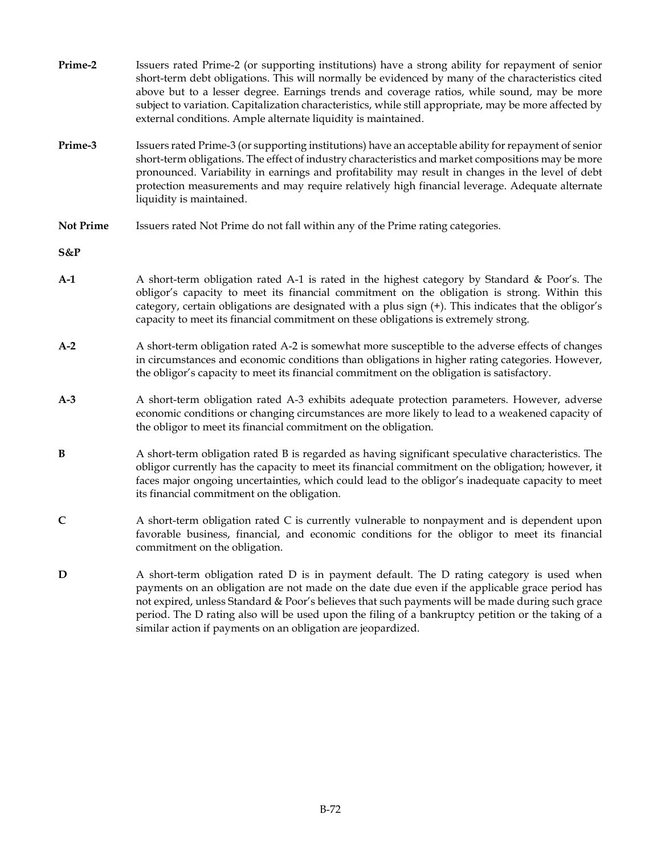| Prime-2          | Issuers rated Prime-2 (or supporting institutions) have a strong ability for repayment of senior<br>short-term debt obligations. This will normally be evidenced by many of the characteristics cited<br>above but to a lesser degree. Earnings trends and coverage ratios, while sound, may be more<br>subject to variation. Capitalization characteristics, while still appropriate, may be more affected by<br>external conditions. Ample alternate liquidity is maintained. |
|------------------|---------------------------------------------------------------------------------------------------------------------------------------------------------------------------------------------------------------------------------------------------------------------------------------------------------------------------------------------------------------------------------------------------------------------------------------------------------------------------------|
| Prime-3          | Issuers rated Prime-3 (or supporting institutions) have an acceptable ability for repayment of senior<br>short-term obligations. The effect of industry characteristics and market compositions may be more<br>pronounced. Variability in earnings and profitability may result in changes in the level of debt<br>protection measurements and may require relatively high financial leverage. Adequate alternate<br>liquidity is maintained.                                   |
| <b>Not Prime</b> | Issuers rated Not Prime do not fall within any of the Prime rating categories.                                                                                                                                                                                                                                                                                                                                                                                                  |
| S&P              |                                                                                                                                                                                                                                                                                                                                                                                                                                                                                 |
| $A-1$            | A short-term obligation rated A-1 is rated in the highest category by Standard & Poor's. The<br>obligor's capacity to meet its financial commitment on the obligation is strong. Within this<br>category, certain obligations are designated with a plus sign (+). This indicates that the obligor's<br>capacity to meet its financial commitment on these obligations is extremely strong.                                                                                     |
| $A-2$            | A short-term obligation rated A-2 is somewhat more susceptible to the adverse effects of changes<br>in circumstances and economic conditions than obligations in higher rating categories. However,<br>the obligor's capacity to meet its financial commitment on the obligation is satisfactory.                                                                                                                                                                               |
| $A-3$            | A short-term obligation rated A-3 exhibits adequate protection parameters. However, adverse<br>economic conditions or changing circumstances are more likely to lead to a weakened capacity of<br>the obligor to meet its financial commitment on the obligation.                                                                                                                                                                                                               |
| B                | A short-term obligation rated B is regarded as having significant speculative characteristics. The<br>obligor currently has the capacity to meet its financial commitment on the obligation; however, it<br>faces major ongoing uncertainties, which could lead to the obligor's inadequate capacity to meet<br>its financial commitment on the obligation.                                                                                                                     |
| $\mathbf C$      | A short-term obligation rated C is currently vulnerable to nonpayment and is dependent upon<br>favorable business, financial, and economic conditions for the obligor to meet its financial<br>commitment on the obligation.                                                                                                                                                                                                                                                    |
| D                | A short-term obligation rated D is in payment default. The D rating category is used when<br>payments on an obligation are not made on the date due even if the applicable grace period has<br>not expired, unless Standard & Poor's believes that such payments will be made during such grace<br>period. The D rating also will be used upon the filing of a bankruptcy petition or the taking of a<br>similar action if payments on an obligation are jeopardized.           |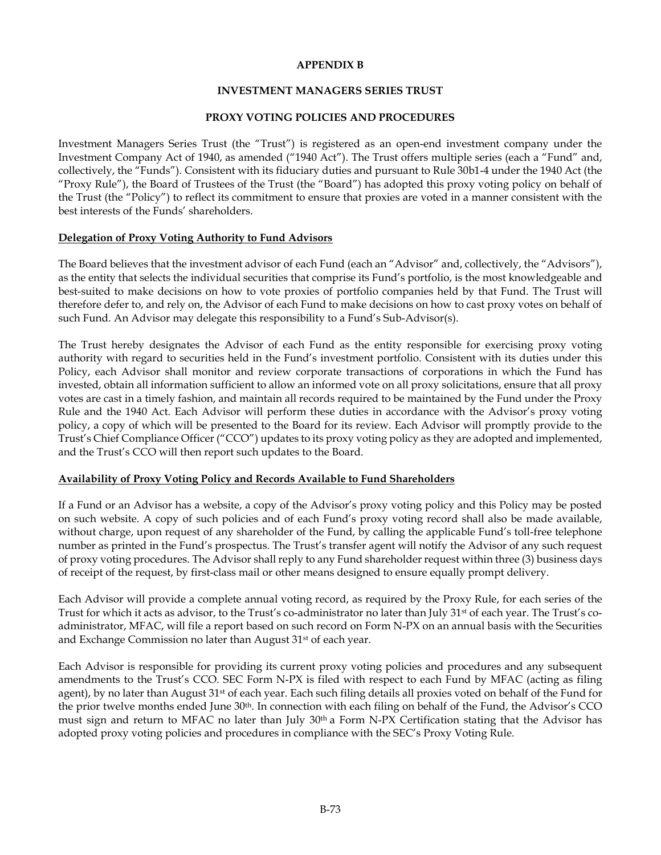### **APPENDIX B**

### **INVESTMENT MANAGERS SERIES TRUST**

### **PROXY VOTING POLICIES AND PROCEDURES**

Investment Managers Series Trust (the "Trust") is registered as an open-end investment company under the Investment Company Act of 1940, as amended ("1940 Act"). The Trust offers multiple series (each a "Fund" and, collectively, the "Funds"). Consistent with its fiduciary duties and pursuant to Rule 30b1-4 under the 1940 Act (the "Proxy Rule"), the Board of Trustees of the Trust (the "Board") has adopted this proxy voting policy on behalf of the Trust (the "Policy") to reflect its commitment to ensure that proxies are voted in a manner consistent with the best interests of the Funds' shareholders.

### **Delegation of Proxy Voting Authority to Fund Advisors**

The Board believes that the investment advisor of each Fund (each an "Advisor" and, collectively, the "Advisors"), as the entity that selects the individual securities that comprise its Fund's portfolio, is the most knowledgeable and best-suited to make decisions on how to vote proxies of portfolio companies held by that Fund. The Trust will therefore defer to, and rely on, the Advisor of each Fund to make decisions on how to cast proxy votes on behalf of such Fund. An Advisor may delegate this responsibility to a Fund's Sub-Advisor(s).

The Trust hereby designates the Advisor of each Fund as the entity responsible for exercising proxy voting authority with regard to securities held in the Fund's investment portfolio. Consistent with its duties under this Policy, each Advisor shall monitor and review corporate transactions of corporations in which the Fund has invested, obtain all information sufficient to allow an informed vote on all proxy solicitations, ensure that all proxy votes are cast in a timely fashion, and maintain all records required to be maintained by the Fund under the Proxy Rule and the 1940 Act. Each Advisor will perform these duties in accordance with the Advisor's proxy voting policy, a copy of which will be presented to the Board for its review. Each Advisor will promptly provide to the Trust's Chief Compliance Officer ("CCO") updates to its proxy voting policy as they are adopted and implemented, and the Trust's CCO will then report such updates to the Board.

#### **Availability of Proxy Voting Policy and Records Available to Fund Shareholders**

If a Fund or an Advisor has a website, a copy of the Advisor's proxy voting policy and this Policy may be posted on such website. A copy of such policies and of each Fund's proxy voting record shall also be made available, without charge, upon request of any shareholder of the Fund, by calling the applicable Fund's toll-free telephone number as printed in the Fund's prospectus. The Trust's transfer agent will notify the Advisor of any such request of proxy voting procedures. The Advisor shall reply to any Fund shareholder request within three (3) business days of receipt of the request, by first-class mail or other means designed to ensure equally prompt delivery.

Each Advisor will provide a complete annual voting record, as required by the Proxy Rule, for each series of the Trust for which it acts as advisor, to the Trust's co-administrator no later than July 31<sup>st</sup> of each year. The Trust's coadministrator, MFAC, will file a report based on such record on Form N-PX on an annual basis with the Securities and Exchange Commission no later than August 31st of each year.

Each Advisor is responsible for providing its current proxy voting policies and procedures and any subsequent amendments to the Trust's CCO. SEC Form N-PX is filed with respect to each Fund by MFAC (acting as filing agent), by no later than August 31<sup>st</sup> of each year. Each such filing details all proxies voted on behalf of the Fund for the prior twelve months ended June 30<sup>th</sup>. In connection with each filing on behalf of the Fund, the Advisor's CCO must sign and return to MFAC no later than July 30<sup>th</sup> a Form N-PX Certification stating that the Advisor has adopted proxy voting policies and procedures in compliance with the SEC's Proxy Voting Rule.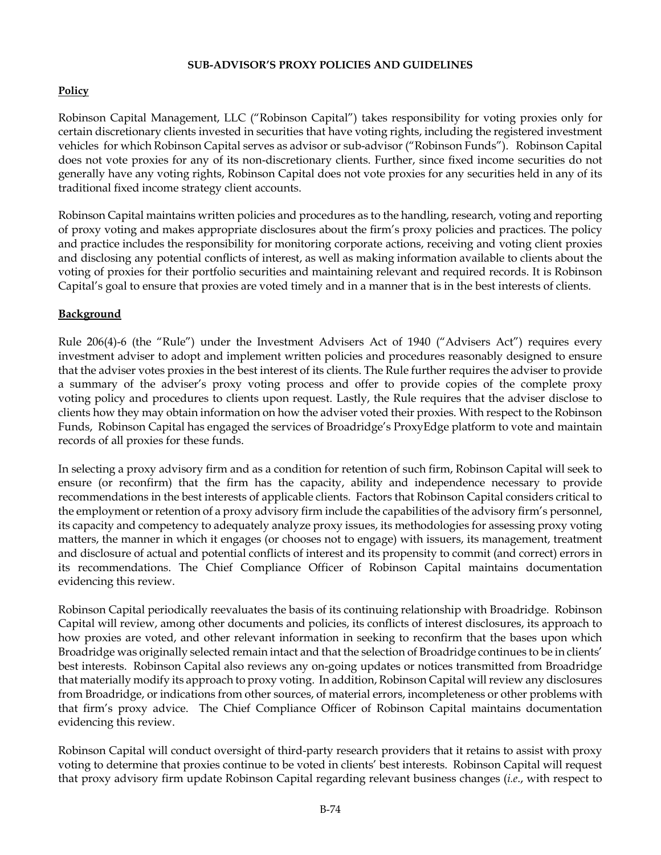### **SUB-ADVISOR'S PROXY POLICIES AND GUIDELINES**

# **Policy**

Robinson Capital Management, LLC ("Robinson Capital") takes responsibility for voting proxies only for certain discretionary clients invested in securities that have voting rights, including the registered investment vehicles for which Robinson Capital serves as advisor or sub-advisor ("Robinson Funds"). Robinson Capital does not vote proxies for any of its non-discretionary clients. Further, since fixed income securities do not generally have any voting rights, Robinson Capital does not vote proxies for any securities held in any of its traditional fixed income strategy client accounts.

Robinson Capital maintains written policies and procedures as to the handling, research, voting and reporting of proxy voting and makes appropriate disclosures about the firm's proxy policies and practices. The policy and practice includes the responsibility for monitoring corporate actions, receiving and voting client proxies and disclosing any potential conflicts of interest, as well as making information available to clients about the voting of proxies for their portfolio securities and maintaining relevant and required records. It is Robinson Capital's goal to ensure that proxies are voted timely and in a manner that is in the best interests of clients.

### **Background**

Rule 206(4)-6 (the "Rule") under the Investment Advisers Act of 1940 ("Advisers Act") requires every investment adviser to adopt and implement written policies and procedures reasonably designed to ensure that the adviser votes proxies in the best interest of its clients. The Rule further requires the adviser to provide a summary of the adviser's proxy voting process and offer to provide copies of the complete proxy voting policy and procedures to clients upon request. Lastly, the Rule requires that the adviser disclose to clients how they may obtain information on how the adviser voted their proxies. With respect to the Robinson Funds, Robinson Capital has engaged the services of Broadridge's ProxyEdge platform to vote and maintain records of all proxies for these funds.

In selecting a proxy advisory firm and as a condition for retention of such firm, Robinson Capital will seek to ensure (or reconfirm) that the firm has the capacity, ability and independence necessary to provide recommendations in the best interests of applicable clients. Factors that Robinson Capital considers critical to the employment or retention of a proxy advisory firm include the capabilities of the advisory firm's personnel, its capacity and competency to adequately analyze proxy issues, its methodologies for assessing proxy voting matters, the manner in which it engages (or chooses not to engage) with issuers, its management, treatment and disclosure of actual and potential conflicts of interest and its propensity to commit (and correct) errors in its recommendations. The Chief Compliance Officer of Robinson Capital maintains documentation evidencing this review.

Robinson Capital periodically reevaluates the basis of its continuing relationship with Broadridge. Robinson Capital will review, among other documents and policies, its conflicts of interest disclosures, its approach to how proxies are voted, and other relevant information in seeking to reconfirm that the bases upon which Broadridge was originally selected remain intact and that the selection of Broadridge continues to be in clients' best interests. Robinson Capital also reviews any on-going updates or notices transmitted from Broadridge that materially modify its approach to proxy voting. In addition, Robinson Capital will review any disclosures from Broadridge, or indications from other sources, of material errors, incompleteness or other problems with that firm's proxy advice. The Chief Compliance Officer of Robinson Capital maintains documentation evidencing this review.

Robinson Capital will conduct oversight of third-party research providers that it retains to assist with proxy voting to determine that proxies continue to be voted in clients' best interests. Robinson Capital will request that proxy advisory firm update Robinson Capital regarding relevant business changes (*i.e*., with respect to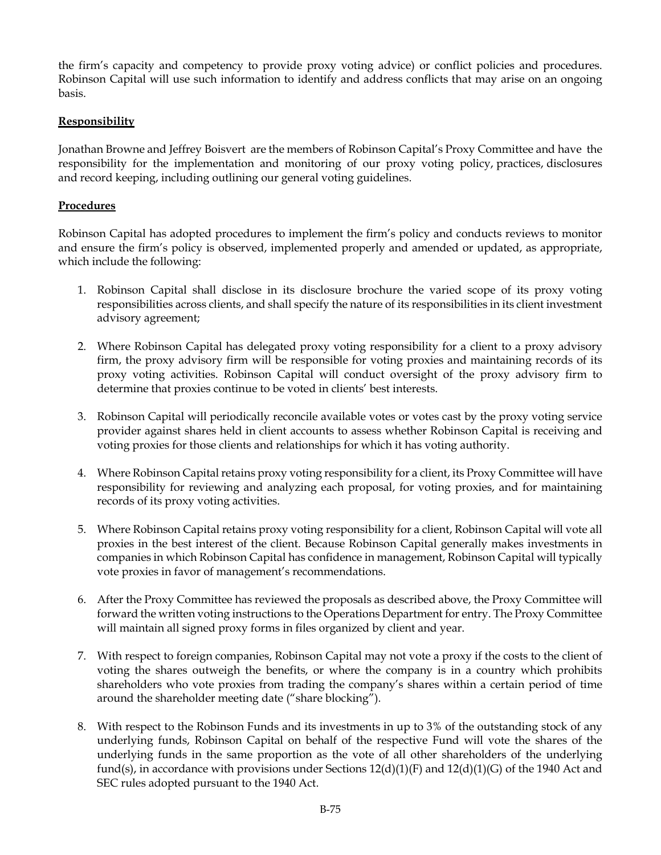the firm's capacity and competency to provide proxy voting advice) or conflict policies and procedures. Robinson Capital will use such information to identify and address conflicts that may arise on an ongoing basis.

# **Responsibility**

Jonathan Browne and Jeffrey Boisvert are the members of Robinson Capital's Proxy Committee and have the responsibility for the implementation and monitoring of our proxy voting policy, practices, disclosures and record keeping, including outlining our general voting guidelines.

# **Procedures**

Robinson Capital has adopted procedures to implement the firm's policy and conducts reviews to monitor and ensure the firm's policy is observed, implemented properly and amended or updated, as appropriate, which include the following:

- 1. Robinson Capital shall disclose in its disclosure brochure the varied scope of its proxy voting responsibilities across clients, and shall specify the nature of its responsibilities in its client investment advisory agreement;
- 2. Where Robinson Capital has delegated proxy voting responsibility for a client to a proxy advisory firm, the proxy advisory firm will be responsible for voting proxies and maintaining records of its proxy voting activities. Robinson Capital will conduct oversight of the proxy advisory firm to determine that proxies continue to be voted in clients' best interests.
- 3. Robinson Capital will periodically reconcile available votes or votes cast by the proxy voting service provider against shares held in client accounts to assess whether Robinson Capital is receiving and voting proxies for those clients and relationships for which it has voting authority.
- 4. Where Robinson Capital retains proxy voting responsibility for a client, its Proxy Committee will have responsibility for reviewing and analyzing each proposal, for voting proxies, and for maintaining records of its proxy voting activities.
- 5. Where Robinson Capital retains proxy voting responsibility for a client, Robinson Capital will vote all proxies in the best interest of the client. Because Robinson Capital generally makes investments in companies in which Robinson Capital has confidence in management, Robinson Capital will typically vote proxies in favor of management's recommendations.
- 6. After the Proxy Committee has reviewed the proposals as described above, the Proxy Committee will forward the written voting instructions to the Operations Department for entry. The Proxy Committee will maintain all signed proxy forms in files organized by client and year.
- 7. With respect to foreign companies, Robinson Capital may not vote a proxy if the costs to the client of voting the shares outweigh the benefits, or where the company is in a country which prohibits shareholders who vote proxies from trading the company's shares within a certain period of time around the shareholder meeting date ("share blocking").
- 8. With respect to the Robinson Funds and its investments in up to 3% of the outstanding stock of any underlying funds, Robinson Capital on behalf of the respective Fund will vote the shares of the underlying funds in the same proportion as the vote of all other shareholders of the underlying fund(s), in accordance with provisions under Sections 12(d)(1)(F) and 12(d)(1)(G) of the 1940 Act and SEC rules adopted pursuant to the 1940 Act.